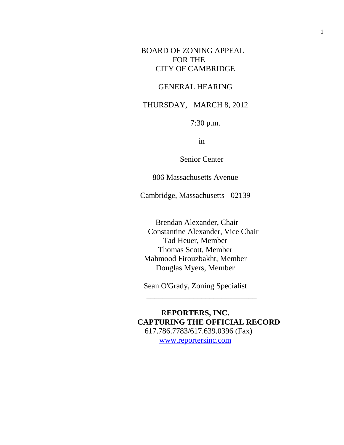# BOARD OF ZONING APPEAL FOR THE CITY OF CAMBRIDGE

### GENERAL HEARING

## THURSDAY, MARCH 8, 2012

7:30 p.m.

in

Senior Center

806 Massachusetts Avenue

Cambridge, Massachusetts 02139

Brendan Alexander, Chair Constantine Alexander, Vice Chair Tad Heuer, Member Thomas Scott, Member Mahmood Firouzbakht, Member Douglas Myers, Member

Sean O'Grady, Zoning Specialist  $\frac{1}{\sqrt{2}}$  ,  $\frac{1}{\sqrt{2}}$  ,  $\frac{1}{\sqrt{2}}$  ,  $\frac{1}{\sqrt{2}}$  ,  $\frac{1}{\sqrt{2}}$  ,  $\frac{1}{\sqrt{2}}$  ,  $\frac{1}{\sqrt{2}}$  ,  $\frac{1}{\sqrt{2}}$  ,  $\frac{1}{\sqrt{2}}$  ,  $\frac{1}{\sqrt{2}}$  ,  $\frac{1}{\sqrt{2}}$  ,  $\frac{1}{\sqrt{2}}$  ,  $\frac{1}{\sqrt{2}}$  ,  $\frac{1}{\sqrt{2}}$  ,  $\frac{1}{\sqrt{2}}$ 

R**EPORTERS, INC. CAPTURING THE OFFICIAL RECORD** 617.786.7783/617.639.0396 (Fax) [www.reportersinc.com](http://www.reportersinc.com/)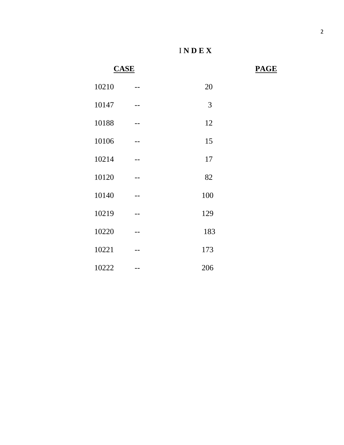**CASE PAGE**

| 10210 | 20  |
|-------|-----|
| 10147 | 3   |
| 10188 | 12  |
| 10106 | 15  |
| 10214 | 17  |
| 10120 | 82  |
| 10140 | 100 |
| 10219 | 129 |
| 10220 | 183 |
| 10221 | 173 |
| 10222 | 206 |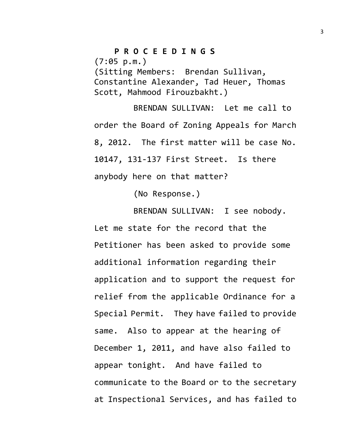### **P R O C E E D I N G S**

 $(7:05 \, \text{p.m.})$ 

(Sitting Members: Brendan Sullivan, Constantine Alexander, Tad Heuer, Thomas Scott, Mahmood Firouzbakht.)

BRENDAN SULLIVAN: Let me call to order the Board of Zoning Appeals for March 8, 2012. The first matter will be case No. 10147, 131-137 First Street. Is there anybody here on that matter?

(No Response.)

BRENDAN SULLIVAN: I see nobody. Let me state for the record that the Petitioner has been asked to provide some additional information regarding their application and to support the request for relief from the applicable Ordinance for a Special Permit. They have failed to provide same. Also to appear at the hearing of December 1, 2011, and have also failed to appear tonight. And have failed to communicate to the Board or to the secretary at Inspectional Services, and has failed to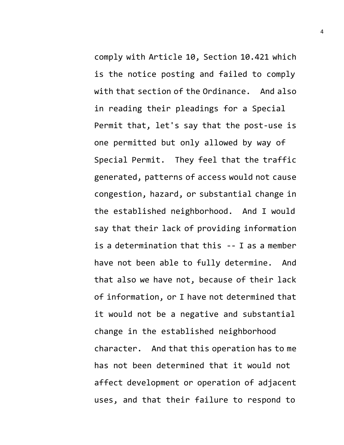comply with Article 10, Section 10.421 which is the notice posting and failed to comply with that section of the Ordinance. And also in reading their pleadings for a Special Permit that, let's say that the post-use is one permitted but only allowed by way of Special Permit. They feel that the traffic generated, patterns of access would not cause congestion, hazard, or substantial change in the established neighborhood. And I would say that their lack of providing information is a determination that this -- I as a member have not been able to fully determine. And that also we have not, because of their lack of information, or I have not determined that it would not be a negative and substantial change in the established neighborhood character. And that this operation has to me has not been determined that it would not affect development or operation of adjacent uses, and that their failure to respond to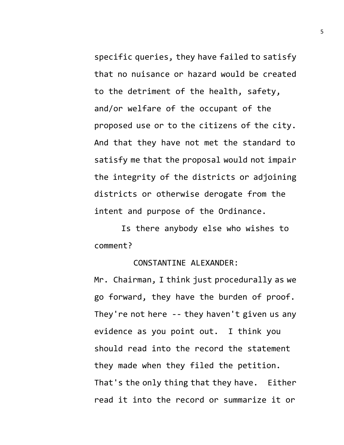specific queries, they have failed to satisfy that no nuisance or hazard would be created to the detriment of the health, safety, and/or welfare of the occupant of the proposed use or to the citizens of the city. And that they have not met the standard to satisfy me that the proposal would not impair the integrity of the districts or adjoining districts or otherwise derogate from the intent and purpose of the Ordinance.

Is there anybody else who wishes to comment?

#### CONSTANTINE ALEXANDER:

Mr. Chairman, I think just procedurally as we go forward, they have the burden of proof. They're not here -- they haven't given us any evidence as you point out. I think you should read into the record the statement they made when they filed the petition. That's the only thing that they have. Either read it into the record or summarize it or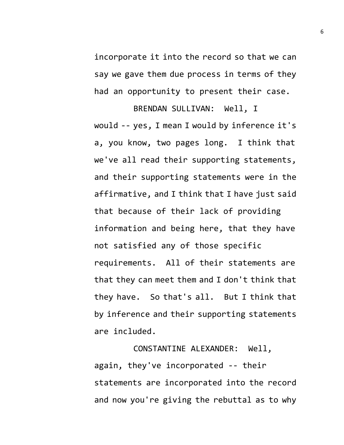incorporate it into the record so that we can say we gave them due process in terms of they had an opportunity to present their case.

BRENDAN SULLIVAN: Well, I would -- yes, I mean I would by inference it's a, you know, two pages long. I think that we've all read their supporting statements, and their supporting statements were in the affirmative, and I think that I have just said that because of their lack of providing information and being here, that they have not satisfied any of those specific requirements. All of their statements are that they can meet them and I don't think that they have. So that's all. But I think that by inference and their supporting statements are included.

CONSTANTINE ALEXANDER: Well, again, they've incorporated -- their statements are incorporated into the record and now you're giving the rebuttal as to why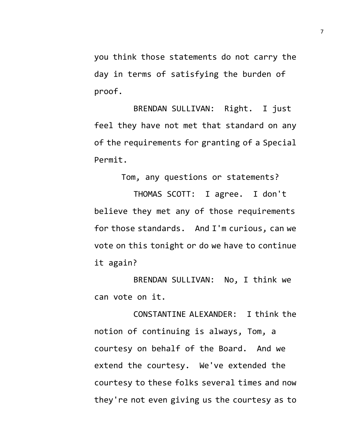you think those statements do not carry the day in terms of satisfying the burden of proof.

BRENDAN SULLIVAN: Right. I just feel they have not met that standard on any of the requirements for granting of a Special Permit.

Tom, any questions or statements?

THOMAS SCOTT: I agree. I don't believe they met any of those requirements for those standards. And I'm curious, can we vote on this tonight or do we have to continue it again?

BRENDAN SULLIVAN: No, I think we can vote on it.

CONSTANTINE ALEXANDER: I think the notion of continuing is always, Tom, a courtesy on behalf of the Board. And we extend the courtesy. We've extended the courtesy to these folks several times and now they're not even giving us the courtesy as to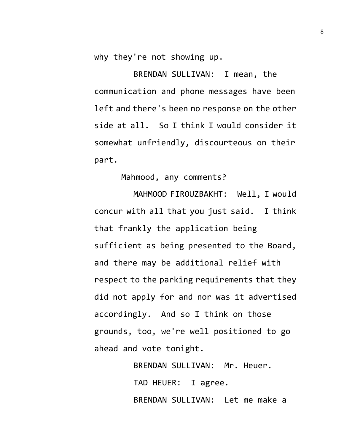why they're not showing up.

BRENDAN SULLIVAN: I mean, the communication and phone messages have been left and there's been no response on the other side at all. So I think I would consider it somewhat unfriendly, discourteous on their part.

## Mahmood, any comments?

MAHMOOD FIROUZBAKHT: Well, I would concur with all that you just said. I think that frankly the application being sufficient as being presented to the Board, and there may be additional relief with respect to the parking requirements that they did not apply for and nor was it advertised accordingly. And so I think on those grounds, too, we're well positioned to go ahead and vote tonight.

> BRENDAN SULLIVAN: Mr. Heuer. TAD HEUER: I agree. BRENDAN SULLIVAN: Let me make a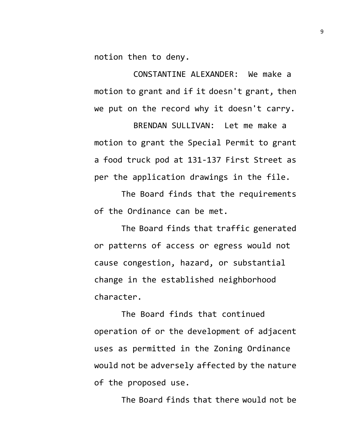notion then to deny.

CONSTANTINE ALEXANDER: We make a motion to grant and if it doesn't grant, then we put on the record why it doesn't carry.

BRENDAN SULLIVAN: Let me make a motion to grant the Special Permit to grant a food truck pod at 131-137 First Street as per the application drawings in the file.

The Board finds that the requirements of the Ordinance can be met.

The Board finds that traffic generated or patterns of access or egress would not cause congestion, hazard, or substantial change in the established neighborhood character.

The Board finds that continued operation of or the development of adjacent uses as permitted in the Zoning Ordinance would not be adversely affected by the nature of the proposed use.

The Board finds that there would not be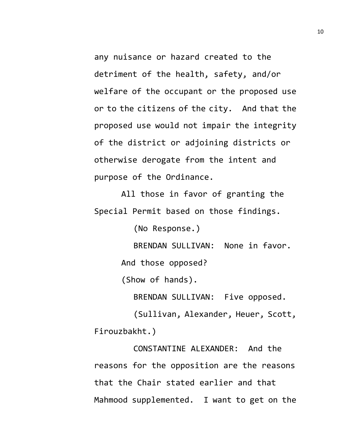any nuisance or hazard created to the detriment of the health, safety, and/or welfare of the occupant or the proposed use or to the citizens of the city. And that the proposed use would not impair the integrity of the district or adjoining districts or otherwise derogate from the intent and purpose of the Ordinance.

All those in favor of granting the Special Permit based on those findings.

(No Response.)

BRENDAN SULLIVAN: None in favor.

And those opposed?

(Show of hands).

BRENDAN SULLIVAN: Five opposed.

(Sullivan, Alexander, Heuer, Scott, Firouzbakht.)

CONSTANTINE ALEXANDER: And the reasons for the opposition are the reasons that the Chair stated earlier and that Mahmood supplemented. I want to get on the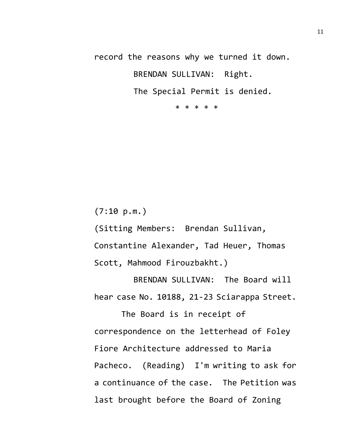record the reasons why we turned it down.

BRENDAN SULLIVAN: Right.

The Special Permit is denied.

\* \* \* \* \*

 $(7:10 \text{ p.m.})$ 

(Sitting Members: Brendan Sullivan, Constantine Alexander, Tad Heuer, Thomas Scott, Mahmood Firouzbakht.)

BRENDAN SULLIVAN: The Board will hear case No. 10188, 21-23 Sciarappa Street.

The Board is in receipt of correspondence on the letterhead of Foley Fiore Architecture addressed to Maria Pacheco. (Reading) I'm writing to ask for a continuance of the case. The Petition was last brought before the Board of Zoning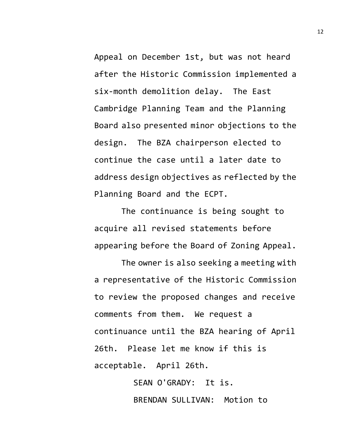Appeal on December 1st, but was not heard after the Historic Commission implemented a six-month demolition delay. The East Cambridge Planning Team and the Planning Board also presented minor objections to the design. The BZA chairperson elected to continue the case until a later date to address design objectives as reflected by the Planning Board and the ECPT.

The continuance is being sought to acquire all revised statements before appearing before the Board of Zoning Appeal.

The owner is also seeking a meeting with a representative of the Historic Commission to review the proposed changes and receive comments from them. We request a continuance until the BZA hearing of April 26th. Please let me know if this is acceptable. April 26th.

> SEAN O'GRADY: It is. BRENDAN SULLIVAN: Motion to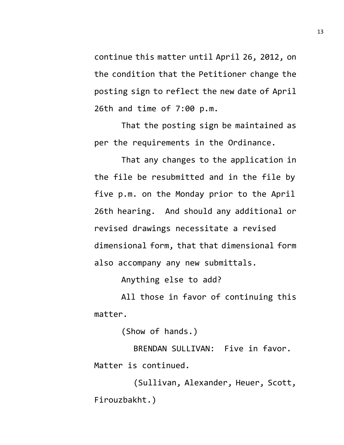continue this matter until April 26, 2012, on the condition that the Petitioner change the posting sign to reflect the new date of April 26th and time of 7:00 p.m.

That the posting sign be maintained as per the requirements in the Ordinance.

That any changes to the application in the file be resubmitted and in the file by five p.m. on the Monday prior to the April 26th hearing. And should any additional or revised drawings necessitate a revised dimensional form, that that dimensional form also accompany any new submittals.

Anything else to add?

All those in favor of continuing this matter.

(Show of hands.)

BRENDAN SULLIVAN: Five in favor. Matter is continued.

(Sullivan, Alexander, Heuer, Scott, Firouzbakht.)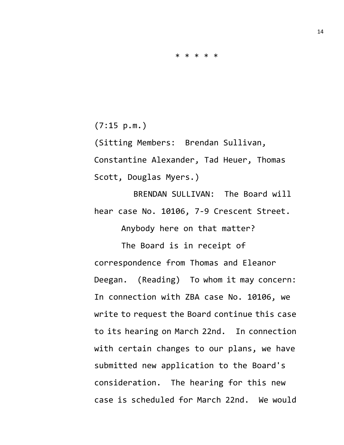$(7:15 \, \text{p.m.})$ 

(Sitting Members: Brendan Sullivan, Constantine Alexander, Tad Heuer, Thomas Scott, Douglas Myers.)

BRENDAN SULLIVAN: The Board will hear case No. 10106, 7-9 Crescent Street.

Anybody here on that matter?

The Board is in receipt of correspondence from Thomas and Eleanor Deegan. (Reading) To whom it may concern: In connection with ZBA case No. 10106, we write to request the Board continue this case to its hearing on March 22nd. In connection with certain changes to our plans, we have submitted new application to the Board's consideration. The hearing for this new case is scheduled for March 22nd. We would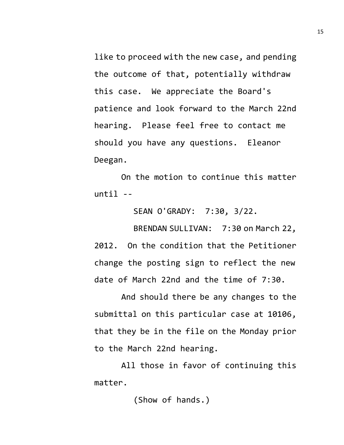like to proceed with the new case, and pending the outcome of that, potentially withdraw this case. We appreciate the Board's patience and look forward to the March 22nd hearing. Please feel free to contact me should you have any questions. Eleanor Deegan.

On the motion to continue this matter  $until --$ 

SEAN O'GRADY: 7:30, 3/22.

BRENDAN SULLIVAN: 7:30 on March 22, 2012. On the condition that the Petitioner change the posting sign to reflect the new date of March 22nd and the time of 7:30.

And should there be any changes to the submittal on this particular case at 10106, that they be in the file on the Monday prior to the March 22nd hearing.

All those in favor of continuing this matter.

(Show of hands.)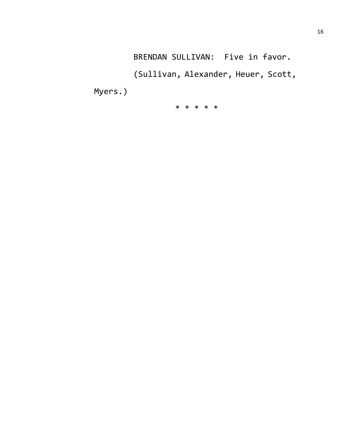BRENDAN SULLIVAN: Five in favor.

(Sullivan, Alexander, Heuer, Scott,

Myers.)

\* \* \* \* \*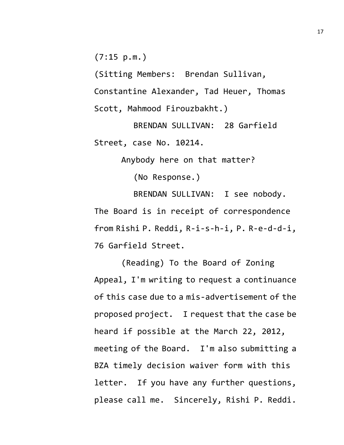(7:15 p.m.)

(Sitting Members: Brendan Sullivan, Constantine Alexander, Tad Heuer, Thomas Scott, Mahmood Firouzbakht.)

BRENDAN SULLIVAN: 28 Garfield Street, case No. 10214.

Anybody here on that matter?

(No Response.)

BRENDAN SULLIVAN: I see nobody. The Board is in receipt of correspondence from Rishi P. Reddi, R-i-s-h-i, P. R-e-d-d-i, 76 Garfield Street.

(Reading) To the Board of Zoning Appeal, I'm writing to request a continuance of this case due to a mis-advertisement of the proposed project. I request that the case be heard if possible at the March 22, 2012, meeting of the Board. I'm also submitting a BZA timely decision waiver form with this letter. If you have any further questions, please call me. Sincerely, Rishi P. Reddi.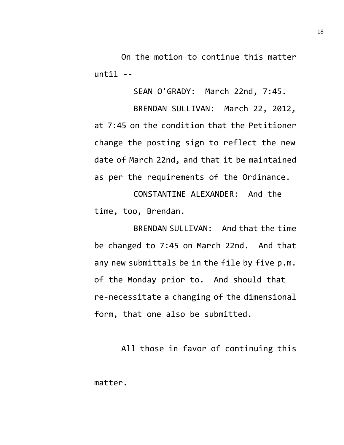On the motion to continue this matter until --

SEAN O'GRADY: March 22nd, 7:45.

BRENDAN SULLIVAN: March 22, 2012, at 7:45 on the condition that the Petitioner change the posting sign to reflect the new date of March 22nd, and that it be maintained as per the requirements of the Ordinance.

CONSTANTINE ALEXANDER: And the time, too, Brendan.

BRENDAN SULLIVAN: And that the time be changed to 7:45 on March 22nd. And that any new submittals be in the file by five p.m. of the Monday prior to. And should that re-necessitate a changing of the dimensional form, that one also be submitted.

All those in favor of continuing this matter.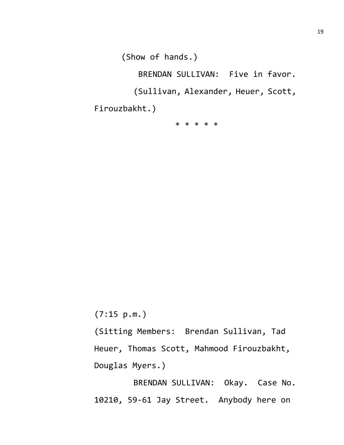(Show of hands.)

BRENDAN SULLIVAN: Five in favor.

(Sullivan, Alexander, Heuer, Scott,

Firouzbakht.)

\* \* \* \* \*

(7:15 p.m.)

(Sitting Members: Brendan Sullivan, Tad Heuer, Thomas Scott, Mahmood Firouzbakht, Douglas Myers.)

BRENDAN SULLIVAN: Okay. Case No. 10210, 59-61 Jay Street. Anybody here on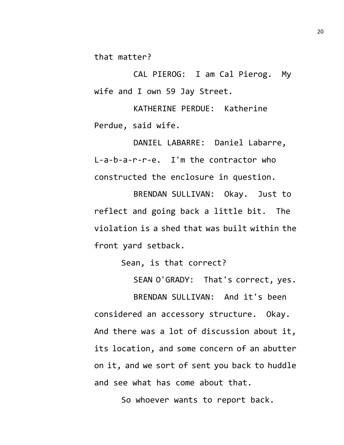that matter?

CAL PIEROG: I am Cal Pierog. My wife and I own 59 Jay Street.

KATHERINE PERDUE: Katherine Perdue, said wife.

DANIEL LABARRE: Daniel Labarre, L-a-b-a-r-r-e. I'm the contractor who constructed the enclosure in question.

BRENDAN SULLIVAN: Okay. Just to reflect and going back a little bit. The violation is a shed that was built within the front yard setback.

Sean, is that correct?

SEAN O'GRADY: That's correct, yes.

BRENDAN SULLIVAN: And it's been considered an accessory structure. Okay. And there was a lot of discussion about it, its location, and some concern of an abutter on it, and we sort of sent you back to huddle and see what has come about that.

So whoever wants to report back.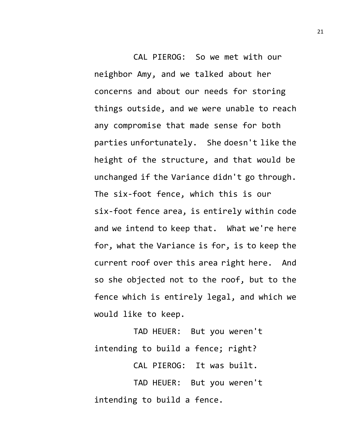CAL PIEROG: So we met with our neighbor Amy, and we talked about her concerns and about our needs for storing things outside, and we were unable to reach any compromise that made sense for both parties unfortunately. She doesn't like the height of the structure, and that would be unchanged if the Variance didn't go through. The six-foot fence, which this is our six-foot fence area, is entirely within code and we intend to keep that. What we're here for, what the Variance is for, is to keep the current roof over this area right here. And so she objected not to the roof, but to the fence which is entirely legal, and which we would like to keep.

TAD HEUER: But you weren't intending to build a fence; right?

CAL PIEROG: It was built.

TAD HEUER: But you weren't intending to build a fence.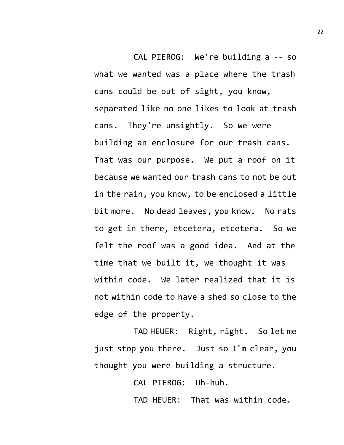CAL PIEROG: We're building a -- so what we wanted was a place where the trash cans could be out of sight, you know, separated like no one likes to look at trash cans. They're unsightly. So we were building an enclosure for our trash cans. That was our purpose. We put a roof on it because we wanted our trash cans to not be out in the rain, you know, to be enclosed a little bit more. No dead leaves, you know. No rats to get in there, etcetera, etcetera. So we felt the roof was a good idea. And at the time that we built it, we thought it was within code. We later realized that it is not within code to have a shed so close to the edge of the property.

TAD HEUER: Right, right. So let me just stop you there. Just so I'm clear, you thought you were building a structure.

CAL PIEROG: Uh-huh.

TAD HEUER: That was within code.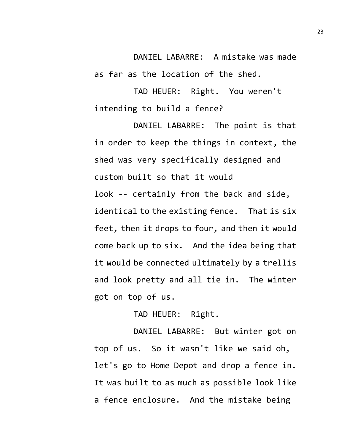DANIEL LABARRE: A mistake was made as far as the location of the shed.

TAD HEUER: Right. You weren't intending to build a fence?

DANIEL LABARRE: The point is that in order to keep the things in context, the shed was very specifically designed and custom built so that it would look -- certainly from the back and side, identical to the existing fence. That is six feet, then it drops to four, and then it would come back up to six. And the idea being that it would be connected ultimately by a trellis and look pretty and all tie in. The winter got on top of us.

TAD HEUER: Right.

DANIEL LABARRE: But winter got on top of us. So it wasn't like we said oh, let's go to Home Depot and drop a fence in. It was built to as much as possible look like a fence enclosure. And the mistake being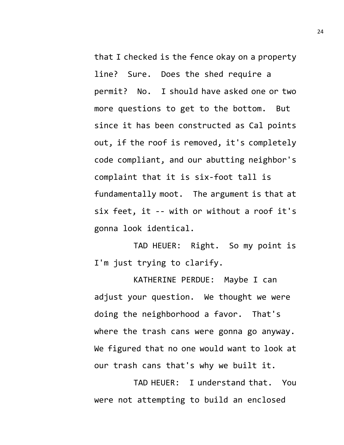that I checked is the fence okay on a property line? Sure. Does the shed require a permit? No. I should have asked one or two more questions to get to the bottom. But since it has been constructed as Cal points out, if the roof is removed, it's completely code compliant, and our abutting neighbor's complaint that it is six-foot tall is fundamentally moot. The argument is that at six feet, it -- with or without a roof it's gonna look identical.

TAD HEUER: Right. So my point is I'm just trying to clarify.

KATHERINE PERDUE: Maybe I can adjust your question. We thought we were doing the neighborhood a favor. That's where the trash cans were gonna go anyway. We figured that no one would want to look at our trash cans that's why we built it.

TAD HEUER: I understand that. You were not attempting to build an enclosed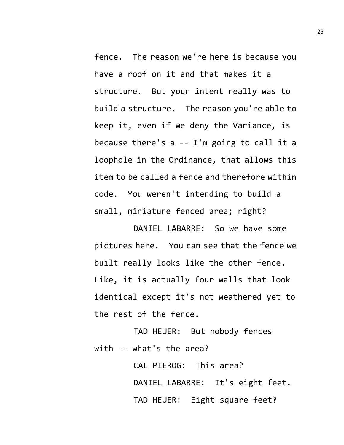fence. The reason we're here is because you have a roof on it and that makes it a structure. But your intent really was to build a structure. The reason you're able to keep it, even if we deny the Variance, is because there's a -- I'm going to call it a loophole in the Ordinance, that allows this item to be called a fence and therefore within code. You weren't intending to build a small, miniature fenced area; right?

DANIEL LABARRE: So we have some pictures here. You can see that the fence we built really looks like the other fence. Like, it is actually four walls that look identical except it's not weathered yet to the rest of the fence.

TAD HEUER: But nobody fences with -- what's the area?

> CAL PIEROG: This area? DANIEL LABARRE: It's eight feet. TAD HEUER: Eight square feet?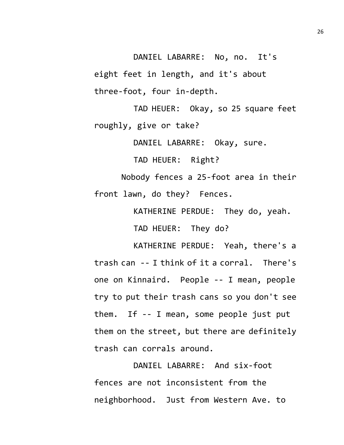DANIEL LABARRE: No, no. It's eight feet in length, and it's about three-foot, four in-depth.

TAD HEUER: Okay, so 25 square feet roughly, give or take?

DANIEL LABARRE: Okay, sure.

TAD HEUER: Right?

Nobody fences a 25-foot area in their front lawn, do they? Fences.

KATHERINE PERDUE: They do, yeah.

TAD HEUER: They do?

KATHERINE PERDUE: Yeah, there's a trash can -- I think of it a corral. There's one on Kinnaird. People -- I mean, people try to put their trash cans so you don't see them. If -- I mean, some people just put them on the street, but there are definitely trash can corrals around.

DANIEL LABARRE: And six-foot fences are not inconsistent from the neighborhood. Just from Western Ave. to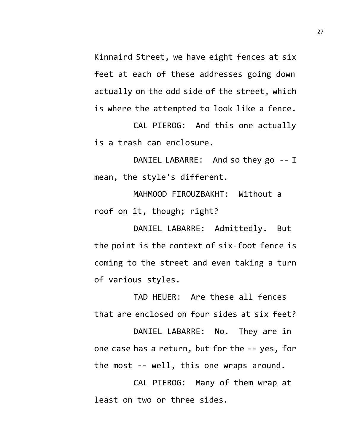Kinnaird Street, we have eight fences at six feet at each of these addresses going down actually on the odd side of the street, which is where the attempted to look like a fence.

CAL PIEROG: And this one actually is a trash can enclosure.

DANIEL LABARRE: And so they go -- I mean, the style's different.

MAHMOOD FIROUZBAKHT: Without a roof on it, though; right?

DANIEL LABARRE: Admittedly. But the point is the context of six-foot fence is coming to the street and even taking a turn of various styles.

TAD HEUER: Are these all fences that are enclosed on four sides at six feet?

DANIEL LABARRE: No. They are in one case has a return, but for the -- yes, for the most -- well, this one wraps around.

CAL PIEROG: Many of them wrap at least on two or three sides.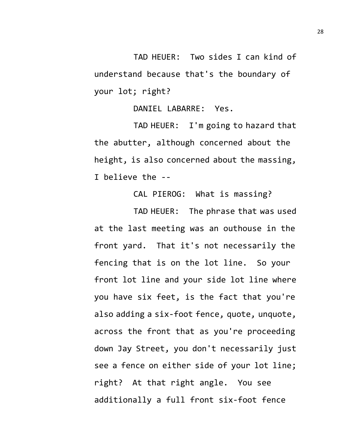TAD HEUER: Two sides I can kind of understand because that's the boundary of your lot; right?

DANIEL LABARRE: Yes.

TAD HEUER: I'm going to hazard that the abutter, although concerned about the height, is also concerned about the massing, I believe the --

CAL PIEROG: What is massing?

TAD HEUER: The phrase that was used at the last meeting was an outhouse in the front yard. That it's not necessarily the fencing that is on the lot line. So your front lot line and your side lot line where you have six feet, is the fact that you're also adding a six-foot fence, quote, unquote, across the front that as you're proceeding down Jay Street, you don't necessarily just see a fence on either side of your lot line; right? At that right angle. You see additionally a full front six-foot fence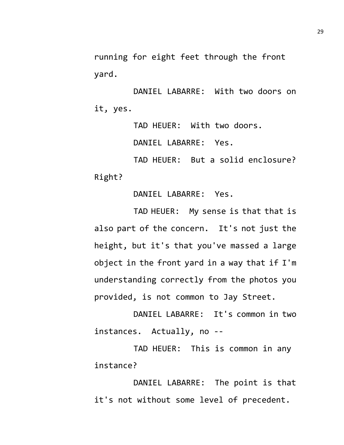running for eight feet through the front yard.

DANIEL LABARRE: With two doors on it, yes.

TAD HEUER: With two doors.

DANIEL LABARRE: Yes.

TAD HEUER: But a solid enclosure? Right?

DANIEL LABARRE: Yes.

TAD HEUER: My sense is that that is also part of the concern. It's not just the height, but it's that you've massed a large object in the front yard in a way that if I'm understanding correctly from the photos you provided, is not common to Jay Street.

DANIEL LABARRE: It's common in two instances. Actually, no --

TAD HEUER: This is common in any instance?

DANIEL LABARRE: The point is that it's not without some level of precedent.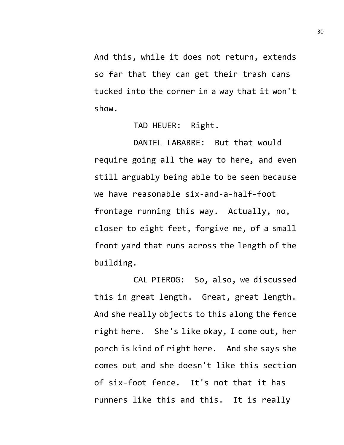And this, while it does not return, extends so far that they can get their trash cans tucked into the corner in a way that it won't show.

TAD HEUER: Right.

DANIEL LABARRE: But that would require going all the way to here, and even still arguably being able to be seen because we have reasonable six-and-a-half-foot frontage running this way. Actually, no, closer to eight feet, forgive me, of a small front yard that runs across the length of the building.

CAL PIEROG: So, also, we discussed this in great length. Great, great length. And she really objects to this along the fence right here. She's like okay, I come out, her porch is kind of right here. And she says she comes out and she doesn't like this section of six-foot fence. It's not that it has runners like this and this. It is really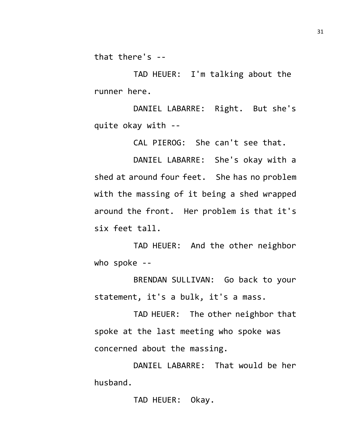that there's --

TAD HEUER: I'm talking about the runner here.

DANIEL LABARRE: Right. But she's quite okay with --

CAL PIEROG: She can't see that.

DANIEL LABARRE: She's okay with a shed at around four feet. She has no problem with the massing of it being a shed wrapped around the front. Her problem is that it's six feet tall.

TAD HEUER: And the other neighbor who spoke --

BRENDAN SULLIVAN: Go back to your statement, it's a bulk, it's a mass.

TAD HEUER: The other neighbor that spoke at the last meeting who spoke was concerned about the massing.

DANIEL LABARRE: That would be her husband.

TAD HEUER: Okay.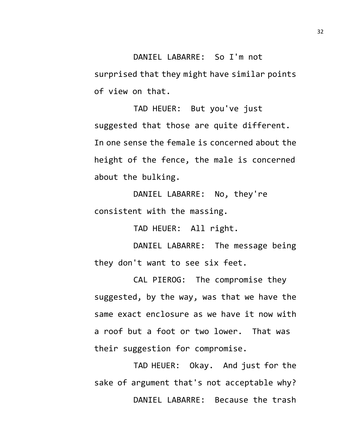DANIEL LABARRE: So I'm not surprised that they might have similar points of view on that.

TAD HEUER: But you've just suggested that those are quite different. In one sense the female is concerned about the height of the fence, the male is concerned about the bulking.

DANIEL LABARRE: No, they're consistent with the massing.

TAD HEUER: All right.

DANIEL LABARRE: The message being they don't want to see six feet.

CAL PIEROG: The compromise they suggested, by the way, was that we have the same exact enclosure as we have it now with a roof but a foot or two lower. That was their suggestion for compromise.

TAD HEUER: Okay. And just for the sake of argument that's not acceptable why? DANIEL LABARRE: Because the trash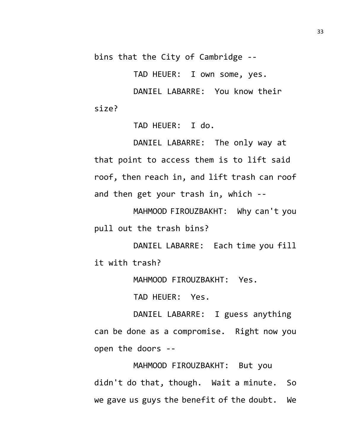bins that the City of Cambridge --

TAD HEUER: I own some, yes.

DANIEL LABARRE: You know their size?

TAD HEUER: I do.

DANIEL LABARRE: The only way at that point to access them is to lift said roof, then reach in, and lift trash can roof and then get your trash in, which --

MAHMOOD FIROUZBAKHT: Why can't you pull out the trash bins?

DANIEL LABARRE: Each time you fill it with trash?

MAHMOOD FIROUZBAKHT: Yes.

TAD HEUER: Yes.

DANIEL LABARRE: I guess anything can be done as a compromise. Right now you open the doors --

MAHMOOD FIROUZBAKHT: But you didn't do that, though. Wait a minute. So we gave us guys the benefit of the doubt. We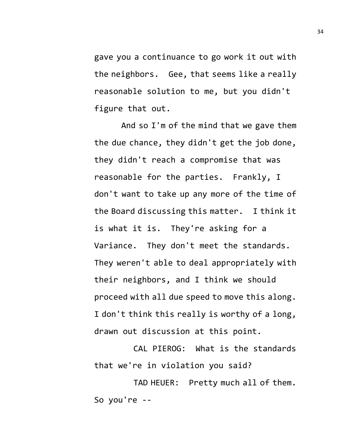gave you a continuance to go work it out with the neighbors. Gee, that seems like a really reasonable solution to me, but you didn't figure that out.

And so I'm of the mind that we gave them the due chance, they didn't get the job done, they didn't reach a compromise that was reasonable for the parties. Frankly, I don't want to take up any more of the time of the Board discussing this matter. I think it is what it is. They're asking for a Variance. They don't meet the standards. They weren't able to deal appropriately with their neighbors, and I think we should proceed with all due speed to move this along. I don't think this really is worthy of a long, drawn out discussion at this point.

CAL PIEROG: What is the standards that we're in violation you said?

TAD HEUER: Pretty much all of them. So you're --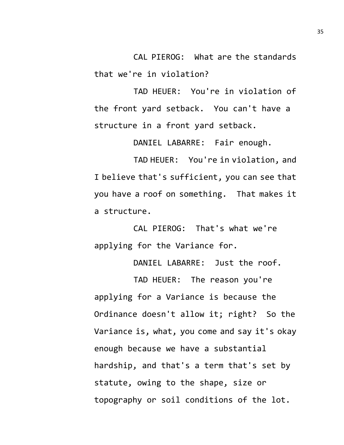CAL PIEROG: What are the standards that we're in violation?

TAD HEUER: You're in violation of the front yard setback. You can't have a structure in a front yard setback.

DANIEL LABARRE: Fair enough.

TAD HEUER: You're in violation, and I believe that's sufficient, you can see that you have a roof on something. That makes it a structure.

CAL PIEROG: That's what we're applying for the Variance for.

DANIEL LABARRE: Just the roof.

TAD HEUER: The reason you're applying for a Variance is because the Ordinance doesn't allow it; right? So the Variance is, what, you come and say it's okay enough because we have a substantial hardship, and that's a term that's set by statute, owing to the shape, size or topography or soil conditions of the lot.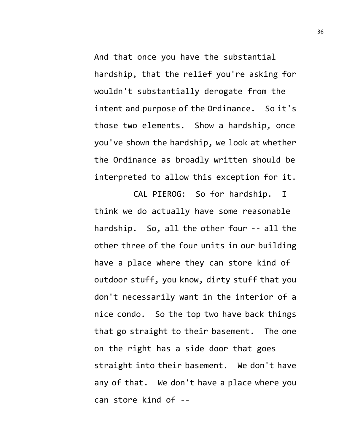And that once you have the substantial hardship, that the relief you're asking for wouldn't substantially derogate from the intent and purpose of the Ordinance. So it's those two elements. Show a hardship, once you've shown the hardship, we look at whether the Ordinance as broadly written should be interpreted to allow this exception for it.

CAL PIEROG: So for hardship. I think we do actually have some reasonable hardship. So, all the other four -- all the other three of the four units in our building have a place where they can store kind of outdoor stuff, you know, dirty stuff that you don't necessarily want in the interior of a nice condo. So the top two have back things that go straight to their basement. The one on the right has a side door that goes straight into their basement. We don't have any of that. We don't have a place where you can store kind of --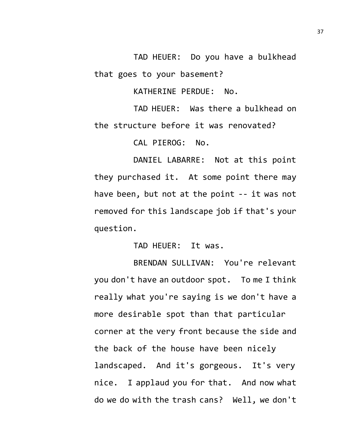TAD HEUER: Do you have a bulkhead that goes to your basement?

KATHERINE PERDUE: No.

TAD HEUER: Was there a bulkhead on the structure before it was renovated?

CAL PIEROG: No.

DANIEL LABARRE: Not at this point they purchased it. At some point there may have been, but not at the point -- it was not removed for this landscape job if that's your question.

TAD HEUER: It was.

BRENDAN SULLIVAN: You're relevant you don't have an outdoor spot. To me I think really what you're saying is we don't have a more desirable spot than that particular corner at the very front because the side and the back of the house have been nicely landscaped. And it's gorgeous. It's very nice. I applaud you for that. And now what do we do with the trash cans? Well, we don't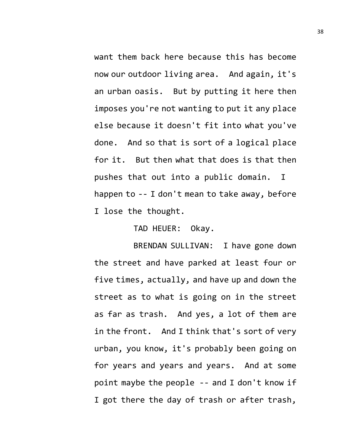want them back here because this has become now our outdoor living area. And again, it's an urban oasis. But by putting it here then imposes you're not wanting to put it any place else because it doesn't fit into what you've done. And so that is sort of a logical place for it. But then what that does is that then pushes that out into a public domain. I happen to -- I don't mean to take away, before I lose the thought.

TAD HEUER: Okay.

BRENDAN SULLIVAN: I have gone down the street and have parked at least four or five times, actually, and have up and down the street as to what is going on in the street as far as trash. And yes, a lot of them are in the front. And I think that's sort of very urban, you know, it's probably been going on for years and years and years. And at some point maybe the people -- and I don't know if I got there the day of trash or after trash,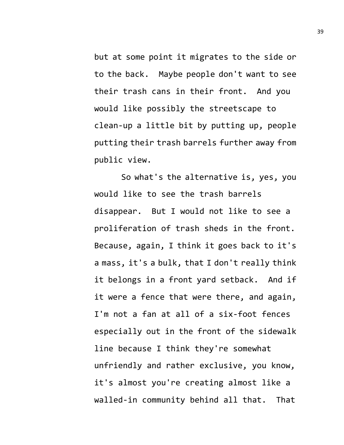but at some point it migrates to the side or to the back. Maybe people don't want to see their trash cans in their front. And you would like possibly the streetscape to clean-up a little bit by putting up, people putting their trash barrels further away from public view.

So what's the alternative is, yes, you would like to see the trash barrels disappear. But I would not like to see a proliferation of trash sheds in the front. Because, again, I think it goes back to it's a mass, it's a bulk, that I don't really think it belongs in a front yard setback. And if it were a fence that were there, and again, I'm not a fan at all of a six-foot fences especially out in the front of the sidewalk line because I think they're somewhat unfriendly and rather exclusive, you know, it's almost you're creating almost like a walled-in community behind all that. That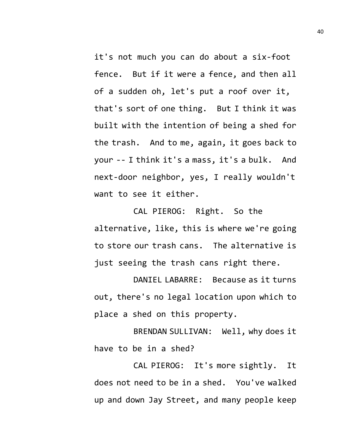it's not much you can do about a six-foot fence. But if it were a fence, and then all of a sudden oh, let's put a roof over it, that's sort of one thing. But I think it was built with the intention of being a shed for the trash. And to me, again, it goes back to your -- I think it's a mass, it's a bulk. And next-door neighbor, yes, I really wouldn't want to see it either.

CAL PIEROG: Right. So the alternative, like, this is where we're going to store our trash cans. The alternative is just seeing the trash cans right there.

DANIEL LABARRE: Because as it turns out, there's no legal location upon which to place a shed on this property.

BRENDAN SULLIVAN: Well, why does it have to be in a shed?

CAL PIEROG: It's more sightly. It does not need to be in a shed. You've walked up and down Jay Street, and many people keep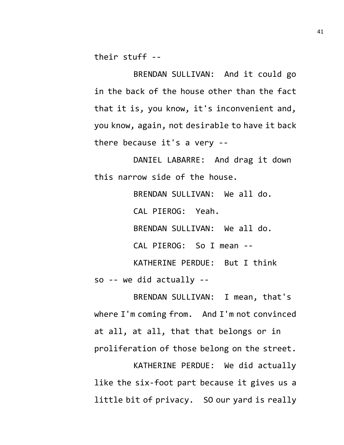their stuff --

BRENDAN SULLIVAN: And it could go in the back of the house other than the fact that it is, you know, it's inconvenient and, you know, again, not desirable to have it back there because it's a very --

DANIEL LABARRE: And drag it down this narrow side of the house.

> BRENDAN SULLIVAN: We all do. CAL PIEROG: Yeah. BRENDAN SULLIVAN: We all do. CAL PIEROG: So I mean -- KATHERINE PERDUE: But I think

so -- we did actually --

BRENDAN SULLIVAN: I mean, that's where I'm coming from. And I'm not convinced at all, at all, that that belongs or in proliferation of those belong on the street. KATHERINE PERDUE: We did actually

like the six-foot part because it gives us a little bit of privacy. SO our yard is really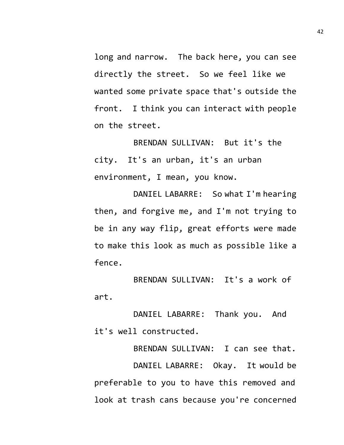long and narrow. The back here, you can see directly the street. So we feel like we wanted some private space that's outside the front. I think you can interact with people on the street.

BRENDAN SULLIVAN: But it's the city. It's an urban, it's an urban environment, I mean, you know.

DANIEL LABARRE: So what I'm hearing then, and forgive me, and I'm not trying to be in any way flip, great efforts were made to make this look as much as possible like a fence.

BRENDAN SULLIVAN: It's a work of art.

DANIEL LABARRE: Thank you. And it's well constructed.

BRENDAN SULLIVAN: I can see that. DANIEL LABARRE: Okay. It would be preferable to you to have this removed and look at trash cans because you're concerned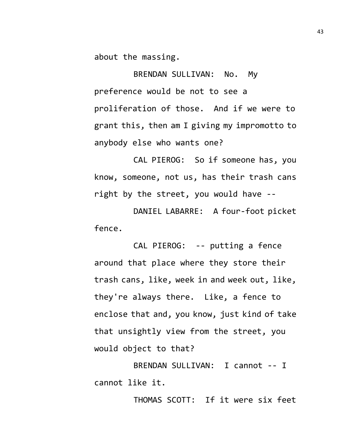about the massing.

BRENDAN SULLIVAN: No. My preference would be not to see a proliferation of those. And if we were to grant this, then am I giving my impromotto to anybody else who wants one?

CAL PIEROG: So if someone has, you know, someone, not us, has their trash cans right by the street, you would have --

DANIEL LABARRE: A four-foot picket fence.

CAL PIEROG: -- putting a fence around that place where they store their trash cans, like, week in and week out, like, they're always there. Like, a fence to enclose that and, you know, just kind of take that unsightly view from the street, you would object to that?

BRENDAN SULLIVAN: I cannot -- I cannot like it.

THOMAS SCOTT: If it were six feet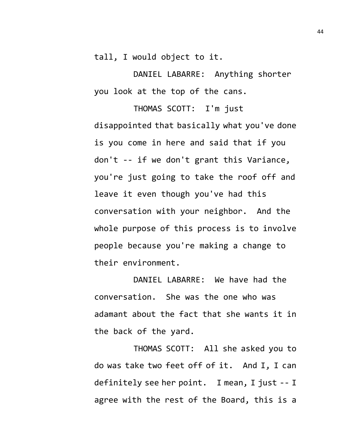tall, I would object to it.

DANIEL LABARRE: Anything shorter you look at the top of the cans.

THOMAS SCOTT: I'm just disappointed that basically what you've done is you come in here and said that if you don't -- if we don't grant this Variance, you're just going to take the roof off and leave it even though you've had this conversation with your neighbor. And the whole purpose of this process is to involve people because you're making a change to their environment.

DANIEL LABARRE: We have had the conversation. She was the one who was adamant about the fact that she wants it in the back of the yard.

THOMAS SCOTT: All she asked you to do was take two feet off of it. And I, I can definitely see her point. I mean, I just -- I agree with the rest of the Board, this is a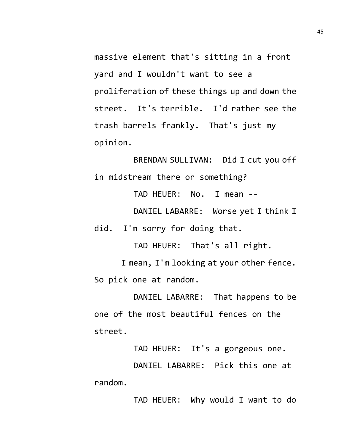massive element that's sitting in a front yard and I wouldn't want to see a proliferation of these things up and down the street. It's terrible. I'd rather see the trash barrels frankly. That's just my opinion.

BRENDAN SULLIVAN: Did I cut you off in midstream there or something?

TAD HEUER: No. I mean --

DANIEL LABARRE: Worse yet I think I did. I'm sorry for doing that.

TAD HEUER: That's all right.

I mean, I'm looking at your other fence. So pick one at random.

DANIEL LABARRE: That happens to be one of the most beautiful fences on the street.

TAD HEUER: It's a gorgeous one.

DANIEL LABARRE: Pick this one at random.

TAD HEUER: Why would I want to do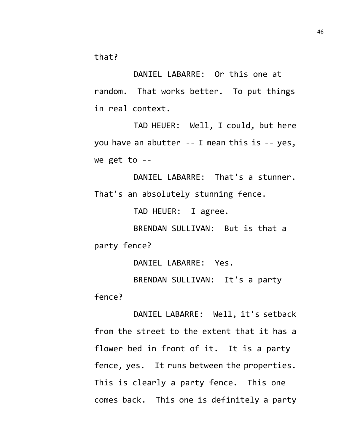that?

DANIEL LABARRE: Or this one at random. That works better. To put things in real context.

TAD HEUER: Well, I could, but here you have an abutter -- I mean this is -- yes, we get to --

DANIEL LABARRE: That's a stunner. That's an absolutely stunning fence.

TAD HEUER: I agree.

BRENDAN SULLIVAN: But is that a party fence?

DANIEL LABARRE: Yes.

BRENDAN SULLIVAN: It's a party fence?

DANIEL LABARRE: Well, it's setback from the street to the extent that it has a flower bed in front of it. It is a party fence, yes. It runs between the properties. This is clearly a party fence. This one comes back. This one is definitely a party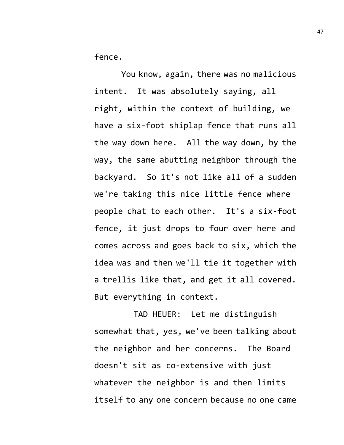fence.

You know, again, there was no malicious intent. It was absolutely saying, all right, within the context of building, we have a six-foot shiplap fence that runs all the way down here. All the way down, by the way, the same abutting neighbor through the backyard. So it's not like all of a sudden we're taking this nice little fence where people chat to each other. It's a six-foot fence, it just drops to four over here and comes across and goes back to six, which the idea was and then we'll tie it together with a trellis like that, and get it all covered. But everything in context.

TAD HEUER: Let me distinguish somewhat that, yes, we've been talking about the neighbor and her concerns. The Board doesn't sit as co-extensive with just whatever the neighbor is and then limits itself to any one concern because no one came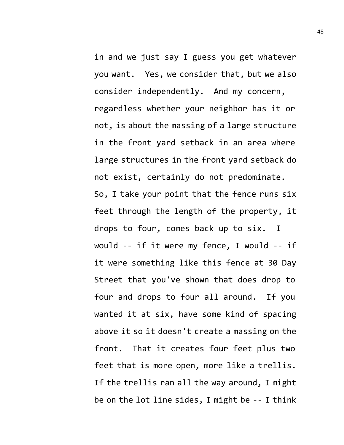in and we just say I guess you get whatever you want. Yes, we consider that, but we also consider independently. And my concern, regardless whether your neighbor has it or not, is about the massing of a large structure in the front yard setback in an area where large structures in the front yard setback do not exist, certainly do not predominate. So, I take your point that the fence runs six feet through the length of the property, it drops to four, comes back up to six. I would -- if it were my fence, I would -- if it were something like this fence at 30 Day Street that you've shown that does drop to four and drops to four all around. If you wanted it at six, have some kind of spacing above it so it doesn't create a massing on the front. That it creates four feet plus two feet that is more open, more like a trellis. If the trellis ran all the way around, I might be on the lot line sides, I might be -- I think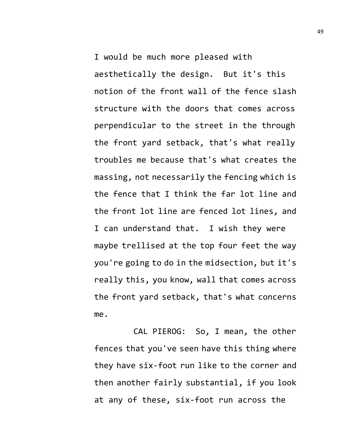I would be much more pleased with aesthetically the design. But it's this notion of the front wall of the fence slash structure with the doors that comes across perpendicular to the street in the through the front yard setback, that's what really troubles me because that's what creates the massing, not necessarily the fencing which is the fence that I think the far lot line and the front lot line are fenced lot lines, and I can understand that. I wish they were maybe trellised at the top four feet the way you're going to do in the midsection, but it's really this, you know, wall that comes across the front yard setback, that's what concerns me.

CAL PIEROG: So, I mean, the other fences that you've seen have this thing where they have six-foot run like to the corner and then another fairly substantial, if you look at any of these, six-foot run across the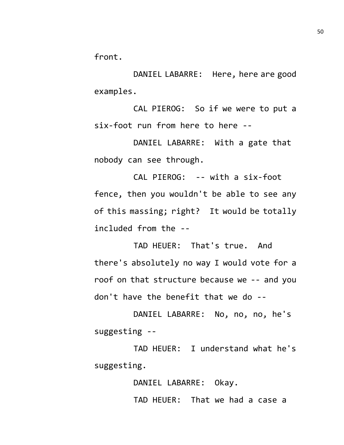front.

DANIEL LABARRE: Here, here are good examples.

CAL PIEROG: So if we were to put a six-foot run from here to here --

DANIEL LABARRE: With a gate that nobody can see through.

CAL PIEROG: -- with a six-foot fence, then you wouldn't be able to see any of this massing; right? It would be totally included from the --

TAD HEUER: That's true. And there's absolutely no way I would vote for a roof on that structure because we -- and you don't have the benefit that we do --

DANIEL LABARRE: No, no, no, he's suggesting --

TAD HEUER: I understand what he's suggesting.

DANIEL LABARRE: Okay.

TAD HEUER: That we had a case a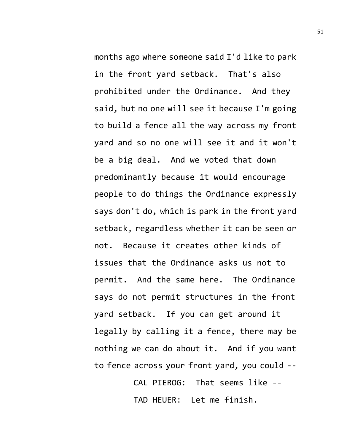months ago where someone said I'd like to park in the front yard setback. That's also prohibited under the Ordinance. And they said, but no one will see it because I'm going to build a fence all the way across my front yard and so no one will see it and it won't be a big deal. And we voted that down predominantly because it would encourage people to do things the Ordinance expressly says don't do, which is park in the front yard setback, regardless whether it can be seen or not. Because it creates other kinds of issues that the Ordinance asks us not to permit. And the same here. The Ordinance says do not permit structures in the front yard setback. If you can get around it legally by calling it a fence, there may be nothing we can do about it. And if you want to fence across your front yard, you could --

> CAL PIEROG: That seems like -- TAD HEUER: Let me finish.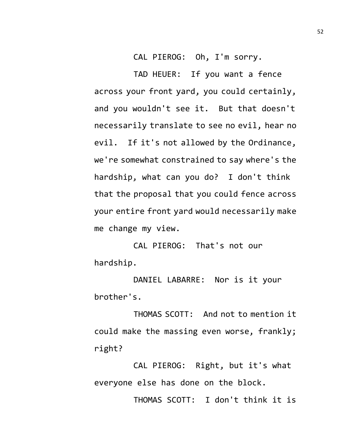CAL PIEROG: Oh, I'm sorry.

TAD HEUER: If you want a fence across your front yard, you could certainly, and you wouldn't see it. But that doesn't necessarily translate to see no evil, hear no evil. If it's not allowed by the Ordinance, we're somewhat constrained to say where's the hardship, what can you do? I don't think that the proposal that you could fence across your entire front yard would necessarily make me change my view.

CAL PIEROG: That's not our hardship.

DANIEL LABARRE: Nor is it your brother's.

THOMAS SCOTT: And not to mention it could make the massing even worse, frankly; right?

CAL PIEROG: Right, but it's what everyone else has done on the block.

THOMAS SCOTT: I don't think it is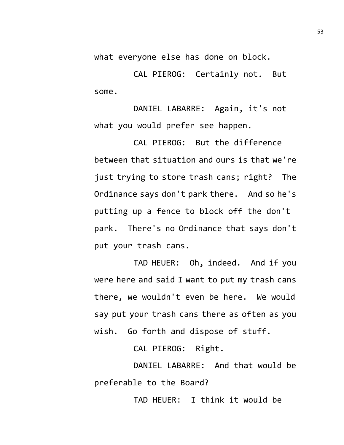what everyone else has done on block.

CAL PIEROG: Certainly not. But some.

DANIEL LABARRE: Again, it's not what you would prefer see happen.

CAL PIEROG: But the difference between that situation and ours is that we're just trying to store trash cans; right? The Ordinance says don't park there. And so he's putting up a fence to block off the don't park. There's no Ordinance that says don't put your trash cans.

TAD HEUER: Oh, indeed. And if you were here and said I want to put my trash cans there, we wouldn't even be here. We would say put your trash cans there as often as you wish. Go forth and dispose of stuff.

CAL PIEROG: Right.

DANIEL LABARRE: And that would be preferable to the Board?

TAD HEUER: I think it would be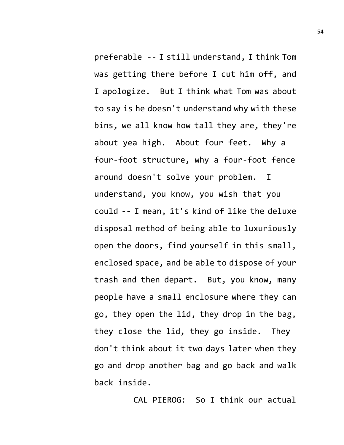preferable -- I still understand, I think Tom was getting there before I cut him off, and I apologize. But I think what Tom was about to say is he doesn't understand why with these bins, we all know how tall they are, they're about yea high. About four feet. Why a four-foot structure, why a four-foot fence around doesn't solve your problem. I understand, you know, you wish that you could -- I mean, it's kind of like the deluxe disposal method of being able to luxuriously open the doors, find yourself in this small, enclosed space, and be able to dispose of your trash and then depart. But, you know, many people have a small enclosure where they can go, they open the lid, they drop in the bag, they close the lid, they go inside. They don't think about it two days later when they go and drop another bag and go back and walk back inside.

CAL PIEROG: So I think our actual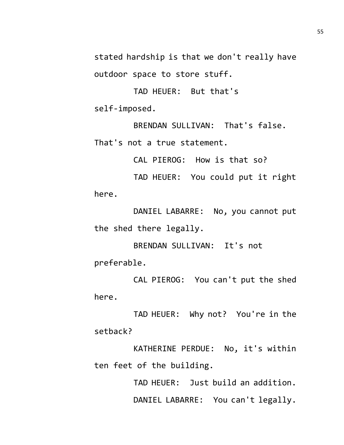stated hardship is that we don't really have outdoor space to store stuff.

TAD HEUER: But that's self-imposed.

BRENDAN SULLIVAN: That's false. That's not a true statement.

CAL PIEROG: How is that so?

TAD HEUER: You could put it right here.

DANIEL LABARRE: No, you cannot put the shed there legally.

BRENDAN SULLIVAN: It's not preferable.

CAL PIEROG: You can't put the shed here.

TAD HEUER: Why not? You're in the setback?

KATHERINE PERDUE: No, it's within ten feet of the building.

> TAD HEUER: Just build an addition. DANIEL LABARRE: You can't legally.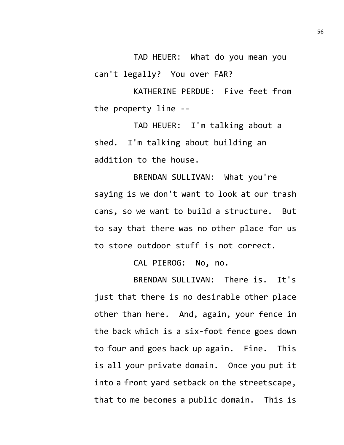TAD HEUER: What do you mean you can't legally? You over FAR?

KATHERINE PERDUE: Five feet from the property line --

TAD HEUER: I'm talking about a shed. I'm talking about building an addition to the house.

BRENDAN SULLIVAN: What you're saying is we don't want to look at our trash cans, so we want to build a structure. But to say that there was no other place for us to store outdoor stuff is not correct.

CAL PIEROG: No, no.

BRENDAN SULLIVAN: There is. It's just that there is no desirable other place other than here. And, again, your fence in the back which is a six-foot fence goes down to four and goes back up again. Fine. This is all your private domain. Once you put it into a front yard setback on the streetscape, that to me becomes a public domain. This is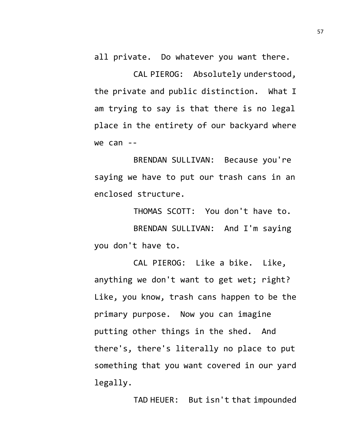all private. Do whatever you want there.

CAL PIEROG: Absolutely understood, the private and public distinction. What I am trying to say is that there is no legal place in the entirety of our backyard where  $we can --$ 

BRENDAN SULLIVAN: Because you're saying we have to put our trash cans in an enclosed structure.

THOMAS SCOTT: You don't have to. BRENDAN SULLIVAN: And I'm saying you don't have to.

CAL PIEROG: Like a bike. Like, anything we don't want to get wet; right? Like, you know, trash cans happen to be the primary purpose. Now you can imagine putting other things in the shed. And there's, there's literally no place to put something that you want covered in our yard legally.

TAD HEUER: But isn't that impounded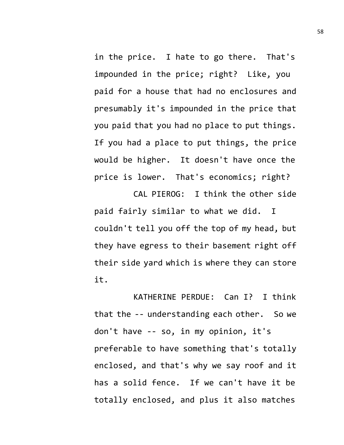in the price. I hate to go there. That's impounded in the price; right? Like, you paid for a house that had no enclosures and presumably it's impounded in the price that you paid that you had no place to put things. If you had a place to put things, the price would be higher. It doesn't have once the price is lower. That's economics; right?

CAL PIEROG: I think the other side paid fairly similar to what we did. I couldn't tell you off the top of my head, but they have egress to their basement right off their side yard which is where they can store it.

KATHERINE PERDUE: Can I? I think that the -- understanding each other. So we don't have -- so, in my opinion, it's preferable to have something that's totally enclosed, and that's why we say roof and it has a solid fence. If we can't have it be totally enclosed, and plus it also matches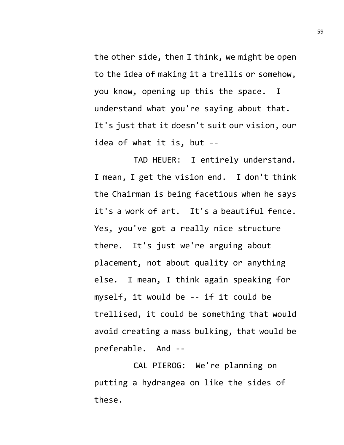the other side, then I think, we might be open to the idea of making it a trellis or somehow, you know, opening up this the space. I understand what you're saying about that. It's just that it doesn't suit our vision, our idea of what it is, but --

TAD HEUER: I entirely understand. I mean, I get the vision end. I don't think the Chairman is being facetious when he says it's a work of art. It's a beautiful fence. Yes, you've got a really nice structure there. It's just we're arguing about placement, not about quality or anything else. I mean, I think again speaking for myself, it would be -- if it could be trellised, it could be something that would avoid creating a mass bulking, that would be preferable. And --

CAL PIEROG: We're planning on putting a hydrangea on like the sides of these.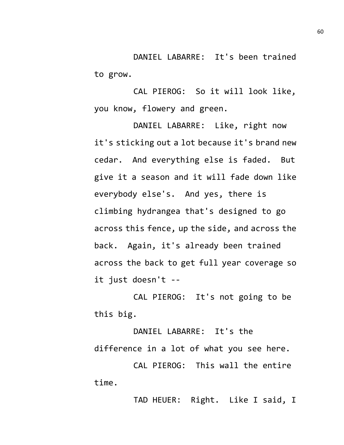DANIEL LABARRE: It's been trained to grow.

CAL PIEROG: So it will look like, you know, flowery and green.

DANIEL LABARRE: Like, right now it's sticking out a lot because it's brand new cedar. And everything else is faded. But give it a season and it will fade down like everybody else's. And yes, there is climbing hydrangea that's designed to go across this fence, up the side, and across the back. Again, it's already been trained across the back to get full year coverage so it just doesn't --

CAL PIEROG: It's not going to be this big.

DANIEL LABARRE: It's the difference in a lot of what you see here.

CAL PIEROG: This wall the entire time.

TAD HEUER: Right. Like I said, I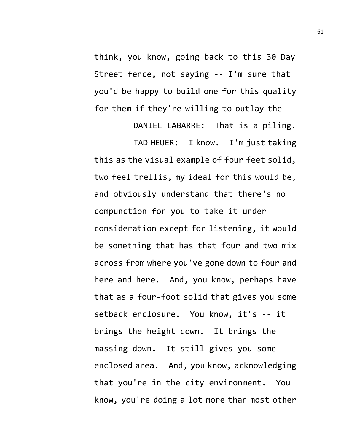think, you know, going back to this 30 Day Street fence, not saying -- I'm sure that you'd be happy to build one for this quality for them if they're willing to outlay the --

DANIEL LABARRE: That is a piling. TAD HEUER: I know. I'm just taking this as the visual example of four feet solid, two feel trellis, my ideal for this would be, and obviously understand that there's no compunction for you to take it under consideration except for listening, it would be something that has that four and two mix across from where you've gone down to four and here and here. And, you know, perhaps have that as a four-foot solid that gives you some setback enclosure. You know, it's -- it brings the height down. It brings the massing down. It still gives you some enclosed area. And, you know, acknowledging that you're in the city environment. You know, you're doing a lot more than most other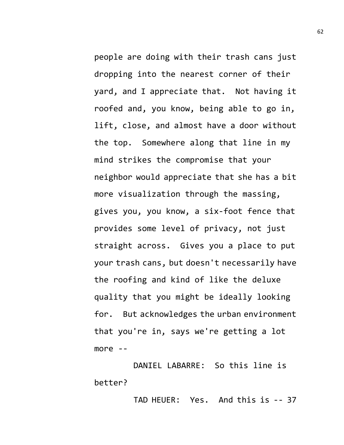people are doing with their trash cans just dropping into the nearest corner of their yard, and I appreciate that. Not having it roofed and, you know, being able to go in, lift, close, and almost have a door without the top. Somewhere along that line in my mind strikes the compromise that your neighbor would appreciate that she has a bit more visualization through the massing, gives you, you know, a six-foot fence that provides some level of privacy, not just straight across. Gives you a place to put your trash cans, but doesn't necessarily have the roofing and kind of like the deluxe quality that you might be ideally looking for. But acknowledges the urban environment that you're in, says we're getting a lot more --

DANIEL LABARRE: So this line is better?

TAD HEUER: Yes. And this is -- 37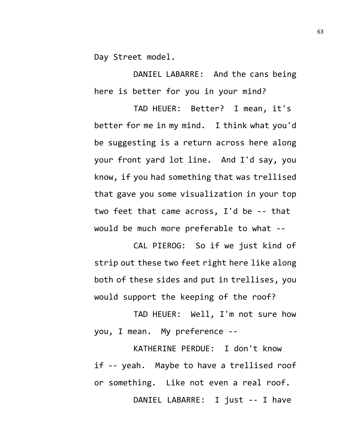Day Street model.

DANIEL LABARRE: And the cans being here is better for you in your mind?

TAD HEUER: Better? I mean, it's better for me in my mind. I think what you'd be suggesting is a return across here along your front yard lot line. And I'd say, you know, if you had something that was trellised that gave you some visualization in your top two feet that came across, I'd be -- that would be much more preferable to what --

CAL PIEROG: So if we just kind of strip out these two feet right here like along both of these sides and put in trellises, you would support the keeping of the roof?

TAD HEUER: Well, I'm not sure how you, I mean. My preference --

KATHERINE PERDUE: I don't know if -- yeah. Maybe to have a trellised roof or something. Like not even a real roof. DANIEL LABARRE: I just -- I have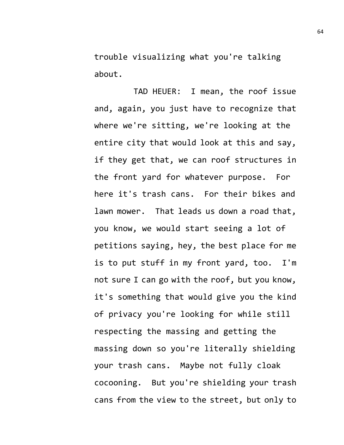trouble visualizing what you're talking about.

TAD HEUER: I mean, the roof issue and, again, you just have to recognize that where we're sitting, we're looking at the entire city that would look at this and say, if they get that, we can roof structures in the front yard for whatever purpose. For here it's trash cans. For their bikes and lawn mower. That leads us down a road that, you know, we would start seeing a lot of petitions saying, hey, the best place for me is to put stuff in my front yard, too. I'm not sure I can go with the roof, but you know, it's something that would give you the kind of privacy you're looking for while still respecting the massing and getting the massing down so you're literally shielding your trash cans. Maybe not fully cloak cocooning. But you're shielding your trash cans from the view to the street, but only to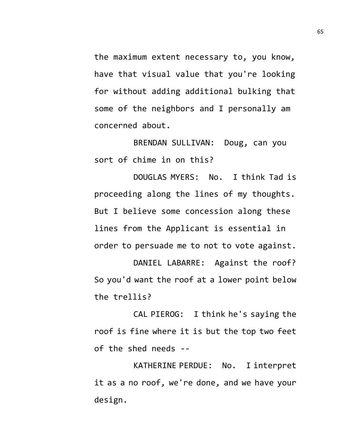the maximum extent necessary to, you know, have that visual value that you're looking for without adding additional bulking that some of the neighbors and I personally am concerned about.

BRENDAN SULLIVAN: Doug, can you sort of chime in on this?

DOUGLAS MYERS: No. I think Tad is proceeding along the lines of my thoughts. But I believe some concession along these lines from the Applicant is essential in order to persuade me to not to vote against.

DANIEL LABARRE: Against the roof? So you'd want the roof at a lower point below the trellis?

CAL PIEROG: I think he's saying the roof is fine where it is but the top two feet of the shed needs --

KATHERINE PERDUE: No. I interpret it as a no roof, we're done, and we have your design.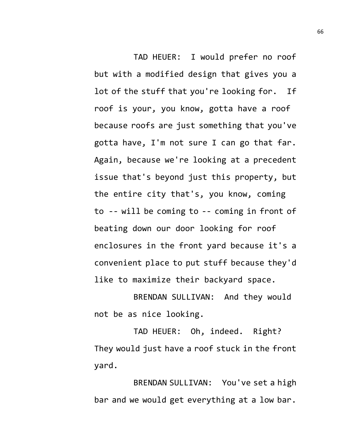TAD HEUER: I would prefer no roof but with a modified design that gives you a lot of the stuff that you're looking for. If roof is your, you know, gotta have a roof because roofs are just something that you've gotta have, I'm not sure I can go that far. Again, because we're looking at a precedent issue that's beyond just this property, but the entire city that's, you know, coming to -- will be coming to -- coming in front of beating down our door looking for roof enclosures in the front yard because it's a convenient place to put stuff because they'd like to maximize their backyard space.

BRENDAN SULLIVAN: And they would not be as nice looking.

TAD HEUER: Oh, indeed. Right? They would just have a roof stuck in the front yard.

BRENDAN SULLIVAN: You've set a high bar and we would get everything at a low bar.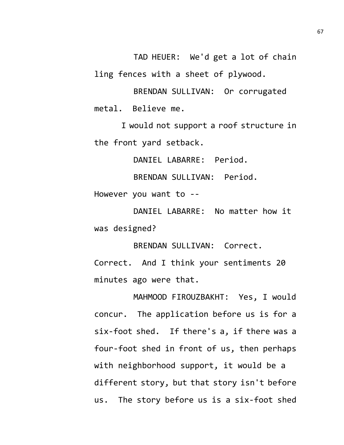TAD HEUER: We'd get a lot of chain ling fences with a sheet of plywood.

BRENDAN SULLIVAN: Or corrugated metal. Believe me.

I would not support a roof structure in the front yard setback.

DANIEL LABARRE: Period.

BRENDAN SULLIVAN: Period.

However you want to --

DANIEL LABARRE: No matter how it was designed?

BRENDAN SULLIVAN: Correct.

Correct. And I think your sentiments 20 minutes ago were that.

MAHMOOD FIROUZBAKHT: Yes, I would concur. The application before us is for a six-foot shed. If there's a, if there was a four-foot shed in front of us, then perhaps with neighborhood support, it would be a different story, but that story isn't before us. The story before us is a six-foot shed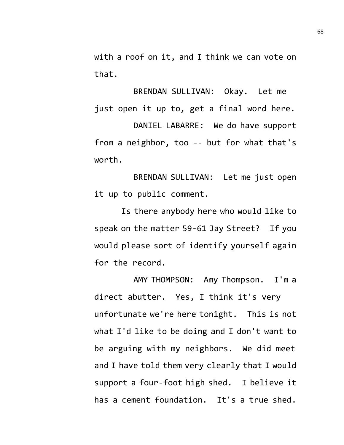with a roof on it, and I think we can vote on that.

BRENDAN SULLIVAN: Okay. Let me just open it up to, get a final word here.

DANIEL LABARRE: We do have support from a neighbor, too -- but for what that's worth.

BRENDAN SULLIVAN: Let me just open it up to public comment.

Is there anybody here who would like to speak on the matter 59-61 Jay Street? If you would please sort of identify yourself again for the record.

AMY THOMPSON: Amy Thompson. I'm a direct abutter. Yes, I think it's very unfortunate we're here tonight. This is not what I'd like to be doing and I don't want to be arguing with my neighbors. We did meet and I have told them very clearly that I would support a four-foot high shed. I believe it has a cement foundation. It's a true shed.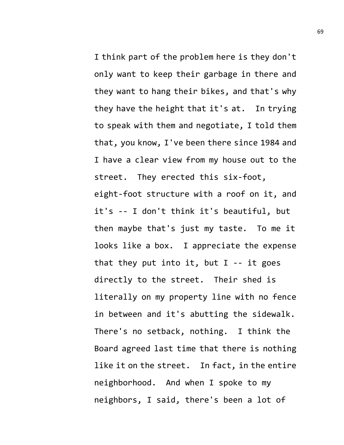I think part of the problem here is they don't only want to keep their garbage in there and they want to hang their bikes, and that's why they have the height that it's at. In trying to speak with them and negotiate, I told them that, you know, I've been there since 1984 and I have a clear view from my house out to the street. They erected this six-foot, eight-foot structure with a roof on it, and it's -- I don't think it's beautiful, but then maybe that's just my taste. To me it looks like a box. I appreciate the expense that they put into it, but  $I - -$  it goes directly to the street. Their shed is literally on my property line with no fence in between and it's abutting the sidewalk. There's no setback, nothing. I think the Board agreed last time that there is nothing like it on the street. In fact, in the entire neighborhood. And when I spoke to my neighbors, I said, there's been a lot of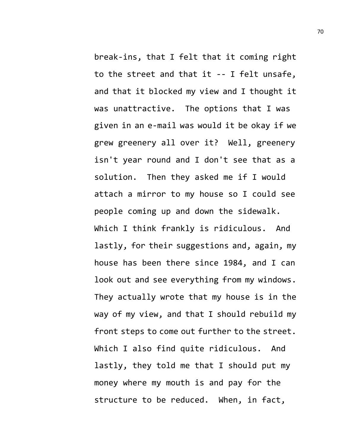break-ins, that I felt that it coming right to the street and that it -- I felt unsafe, and that it blocked my view and I thought it was unattractive. The options that I was given in an e-mail was would it be okay if we grew greenery all over it? Well, greenery isn't year round and I don't see that as a solution. Then they asked me if I would attach a mirror to my house so I could see people coming up and down the sidewalk. Which I think frankly is ridiculous. And lastly, for their suggestions and, again, my house has been there since 1984, and I can look out and see everything from my windows. They actually wrote that my house is in the way of my view, and that I should rebuild my front steps to come out further to the street. Which I also find quite ridiculous. And lastly, they told me that I should put my money where my mouth is and pay for the structure to be reduced. When, in fact,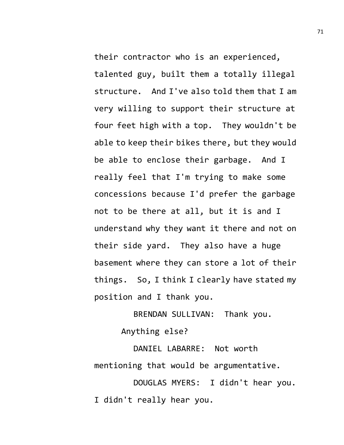their contractor who is an experienced, talented guy, built them a totally illegal structure. And I've also told them that I am very willing to support their structure at four feet high with a top. They wouldn't be able to keep their bikes there, but they would be able to enclose their garbage. And I really feel that I'm trying to make some concessions because I'd prefer the garbage not to be there at all, but it is and I understand why they want it there and not on their side yard. They also have a huge basement where they can store a lot of their things. So, I think I clearly have stated my position and I thank you.

BRENDAN SULLIVAN: Thank you.

Anything else?

DANIEL LABARRE: Not worth mentioning that would be argumentative.

DOUGLAS MYERS: I didn't hear you. I didn't really hear you.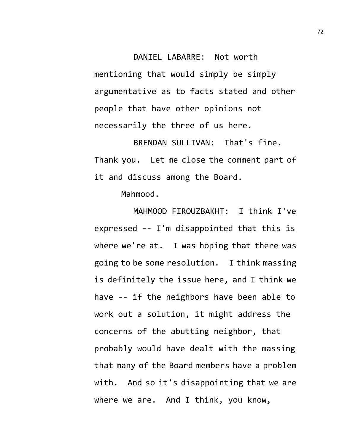DANIEL LABARRE: Not worth mentioning that would simply be simply argumentative as to facts stated and other people that have other opinions not necessarily the three of us here.

BRENDAN SULLIVAN: That's fine. Thank you. Let me close the comment part of it and discuss among the Board.

Mahmood.

MAHMOOD FIROUZBAKHT: I think I've expressed -- I'm disappointed that this is where we're at. I was hoping that there was going to be some resolution. I think massing is definitely the issue here, and I think we have -- if the neighbors have been able to work out a solution, it might address the concerns of the abutting neighbor, that probably would have dealt with the massing that many of the Board members have a problem with. And so it's disappointing that we are where we are. And I think, you know,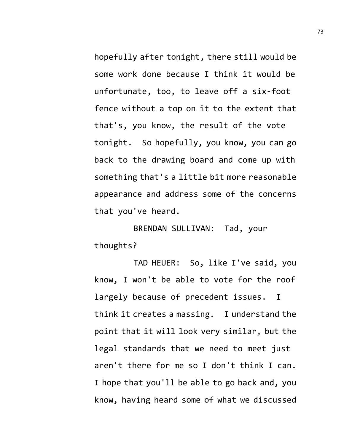hopefully after tonight, there still would be some work done because I think it would be unfortunate, too, to leave off a six-foot fence without a top on it to the extent that that's, you know, the result of the vote tonight. So hopefully, you know, you can go back to the drawing board and come up with something that's a little bit more reasonable appearance and address some of the concerns that you've heard.

BRENDAN SULLIVAN: Tad, your thoughts?

TAD HEUER: So, like I've said, you know, I won't be able to vote for the roof largely because of precedent issues. I think it creates a massing. I understand the point that it will look very similar, but the legal standards that we need to meet just aren't there for me so I don't think I can. I hope that you'll be able to go back and, you know, having heard some of what we discussed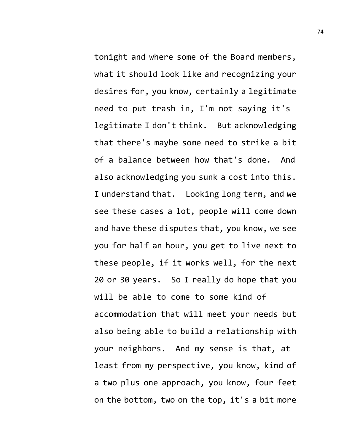tonight and where some of the Board members, what it should look like and recognizing your desires for, you know, certainly a legitimate need to put trash in, I'm not saying it's legitimate I don't think. But acknowledging that there's maybe some need to strike a bit of a balance between how that's done. And also acknowledging you sunk a cost into this. I understand that. Looking long term, and we see these cases a lot, people will come down and have these disputes that, you know, we see you for half an hour, you get to live next to these people, if it works well, for the next 20 or 30 years. So I really do hope that you will be able to come to some kind of accommodation that will meet your needs but also being able to build a relationship with your neighbors. And my sense is that, at least from my perspective, you know, kind of a two plus one approach, you know, four feet on the bottom, two on the top, it's a bit more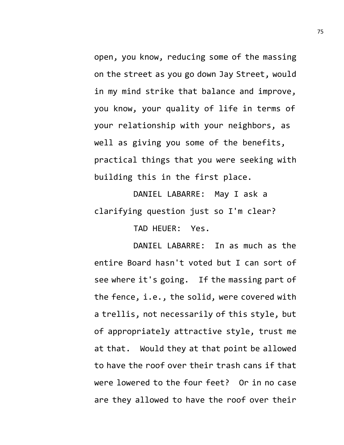open, you know, reducing some of the massing on the street as you go down Jay Street, would in my mind strike that balance and improve, you know, your quality of life in terms of your relationship with your neighbors, as well as giving you some of the benefits, practical things that you were seeking with building this in the first place.

DANIEL LABARRE: May I ask a clarifying question just so I'm clear?

TAD HEUER: Yes.

DANIEL LABARRE: In as much as the entire Board hasn't voted but I can sort of see where it's going. If the massing part of the fence, i.e., the solid, were covered with a trellis, not necessarily of this style, but of appropriately attractive style, trust me at that. Would they at that point be allowed to have the roof over their trash cans if that were lowered to the four feet? Or in no case are they allowed to have the roof over their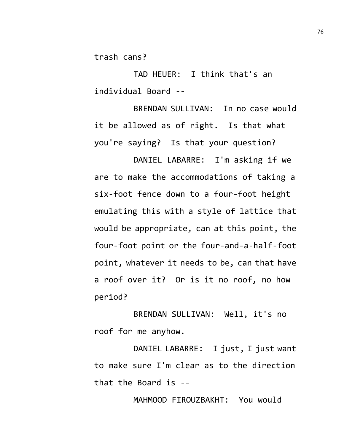trash cans?

TAD HEUER: I think that's an individual Board --

BRENDAN SULLIVAN: In no case would it be allowed as of right. Is that what you're saying? Is that your question?

DANIEL LABARRE: I'm asking if we are to make the accommodations of taking a six-foot fence down to a four-foot height emulating this with a style of lattice that would be appropriate, can at this point, the four-foot point or the four-and-a-half-foot point, whatever it needs to be, can that have a roof over it? Or is it no roof, no how period?

BRENDAN SULLIVAN: Well, it's no roof for me anyhow.

DANIEL LABARRE: I just, I just want to make sure I'm clear as to the direction that the Board is --

MAHMOOD FIROUZBAKHT: You would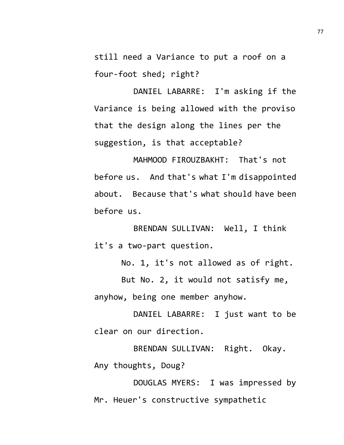still need a Variance to put a roof on a four-foot shed; right?

DANIEL LABARRE: I'm asking if the Variance is being allowed with the proviso that the design along the lines per the suggestion, is that acceptable?

MAHMOOD FIROUZBAKHT: That's not before us. And that's what I'm disappointed about. Because that's what should have been before us.

BRENDAN SULLIVAN: Well, I think it's a two-part question.

No. 1, it's not allowed as of right.

But No. 2, it would not satisfy me, anyhow, being one member anyhow.

DANIEL LABARRE: I just want to be clear on our direction.

BRENDAN SULLIVAN: Right. Okay. Any thoughts, Doug?

DOUGLAS MYERS: I was impressed by Mr. Heuer's constructive sympathetic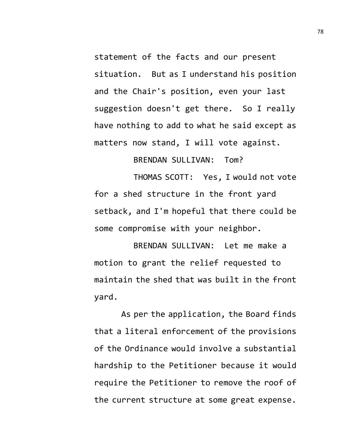statement of the facts and our present situation. But as I understand his position and the Chair's position, even your last suggestion doesn't get there. So I really have nothing to add to what he said except as matters now stand, I will vote against.

BRENDAN SULLIVAN: Tom?

THOMAS SCOTT: Yes, I would not vote for a shed structure in the front yard setback, and I'm hopeful that there could be some compromise with your neighbor.

BRENDAN SULLIVAN: Let me make a motion to grant the relief requested to maintain the shed that was built in the front yard.

As per the application, the Board finds that a literal enforcement of the provisions of the Ordinance would involve a substantial hardship to the Petitioner because it would require the Petitioner to remove the roof of the current structure at some great expense.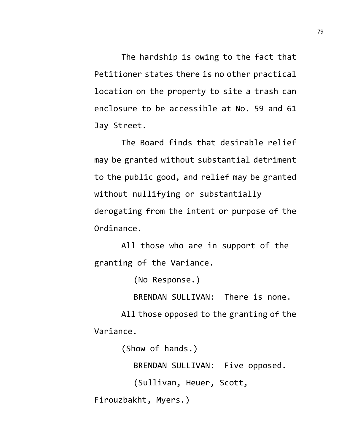The hardship is owing to the fact that Petitioner states there is no other practical location on the property to site a trash can enclosure to be accessible at No. 59 and 61 Jay Street.

The Board finds that desirable relief may be granted without substantial detriment to the public good, and relief may be granted without nullifying or substantially derogating from the intent or purpose of the Ordinance.

All those who are in support of the granting of the Variance.

(No Response.)

BRENDAN SULLIVAN: There is none.

All those opposed to the granting of the Variance.

(Show of hands.)

BRENDAN SULLIVAN: Five opposed.

(Sullivan, Heuer, Scott,

Firouzbakht, Myers.)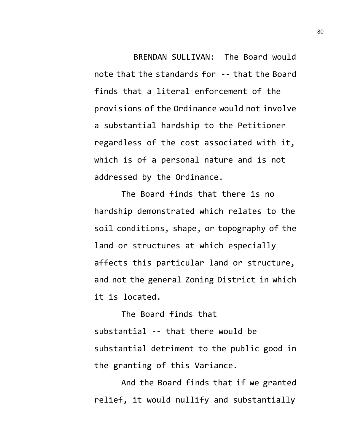BRENDAN SULLIVAN: The Board would note that the standards for -- that the Board finds that a literal enforcement of the provisions of the Ordinance would not involve a substantial hardship to the Petitioner regardless of the cost associated with it, which is of a personal nature and is not addressed by the Ordinance.

The Board finds that there is no hardship demonstrated which relates to the soil conditions, shape, or topography of the land or structures at which especially affects this particular land or structure, and not the general Zoning District in which it is located.

The Board finds that substantial -- that there would be substantial detriment to the public good in the granting of this Variance.

And the Board finds that if we granted relief, it would nullify and substantially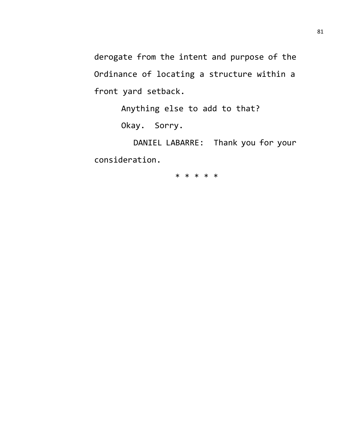derogate from the intent and purpose of the Ordinance of locating a structure within a front yard setback.

Anything else to add to that?

Okay. Sorry.

DANIEL LABARRE: Thank you for your consideration.

\* \* \* \* \*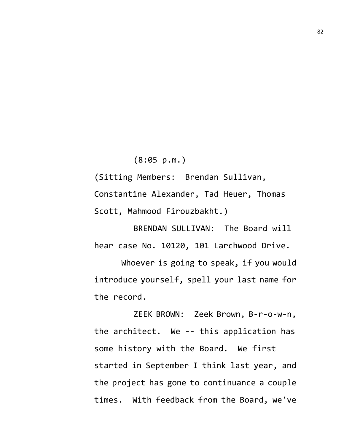(8:05 p.m.)

(Sitting Members: Brendan Sullivan, Constantine Alexander, Tad Heuer, Thomas Scott, Mahmood Firouzbakht.)

BRENDAN SULLIVAN: The Board will hear case No. 10120, 101 Larchwood Drive.

Whoever is going to speak, if you would introduce yourself, spell your last name for the record.

ZEEK BROWN: Zeek Brown, B-r-o-w-n, the architect. We -- this application has some history with the Board. We first started in September I think last year, and the project has gone to continuance a couple times. With feedback from the Board, we've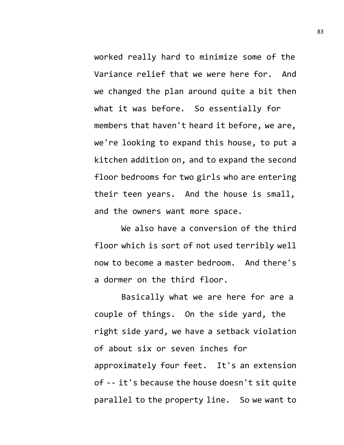worked really hard to minimize some of the Variance relief that we were here for. And we changed the plan around quite a bit then what it was before. So essentially for members that haven't heard it before, we are, we're looking to expand this house, to put a kitchen addition on, and to expand the second floor bedrooms for two girls who are entering their teen years. And the house is small, and the owners want more space.

We also have a conversion of the third floor which is sort of not used terribly well now to become a master bedroom. And there's a dormer on the third floor.

Basically what we are here for are a couple of things. On the side yard, the right side yard, we have a setback violation of about six or seven inches for approximately four feet. It's an extension of -- it's because the house doesn't sit quite parallel to the property line. So we want to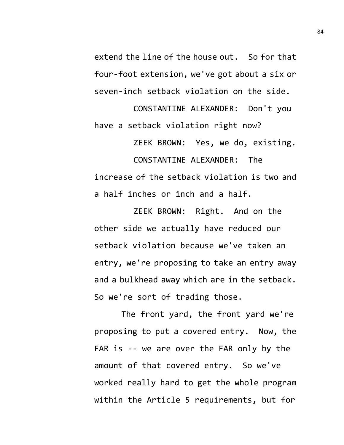extend the line of the house out. So for that four-foot extension, we've got about a six or seven-inch setback violation on the side.

CONSTANTINE ALEXANDER: Don't you have a setback violation right now? ZEEK BROWN: Yes, we do, existing.

CONSTANTINE ALEXANDER: The increase of the setback violation is two and a half inches or inch and a half.

ZEEK BROWN: Right. And on the other side we actually have reduced our setback violation because we've taken an entry, we're proposing to take an entry away and a bulkhead away which are in the setback. So we're sort of trading those.

The front yard, the front yard we're proposing to put a covered entry. Now, the FAR is -- we are over the FAR only by the amount of that covered entry. So we've worked really hard to get the whole program within the Article 5 requirements, but for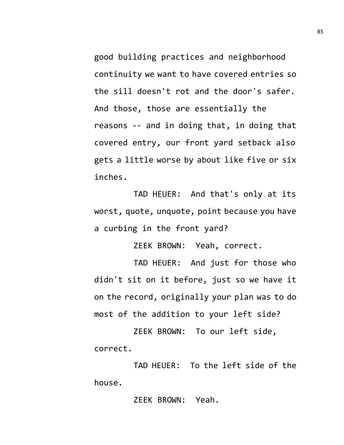good building practices and neighborhood continuity we want to have covered entries so the sill doesn't rot and the door's safer. And those, those are essentially the reasons -- and in doing that, in doing that covered entry, our front yard setback also gets a little worse by about like five or six inches.

TAD HEUER: And that's only at its worst, quote, unquote, point because you have a curbing in the front yard?

ZEEK BROWN: Yeah, correct.

TAD HEUER: And just for those who didn't sit on it before, just so we have it on the record, originally your plan was to do most of the addition to your left side?

ZEEK BROWN: To our left side, correct.

TAD HEUER: To the left side of the house.

ZEEK BROWN: Yeah.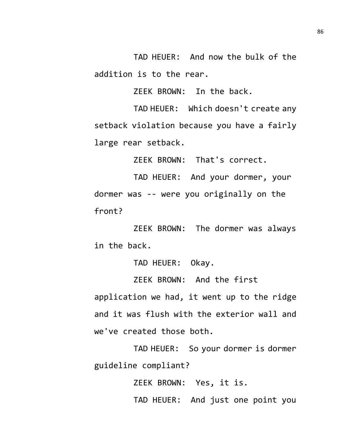TAD HEUER: And now the bulk of the addition is to the rear.

ZEEK BROWN: In the back.

TAD HEUER: Which doesn't create any setback violation because you have a fairly large rear setback.

ZEEK BROWN: That's correct.

TAD HEUER: And your dormer, your dormer was -- were you originally on the front?

ZEEK BROWN: The dormer was always in the back.

TAD HEUER: Okay.

ZEEK BROWN: And the first application we had, it went up to the ridge

and it was flush with the exterior wall and we've created those both.

TAD HEUER: So your dormer is dormer guideline compliant?

ZEEK BROWN: Yes, it is.

TAD HEUER: And just one point you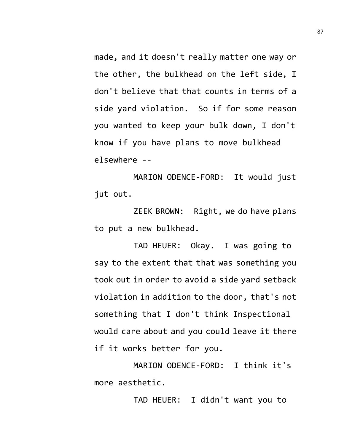made, and it doesn't really matter one way or the other, the bulkhead on the left side, I don't believe that that counts in terms of a side yard violation. So if for some reason you wanted to keep your bulk down, I don't know if you have plans to move bulkhead elsewhere --

MARION ODENCE-FORD: It would just jut out.

ZEEK BROWN: Right, we do have plans to put a new bulkhead.

TAD HEUER: Okay. I was going to say to the extent that that was something you took out in order to avoid a side yard setback violation in addition to the door, that's not something that I don't think Inspectional would care about and you could leave it there if it works better for you.

MARION ODENCE-FORD: I think it's more aesthetic.

TAD HEUER: I didn't want you to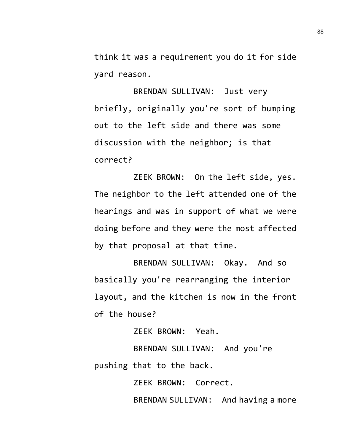think it was a requirement you do it for side yard reason.

BRENDAN SULLIVAN: Just very briefly, originally you're sort of bumping out to the left side and there was some discussion with the neighbor; is that correct?

ZEEK BROWN: On the left side, yes. The neighbor to the left attended one of the hearings and was in support of what we were doing before and they were the most affected by that proposal at that time.

BRENDAN SULLIVAN: Okay. And so basically you're rearranging the interior layout, and the kitchen is now in the front of the house?

ZEEK BROWN: Yeah.

BRENDAN SULLIVAN: And you're pushing that to the back.

ZEEK BROWN: Correct.

BRENDAN SULLIVAN: And having a more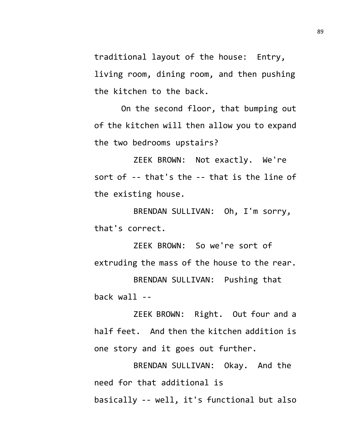traditional layout of the house: Entry, living room, dining room, and then pushing the kitchen to the back.

On the second floor, that bumping out of the kitchen will then allow you to expand the two bedrooms upstairs?

ZEEK BROWN: Not exactly. We're sort of -- that's the -- that is the line of the existing house.

BRENDAN SULLIVAN: Oh, I'm sorry, that's correct.

ZEEK BROWN: So we're sort of extruding the mass of the house to the rear.

BRENDAN SULLIVAN: Pushing that back wall --

ZEEK BROWN: Right. Out four and a half feet. And then the kitchen addition is one story and it goes out further.

BRENDAN SULLIVAN: Okay. And the need for that additional is basically -- well, it's functional but also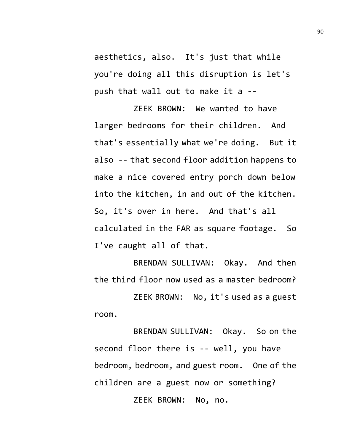aesthetics, also. It's just that while you're doing all this disruption is let's push that wall out to make it a --

ZEEK BROWN: We wanted to have larger bedrooms for their children. And that's essentially what we're doing. But it also -- that second floor addition happens to make a nice covered entry porch down below into the kitchen, in and out of the kitchen. So, it's over in here. And that's all calculated in the FAR as square footage. So I've caught all of that.

BRENDAN SULLIVAN: Okay. And then the third floor now used as a master bedroom? ZEEK BROWN: No, it's used as a guest room.

BRENDAN SULLIVAN: Okay. So on the second floor there is -- well, you have bedroom, bedroom, and guest room. One of the children are a guest now or something? ZEEK BROWN: No, no.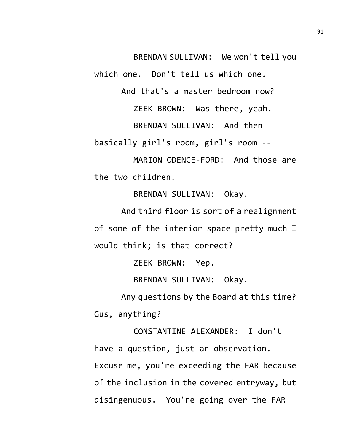BRENDAN SULLIVAN: We won't tell you

which one. Don't tell us which one.

And that's a master bedroom now?

ZEEK BROWN: Was there, yeah.

BRENDAN SULLIVAN: And then

basically girl's room, girl's room --

MARION ODENCE-FORD: And those are the two children.

BRENDAN SULLIVAN: Okay.

And third floor is sort of a realignment of some of the interior space pretty much I would think; is that correct?

ZEEK BROWN: Yep.

BRENDAN SULLIVAN: Okay.

Any questions by the Board at this time? Gus, anything?

CONSTANTINE ALEXANDER: I don't have a question, just an observation. Excuse me, you're exceeding the FAR because of the inclusion in the covered entryway, but disingenuous. You're going over the FAR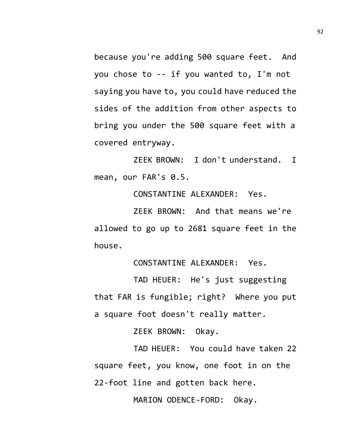because you're adding 500 square feet. And you chose to -- if you wanted to, I'm not saying you have to, you could have reduced the sides of the addition from other aspects to bring you under the 500 square feet with a covered entryway.

ZEEK BROWN: I don't understand. I mean, our FAR's 0.5.

CONSTANTINE ALEXANDER: Yes.

ZEEK BROWN: And that means we're allowed to go up to 2681 square feet in the house.

CONSTANTINE ALEXANDER: Yes.

TAD HEUER: He's just suggesting that FAR is fungible; right? Where you put a square foot doesn't really matter.

ZEEK BROWN: Okay.

TAD HEUER: You could have taken 22 square feet, you know, one foot in on the 22-foot line and gotten back here.

MARION ODENCE-FORD: Okay.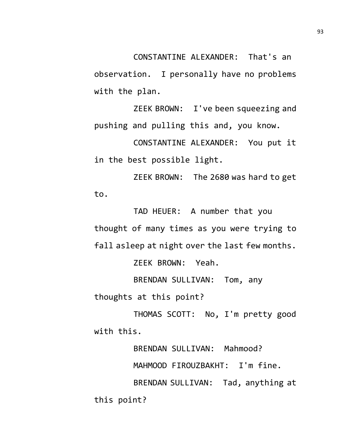CONSTANTINE ALEXANDER: That's an observation. I personally have no problems with the plan.

ZEEK BROWN: I've been squeezing and pushing and pulling this and, you know.

CONSTANTINE ALEXANDER: You put it in the best possible light.

ZEEK BROWN: The 2680 was hard to get to.

TAD HEUER: A number that you thought of many times as you were trying to fall asleep at night over the last few months.

ZEEK BROWN: Yeah.

BRENDAN SULLIVAN: Tom, any thoughts at this point?

THOMAS SCOTT: No, I'm pretty good with this.

BRENDAN SULLIVAN: Mahmood? MAHMOOD FIROUZBAKHT: I'm fine. BRENDAN SULLIVAN: Tad, anything at this point?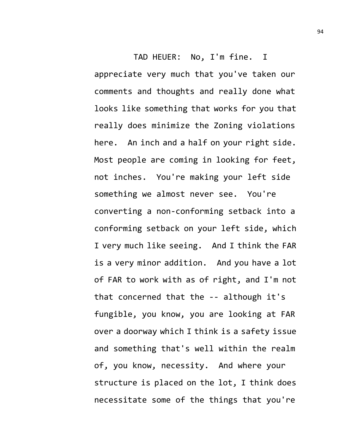TAD HEUER: No, I'm fine. I appreciate very much that you've taken our comments and thoughts and really done what looks like something that works for you that really does minimize the Zoning violations here. An inch and a half on your right side. Most people are coming in looking for feet, not inches. You're making your left side something we almost never see. You're converting a non-conforming setback into a conforming setback on your left side, which I very much like seeing. And I think the FAR is a very minor addition. And you have a lot of FAR to work with as of right, and I'm not that concerned that the -- although it's fungible, you know, you are looking at FAR over a doorway which I think is a safety issue and something that's well within the realm of, you know, necessity. And where your structure is placed on the lot, I think does necessitate some of the things that you're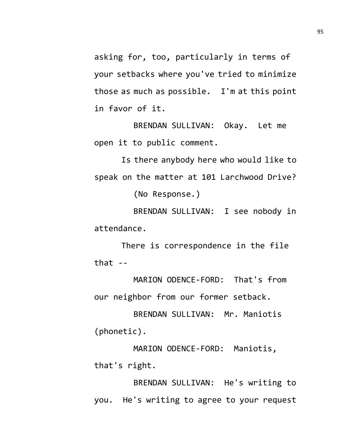asking for, too, particularly in terms of your setbacks where you've tried to minimize those as much as possible. I'm at this point in favor of it.

BRENDAN SULLIVAN: Okay. Let me open it to public comment.

Is there anybody here who would like to speak on the matter at 101 Larchwood Drive? (No Response.)

BRENDAN SULLIVAN: I see nobody in attendance.

There is correspondence in the file that  $-$ 

MARION ODENCE-FORD: That's from our neighbor from our former setback.

BRENDAN SULLIVAN: Mr. Maniotis (phonetic).

MARION ODENCE-FORD: Maniotis, that's right.

BRENDAN SULLIVAN: He's writing to you. He's writing to agree to your request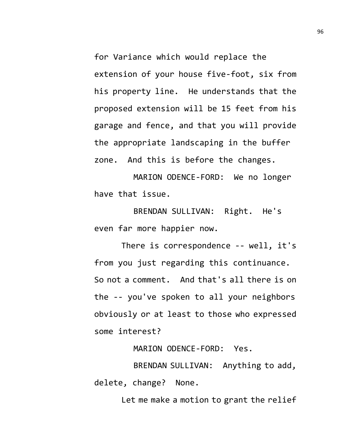for Variance which would replace the extension of your house five-foot, six from his property line. He understands that the proposed extension will be 15 feet from his garage and fence, and that you will provide the appropriate landscaping in the buffer zone. And this is before the changes.

MARION ODENCE-FORD: We no longer have that issue.

BRENDAN SULLIVAN: Right. He's even far more happier now.

There is correspondence -- well, it's from you just regarding this continuance. So not a comment. And that's all there is on the -- you've spoken to all your neighbors obviously or at least to those who expressed some interest?

MARION ODENCE-FORD: Yes.

BRENDAN SULLIVAN: Anything to add, delete, change? None.

Let me make a motion to grant the relief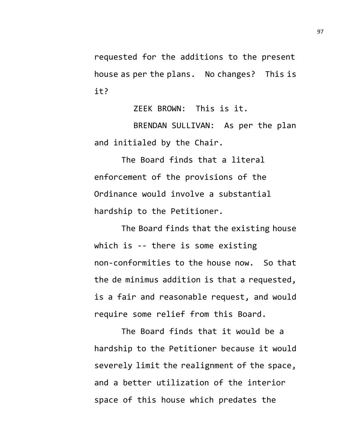requested for the additions to the present house as per the plans. No changes? This is it?

ZEEK BROWN: This is it.

BRENDAN SULLIVAN: As per the plan and initialed by the Chair.

The Board finds that a literal enforcement of the provisions of the Ordinance would involve a substantial hardship to the Petitioner.

The Board finds that the existing house which is -- there is some existing non-conformities to the house now. So that the de minimus addition is that a requested, is a fair and reasonable request, and would require some relief from this Board.

The Board finds that it would be a hardship to the Petitioner because it would severely limit the realignment of the space, and a better utilization of the interior space of this house which predates the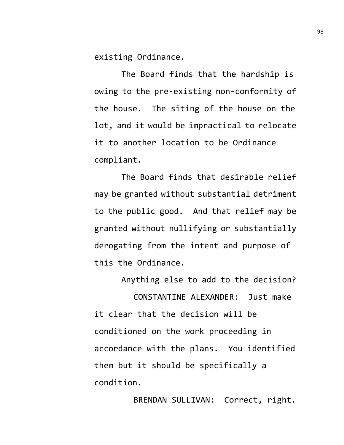existing Ordinance.

The Board finds that the hardship is owing to the pre-existing non-conformity of the house. The siting of the house on the lot, and it would be impractical to relocate it to another location to be Ordinance compliant.

The Board finds that desirable relief may be granted without substantial detriment to the public good. And that relief may be granted without nullifying or substantially derogating from the intent and purpose of this the Ordinance.

Anything else to add to the decision? CONSTANTINE ALEXANDER: Just make it clear that the decision will be conditioned on the work proceeding in accordance with the plans. You identified them but it should be specifically a condition.

BRENDAN SULLIVAN: Correct, right.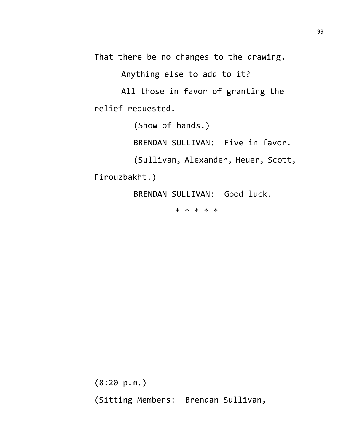That there be no changes to the drawing.

Anything else to add to it?

All those in favor of granting the relief requested.

(Show of hands.)

BRENDAN SULLIVAN: Five in favor.

(Sullivan, Alexander, Heuer, Scott,

Firouzbakht.)

BRENDAN SULLIVAN: Good luck.

\* \* \* \* \*

(8:20 p.m.) (Sitting Members: Brendan Sullivan,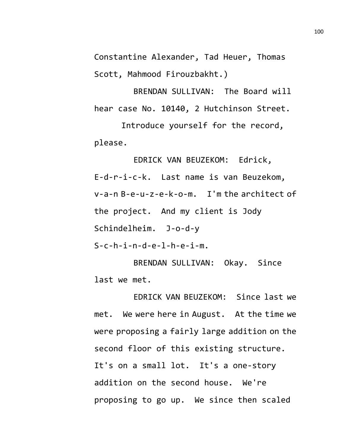Constantine Alexander, Tad Heuer, Thomas Scott, Mahmood Firouzbakht.)

BRENDAN SULLIVAN: The Board will hear case No. 10140, 2 Hutchinson Street.

Introduce yourself for the record, please.

EDRICK VAN BEUZEKOM: Edrick, E-d-r-i-c-k. Last name is van Beuzekom, v-a-n B-e-u-z-e-k-o-m. I'm the architect of the project. And my client is Jody Schindelheim. J-o-d-y

S-c-h-i-n-d-e-l-h-e-i-m.

BRENDAN SULLIVAN: Okay. Since last we met.

EDRICK VAN BEUZEKOM: Since last we met. We were here in August. At the time we were proposing a fairly large addition on the second floor of this existing structure. It's on a small lot. It's a one-story addition on the second house. We're proposing to go up. We since then scaled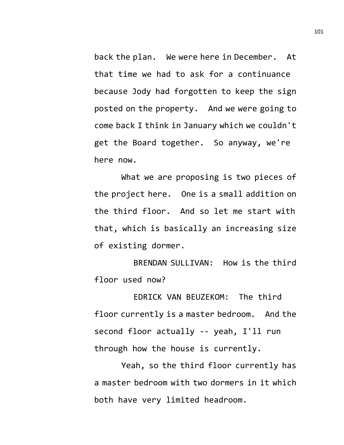back the plan. We were here in December. At that time we had to ask for a continuance because Jody had forgotten to keep the sign posted on the property. And we were going to come back I think in January which we couldn't get the Board together. So anyway, we're here now.

What we are proposing is two pieces of the project here. One is a small addition on the third floor. And so let me start with that, which is basically an increasing size of existing dormer.

BRENDAN SULLIVAN: How is the third floor used now?

EDRICK VAN BEUZEKOM: The third floor currently is a master bedroom. And the second floor actually -- yeah, I'll run through how the house is currently.

Yeah, so the third floor currently has a master bedroom with two dormers in it which both have very limited headroom.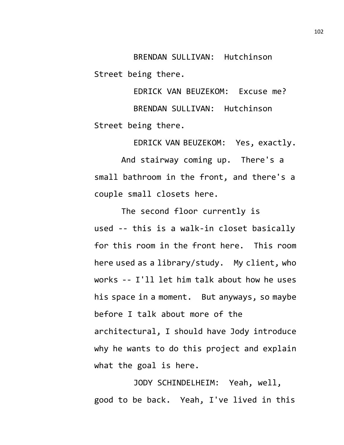BRENDAN SULLIVAN: Hutchinson Street being there.

EDRICK VAN BEUZEKOM: Excuse me? BRENDAN SULLIVAN: Hutchinson Street being there.

EDRICK VAN BEUZEKOM: Yes, exactly.

And stairway coming up. There's a small bathroom in the front, and there's a couple small closets here.

The second floor currently is used -- this is a walk-in closet basically for this room in the front here. This room here used as a library/study. My client, who works -- I'll let him talk about how he uses his space in a moment. But anyways, so maybe before I talk about more of the architectural, I should have Jody introduce why he wants to do this project and explain what the goal is here.

JODY SCHINDELHEIM: Yeah, well, good to be back. Yeah, I've lived in this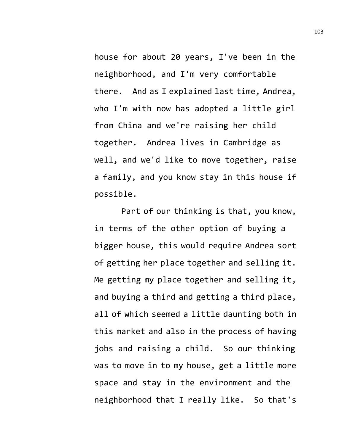house for about 20 years, I've been in the neighborhood, and I'm very comfortable there. And as I explained last time, Andrea, who I'm with now has adopted a little girl from China and we're raising her child together. Andrea lives in Cambridge as well, and we'd like to move together, raise a family, and you know stay in this house if possible.

Part of our thinking is that, you know, in terms of the other option of buying a bigger house, this would require Andrea sort of getting her place together and selling it. Me getting my place together and selling it, and buying a third and getting a third place, all of which seemed a little daunting both in this market and also in the process of having jobs and raising a child. So our thinking was to move in to my house, get a little more space and stay in the environment and the neighborhood that I really like. So that's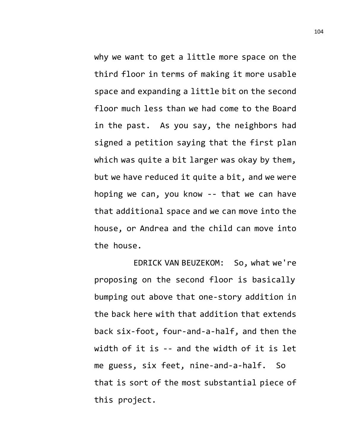why we want to get a little more space on the third floor in terms of making it more usable space and expanding a little bit on the second floor much less than we had come to the Board in the past. As you say, the neighbors had signed a petition saying that the first plan which was quite a bit larger was okay by them, but we have reduced it quite a bit, and we were hoping we can, you know -- that we can have that additional space and we can move into the house, or Andrea and the child can move into the house.

EDRICK VAN BEUZEKOM: So, what we're proposing on the second floor is basically bumping out above that one-story addition in the back here with that addition that extends back six-foot, four-and-a-half, and then the width of it is -- and the width of it is let me guess, six feet, nine-and-a-half. So that is sort of the most substantial piece of this project.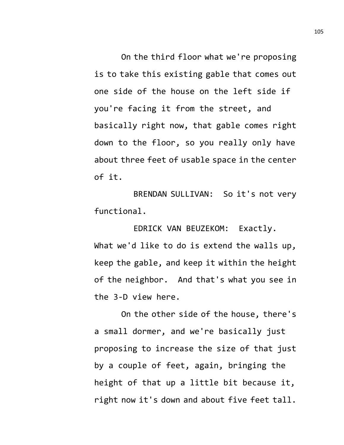On the third floor what we're proposing is to take this existing gable that comes out one side of the house on the left side if you're facing it from the street, and basically right now, that gable comes right down to the floor, so you really only have about three feet of usable space in the center of it.

BRENDAN SULLIVAN: So it's not very functional.

EDRICK VAN BEUZEKOM: Exactly. What we'd like to do is extend the walls up, keep the gable, and keep it within the height of the neighbor. And that's what you see in the 3-D view here.

On the other side of the house, there's a small dormer, and we're basically just proposing to increase the size of that just by a couple of feet, again, bringing the height of that up a little bit because it, right now it's down and about five feet tall.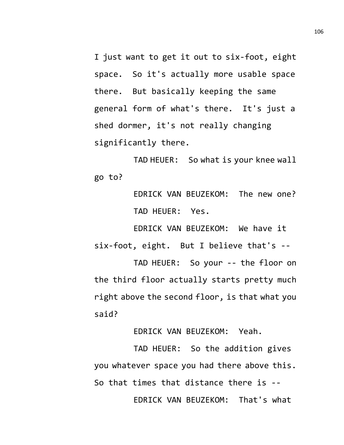I just want to get it out to six-foot, eight space. So it's actually more usable space there. But basically keeping the same general form of what's there. It's just a shed dormer, it's not really changing significantly there.

TAD HEUER: So what is your knee wall go to?

> EDRICK VAN BEUZEKOM: The new one? TAD HEUER: Yes.

EDRICK VAN BEUZEKOM: We have it six-foot, eight. But I believe that's --

TAD HEUER: So your -- the floor on the third floor actually starts pretty much right above the second floor, is that what you said?

EDRICK VAN BEUZEKOM: Yeah.

TAD HEUER: So the addition gives you whatever space you had there above this. So that times that distance there is -- EDRICK VAN BEUZEKOM: That's what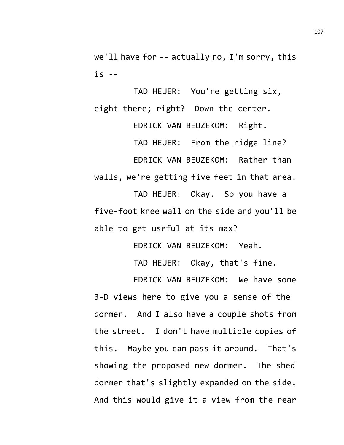we'll have for -- actually no, I'm sorry, this is --

TAD HEUER: You're getting six, eight there; right? Down the center.

EDRICK VAN BEUZEKOM: Right. TAD HEUER: From the ridge line? EDRICK VAN BEUZEKOM: Rather than walls, we're getting five feet in that area.

TAD HEUER: Okay. So you have a five-foot knee wall on the side and you'll be able to get useful at its max?

EDRICK VAN BEUZEKOM: Yeah.

TAD HEUER: Okay, that's fine.

EDRICK VAN BEUZEKOM: We have some 3-D views here to give you a sense of the dormer. And I also have a couple shots from the street. I don't have multiple copies of this. Maybe you can pass it around. That's showing the proposed new dormer. The shed dormer that's slightly expanded on the side. And this would give it a view from the rear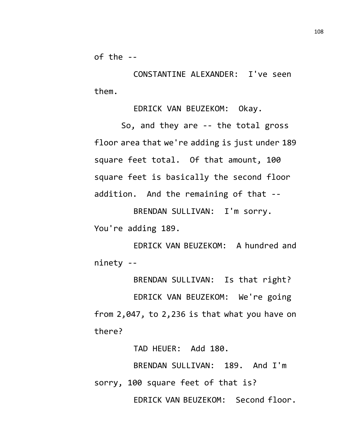of the --

CONSTANTINE ALEXANDER: I've seen them.

EDRICK VAN BEUZEKOM: Okay.

So, and they are -- the total gross floor area that we're adding is just under 189 square feet total. Of that amount, 100 square feet is basically the second floor addition. And the remaining of that --

BRENDAN SULLIVAN: I'm sorry. You're adding 189.

EDRICK VAN BEUZEKOM: A hundred and ninety --

BRENDAN SULLIVAN: Is that right?

EDRICK VAN BEUZEKOM: We're going from 2,047, to 2,236 is that what you have on there?

TAD HEUER: Add 180.

BRENDAN SULLIVAN: 189. And I'm sorry, 100 square feet of that is? EDRICK VAN BEUZEKOM: Second floor. 108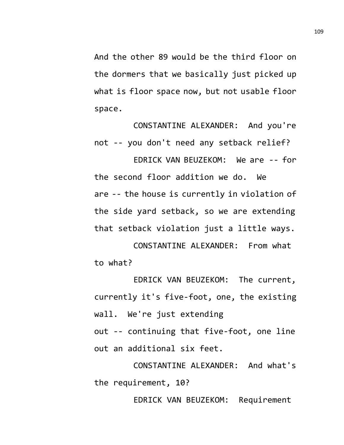And the other 89 would be the third floor on the dormers that we basically just picked up what is floor space now, but not usable floor space.

CONSTANTINE ALEXANDER: And you're not -- you don't need any setback relief?

EDRICK VAN BEUZEKOM: We are -- for the second floor addition we do. We are -- the house is currently in violation of the side yard setback, so we are extending that setback violation just a little ways.

CONSTANTINE ALEXANDER: From what to what?

EDRICK VAN BEUZEKOM: The current, currently it's five-foot, one, the existing wall. We're just extending

out -- continuing that five-foot, one line out an additional six feet.

CONSTANTINE ALEXANDER: And what's the requirement, 10?

EDRICK VAN BEUZEKOM: Requirement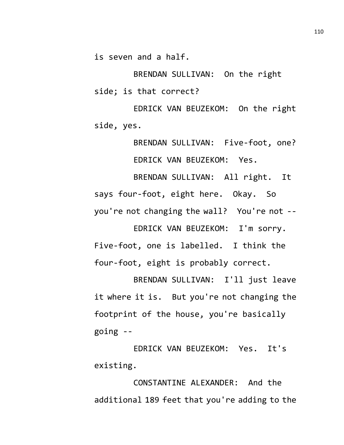is seven and a half.

BRENDAN SULLIVAN: On the right side; is that correct?

EDRICK VAN BEUZEKOM: On the right side, yes.

BRENDAN SULLIVAN: Five-foot, one? EDRICK VAN BEUZEKOM: Yes.

BRENDAN SULLIVAN: All right. It says four-foot, eight here. Okay. So you're not changing the wall? You're not --

EDRICK VAN BEUZEKOM: I'm sorry. Five-foot, one is labelled. I think the four-foot, eight is probably correct.

BRENDAN SULLIVAN: I'll just leave it where it is. But you're not changing the footprint of the house, you're basically going --

EDRICK VAN BEUZEKOM: Yes. It's existing.

CONSTANTINE ALEXANDER: And the additional 189 feet that you're adding to the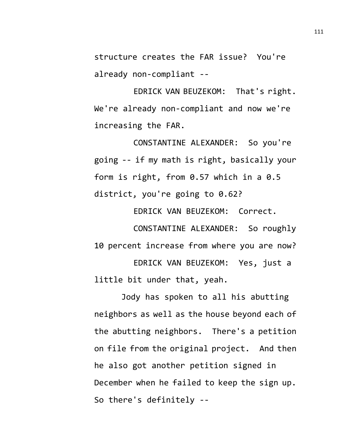structure creates the FAR issue? You're already non-compliant --

EDRICK VAN BEUZEKOM: That's right. We're already non-compliant and now we're increasing the FAR.

CONSTANTINE ALEXANDER: So you're going -- if my math is right, basically your form is right, from 0.57 which in a 0.5 district, you're going to 0.62?

EDRICK VAN BEUZEKOM: Correct.

CONSTANTINE ALEXANDER: So roughly 10 percent increase from where you are now? EDRICK VAN BEUZEKOM: Yes, just a little bit under that, yeah.

Jody has spoken to all his abutting neighbors as well as the house beyond each of the abutting neighbors. There's a petition on file from the original project. And then he also got another petition signed in December when he failed to keep the sign up. So there's definitely --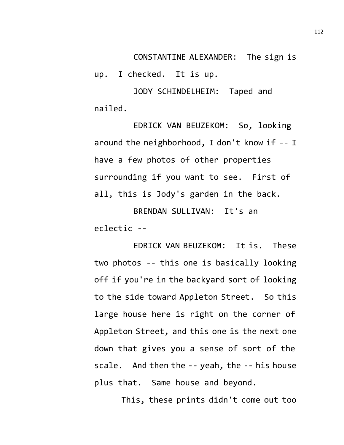CONSTANTINE ALEXANDER: The sign is

up. I checked. It is up.

JODY SCHINDELHEIM: Taped and nailed.

EDRICK VAN BEUZEKOM: So, looking around the neighborhood, I don't know if -- I have a few photos of other properties surrounding if you want to see. First of all, this is Jody's garden in the back.

BRENDAN SULLIVAN: It's an eclectic --

EDRICK VAN BEUZEKOM: It is. These two photos -- this one is basically looking off if you're in the backyard sort of looking to the side toward Appleton Street. So this large house here is right on the corner of Appleton Street, and this one is the next one down that gives you a sense of sort of the scale. And then the -- yeah, the -- his house plus that. Same house and beyond.

This, these prints didn't come out too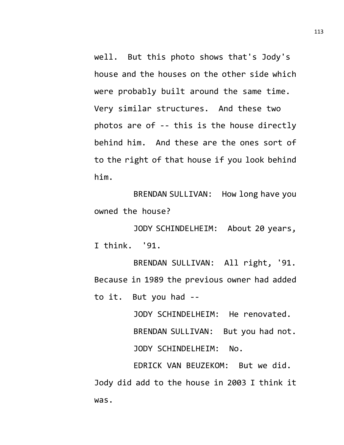well. But this photo shows that's Jody's house and the houses on the other side which were probably built around the same time. Very similar structures. And these two photos are of -- this is the house directly behind him. And these are the ones sort of to the right of that house if you look behind him.

BRENDAN SULLIVAN: How long have you owned the house?

JODY SCHINDELHEIM: About 20 years, I think. '91.

BRENDAN SULLIVAN: All right, '91. Because in 1989 the previous owner had added to it. But you had --

> JODY SCHINDELHEIM: He renovated. BRENDAN SULLIVAN: But you had not. JODY SCHINDELHEIM: No.

EDRICK VAN BEUZEKOM: But we did. Jody did add to the house in 2003 I think it was.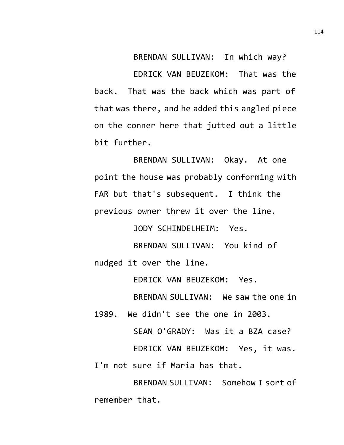BRENDAN SULLIVAN: In which way? EDRICK VAN BEUZEKOM: That was the back. That was the back which was part of that was there, and he added this angled piece on the conner here that jutted out a little bit further.

BRENDAN SULLIVAN: Okay. At one point the house was probably conforming with FAR but that's subsequent. I think the previous owner threw it over the line.

JODY SCHINDELHEIM: Yes.

BRENDAN SULLIVAN: You kind of nudged it over the line.

EDRICK VAN BEUZEKOM: Yes.

BRENDAN SULLIVAN: We saw the one in

1989. We didn't see the one in 2003.

SEAN O'GRADY: Was it a BZA case?

EDRICK VAN BEUZEKOM: Yes, it was. I'm not sure if Maria has that.

BRENDAN SULLIVAN: Somehow I sort of remember that.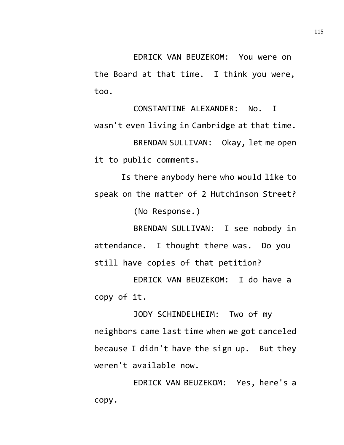EDRICK VAN BEUZEKOM: You were on the Board at that time. I think you were, too.

CONSTANTINE ALEXANDER: No. I wasn't even living in Cambridge at that time. BRENDAN SULLIVAN: Okay, let me open it to public comments.

Is there anybody here who would like to speak on the matter of 2 Hutchinson Street?

(No Response.)

BRENDAN SULLIVAN: I see nobody in attendance. I thought there was. Do you still have copies of that petition?

EDRICK VAN BEUZEKOM: I do have a copy of it.

JODY SCHINDELHEIM: Two of my neighbors came last time when we got canceled because I didn't have the sign up. But they weren't available now.

EDRICK VAN BEUZEKOM: Yes, here's a copy.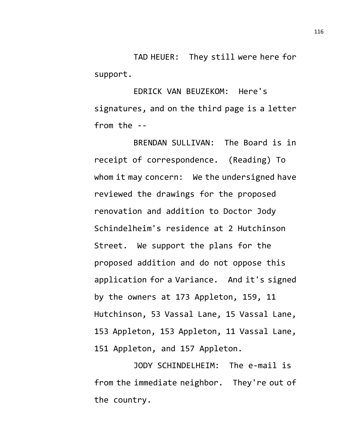TAD HEUER: They still were here for support.

EDRICK VAN BEUZEKOM: Here's signatures, and on the third page is a letter from the --

BRENDAN SULLIVAN: The Board is in receipt of correspondence. (Reading) To whom it may concern: We the undersigned have reviewed the drawings for the proposed renovation and addition to Doctor Jody Schindelheim's residence at 2 Hutchinson Street. We support the plans for the proposed addition and do not oppose this application for a Variance. And it's signed by the owners at 173 Appleton, 159, 11 Hutchinson, 53 Vassal Lane, 15 Vassal Lane, 153 Appleton, 153 Appleton, 11 Vassal Lane, 151 Appleton, and 157 Appleton.

JODY SCHINDELHEIM: The e-mail is from the immediate neighbor. They're out of the country.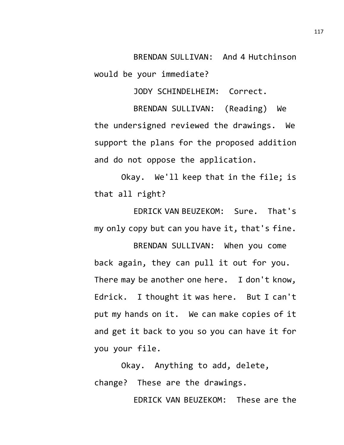BRENDAN SULLIVAN: And 4 Hutchinson would be your immediate?

JODY SCHINDELHEIM: Correct.

BRENDAN SULLIVAN: (Reading) We the undersigned reviewed the drawings. We support the plans for the proposed addition and do not oppose the application.

Okay. We'll keep that in the file; is that all right?

EDRICK VAN BEUZEKOM: Sure. That's my only copy but can you have it, that's fine.

BRENDAN SULLIVAN: When you come back again, they can pull it out for you. There may be another one here. I don't know, Edrick. I thought it was here. But I can't put my hands on it. We can make copies of it and get it back to you so you can have it for you your file.

Okay. Anything to add, delete, change? These are the drawings.

EDRICK VAN BEUZEKOM: These are the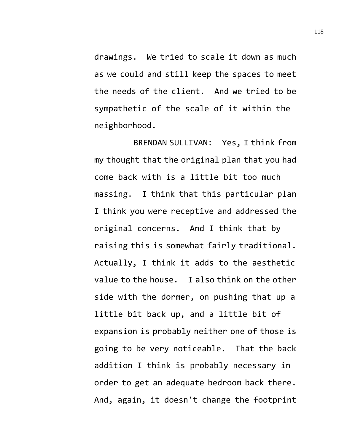drawings. We tried to scale it down as much as we could and still keep the spaces to meet the needs of the client. And we tried to be sympathetic of the scale of it within the neighborhood.

BRENDAN SULLIVAN: Yes, I think from my thought that the original plan that you had come back with is a little bit too much massing. I think that this particular plan I think you were receptive and addressed the original concerns. And I think that by raising this is somewhat fairly traditional. Actually, I think it adds to the aesthetic value to the house. I also think on the other side with the dormer, on pushing that up a little bit back up, and a little bit of expansion is probably neither one of those is going to be very noticeable. That the back addition I think is probably necessary in order to get an adequate bedroom back there. And, again, it doesn't change the footprint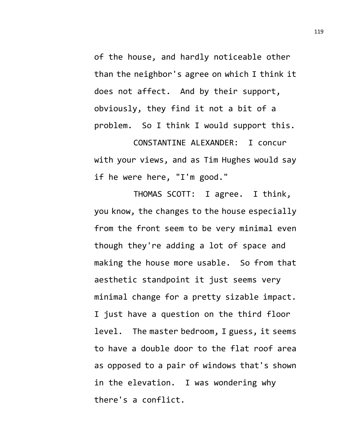of the house, and hardly noticeable other than the neighbor's agree on which I think it does not affect. And by their support, obviously, they find it not a bit of a problem. So I think I would support this.

CONSTANTINE ALEXANDER: I concur with your views, and as Tim Hughes would say if he were here, "I'm good."

THOMAS SCOTT: I agree. I think, you know, the changes to the house especially from the front seem to be very minimal even though they're adding a lot of space and making the house more usable. So from that aesthetic standpoint it just seems very minimal change for a pretty sizable impact. I just have a question on the third floor level. The master bedroom, I guess, it seems to have a double door to the flat roof area as opposed to a pair of windows that's shown in the elevation. I was wondering why there's a conflict.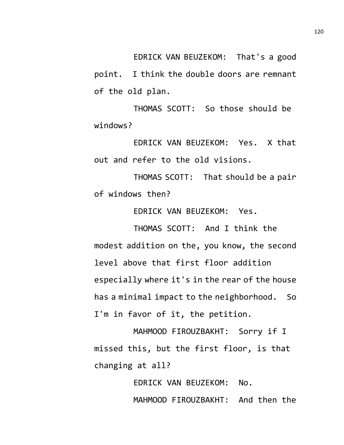EDRICK VAN BEUZEKOM: That's a good point. I think the double doors are remnant of the old plan.

THOMAS SCOTT: So those should be windows?

EDRICK VAN BEUZEKOM: Yes. X that out and refer to the old visions.

THOMAS SCOTT: That should be a pair of windows then?

EDRICK VAN BEUZEKOM: Yes.

THOMAS SCOTT: And I think the modest addition on the, you know, the second level above that first floor addition especially where it's in the rear of the house has a minimal impact to the neighborhood. So I'm in favor of it, the petition.

MAHMOOD FIROUZBAKHT: Sorry if I missed this, but the first floor, is that changing at all?

> EDRICK VAN BEUZEKOM: No. MAHMOOD FIROUZBAKHT: And then the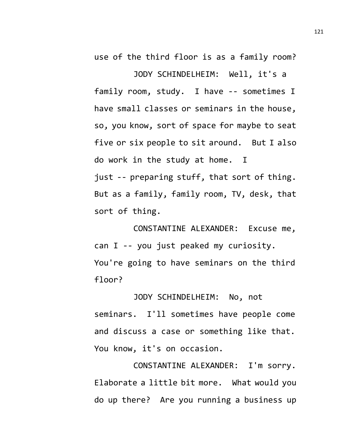use of the third floor is as a family room?

JODY SCHINDELHEIM: Well, it's a family room, study. I have -- sometimes I have small classes or seminars in the house, so, you know, sort of space for maybe to seat five or six people to sit around. But I also do work in the study at home. I just -- preparing stuff, that sort of thing. But as a family, family room, TV, desk, that sort of thing.

CONSTANTINE ALEXANDER: Excuse me, can I -- you just peaked my curiosity. You're going to have seminars on the third floor?

JODY SCHINDELHEIM: No, not seminars. I'll sometimes have people come and discuss a case or something like that. You know, it's on occasion.

CONSTANTINE ALEXANDER: I'm sorry. Elaborate a little bit more. What would you do up there? Are you running a business up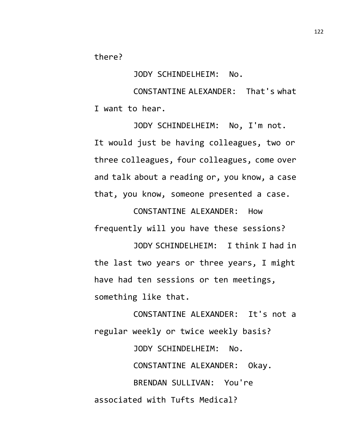there?

JODY SCHINDELHEIM: No.

CONSTANTINE ALEXANDER: That's what I want to hear.

JODY SCHINDELHEIM: No, I'm not. It would just be having colleagues, two or three colleagues, four colleagues, come over and talk about a reading or, you know, a case that, you know, someone presented a case.

CONSTANTINE ALEXANDER: How frequently will you have these sessions?

JODY SCHINDELHEIM: I think I had in the last two years or three years, I might have had ten sessions or ten meetings, something like that.

CONSTANTINE ALEXANDER: It's not a regular weekly or twice weekly basis?

JODY SCHINDELHEIM: No. CONSTANTINE ALEXANDER: Okay. BRENDAN SULLIVAN: You're associated with Tufts Medical?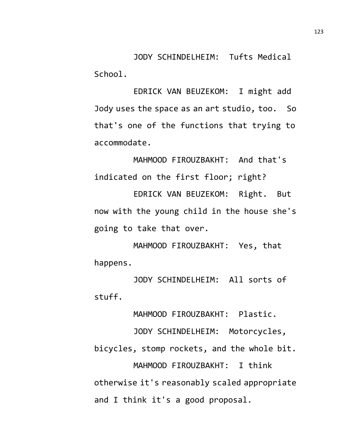JODY SCHINDELHEIM: Tufts Medical School.

EDRICK VAN BEUZEKOM: I might add Jody uses the space as an art studio, too. So that's one of the functions that trying to accommodate.

MAHMOOD FIROUZBAKHT: And that's indicated on the first floor; right?

EDRICK VAN BEUZEKOM: Right. But now with the young child in the house she's going to take that over.

MAHMOOD FIROUZBAKHT: Yes, that happens.

JODY SCHINDELHEIM: All sorts of stuff.

MAHMOOD FIROUZBAKHT: Plastic.

JODY SCHINDELHEIM: Motorcycles, bicycles, stomp rockets, and the whole bit. MAHMOOD FIROUZBAKHT: I think otherwise it's reasonably scaled appropriate and I think it's a good proposal.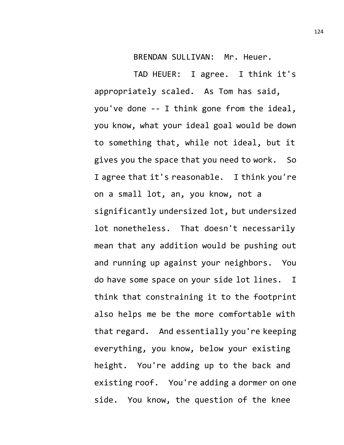BRENDAN SULLIVAN: Mr. Heuer.

TAD HEUER: I agree. I think it's appropriately scaled. As Tom has said, you've done -- I think gone from the ideal, you know, what your ideal goal would be down to something that, while not ideal, but it gives you the space that you need to work. So I agree that it's reasonable. I think you're on a small lot, an, you know, not a significantly undersized lot, but undersized lot nonetheless. That doesn't necessarily mean that any addition would be pushing out and running up against your neighbors. You do have some space on your side lot lines. I think that constraining it to the footprint also helps me be the more comfortable with that regard. And essentially you're keeping everything, you know, below your existing height. You're adding up to the back and existing roof. You're adding a dormer on one side. You know, the question of the knee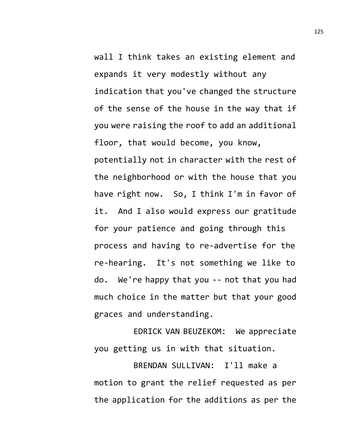wall I think takes an existing element and expands it very modestly without any indication that you've changed the structure of the sense of the house in the way that if you were raising the roof to add an additional floor, that would become, you know, potentially not in character with the rest of the neighborhood or with the house that you have right now. So, I think I'm in favor of it. And I also would express our gratitude for your patience and going through this process and having to re-advertise for the re-hearing. It's not something we like to do. We're happy that you -- not that you had much choice in the matter but that your good graces and understanding.

EDRICK VAN BEUZEKOM: We appreciate you getting us in with that situation.

BRENDAN SULLIVAN: I'll make a motion to grant the relief requested as per the application for the additions as per the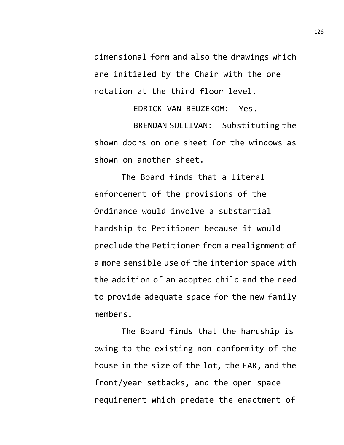dimensional form and also the drawings which are initialed by the Chair with the one notation at the third floor level.

EDRICK VAN BEUZEKOM: Yes.

BRENDAN SULLIVAN: Substituting the shown doors on one sheet for the windows as shown on another sheet.

The Board finds that a literal enforcement of the provisions of the Ordinance would involve a substantial hardship to Petitioner because it would preclude the Petitioner from a realignment of a more sensible use of the interior space with the addition of an adopted child and the need to provide adequate space for the new family members.

The Board finds that the hardship is owing to the existing non-conformity of the house in the size of the lot, the FAR, and the front/year setbacks, and the open space requirement which predate the enactment of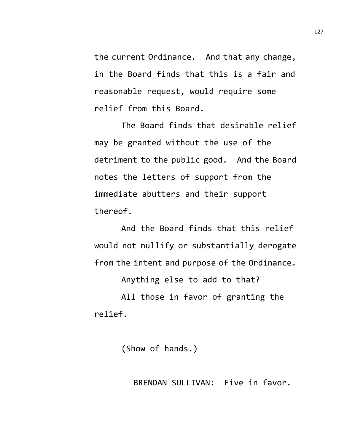the current Ordinance. And that any change, in the Board finds that this is a fair and reasonable request, would require some relief from this Board.

The Board finds that desirable relief may be granted without the use of the detriment to the public good. And the Board notes the letters of support from the immediate abutters and their support thereof.

And the Board finds that this relief would not nullify or substantially derogate from the intent and purpose of the Ordinance.

Anything else to add to that?

All those in favor of granting the relief.

(Show of hands.)

BRENDAN SULLIVAN: Five in favor.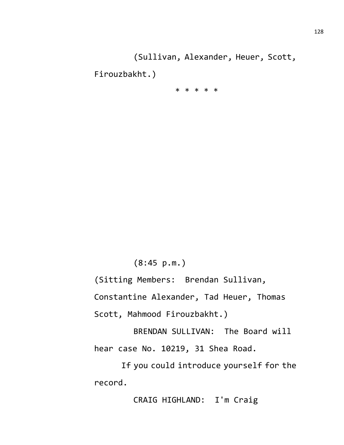(Sullivan, Alexander, Heuer, Scott,

Firouzbakht.)

\* \* \* \* \*

(8:45 p.m.)

(Sitting Members: Brendan Sullivan,

Constantine Alexander, Tad Heuer, Thomas

Scott, Mahmood Firouzbakht.)

BRENDAN SULLIVAN: The Board will hear case No. 10219, 31 Shea Road.

If you could introduce yourself for the record.

CRAIG HIGHLAND: I'm Craig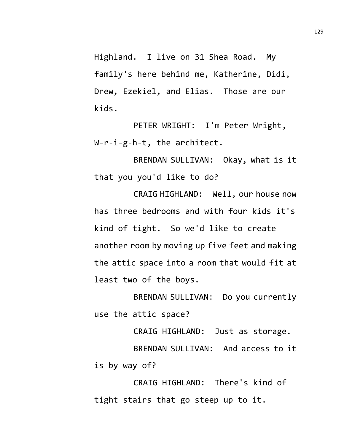Highland. I live on 31 Shea Road. My family's here behind me, Katherine, Didi, Drew, Ezekiel, and Elias. Those are our kids.

PETER WRIGHT: I'm Peter Wright, W-r-i-g-h-t, the architect.

BRENDAN SULLIVAN: Okay, what is it that you you'd like to do?

CRAIG HIGHLAND: Well, our house now has three bedrooms and with four kids it's kind of tight. So we'd like to create another room by moving up five feet and making the attic space into a room that would fit at least two of the boys.

BRENDAN SULLIVAN: Do you currently use the attic space?

CRAIG HIGHLAND: Just as storage.

BRENDAN SULLIVAN: And access to it is by way of?

CRAIG HIGHLAND: There's kind of tight stairs that go steep up to it.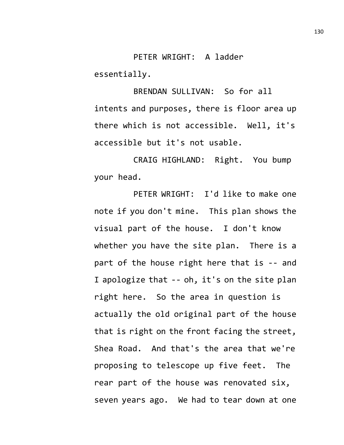PETER WRIGHT: A ladder essentially.

BRENDAN SULLIVAN: So for all intents and purposes, there is floor area up there which is not accessible. Well, it's accessible but it's not usable.

CRAIG HIGHLAND: Right. You bump your head.

PETER WRIGHT: I'd like to make one note if you don't mine. This plan shows the visual part of the house. I don't know whether you have the site plan. There is a part of the house right here that is -- and I apologize that -- oh, it's on the site plan right here. So the area in question is actually the old original part of the house that is right on the front facing the street, Shea Road. And that's the area that we're proposing to telescope up five feet. The rear part of the house was renovated six, seven years ago. We had to tear down at one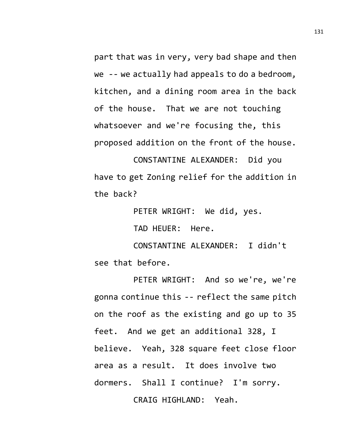part that was in very, very bad shape and then we -- we actually had appeals to do a bedroom, kitchen, and a dining room area in the back of the house. That we are not touching whatsoever and we're focusing the, this proposed addition on the front of the house.

CONSTANTINE ALEXANDER: Did you have to get Zoning relief for the addition in the back?

PETER WRIGHT: We did, yes.

TAD HEUER: Here.

CONSTANTINE ALEXANDER: I didn't see that before.

PETER WRIGHT: And so we're, we're gonna continue this -- reflect the same pitch on the roof as the existing and go up to 35 feet. And we get an additional 328, I believe. Yeah, 328 square feet close floor area as a result. It does involve two dormers. Shall I continue? I'm sorry. CRAIG HIGHLAND: Yeah.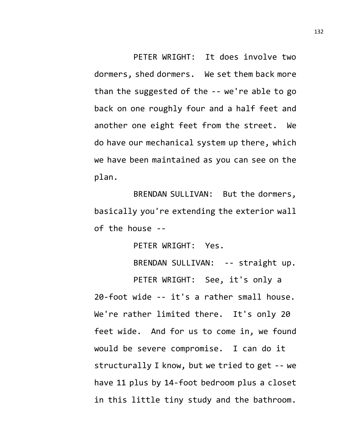PETER WRIGHT: It does involve two dormers, shed dormers. We set them back more than the suggested of the -- we're able to go back on one roughly four and a half feet and another one eight feet from the street. We do have our mechanical system up there, which we have been maintained as you can see on the plan.

BRENDAN SULLIVAN: But the dormers, basically you're extending the exterior wall of the house --

PETER WRIGHT: Yes.

BRENDAN SULLIVAN: -- straight up.

PETER WRIGHT: See, it's only a 20-foot wide -- it's a rather small house. We're rather limited there. It's only 20 feet wide. And for us to come in, we found would be severe compromise. I can do it structurally I know, but we tried to get -- we have 11 plus by 14-foot bedroom plus a closet in this little tiny study and the bathroom.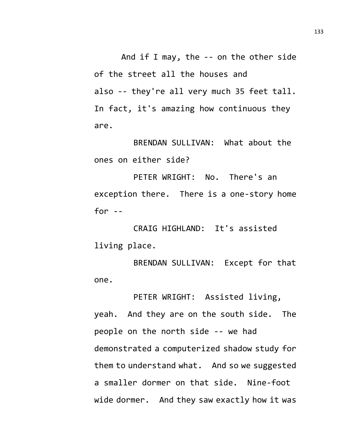And if I may, the -- on the other side of the street all the houses and also -- they're all very much 35 feet tall. In fact, it's amazing how continuous they are.

BRENDAN SULLIVAN: What about the ones on either side?

PETER WRIGHT: No. There's an exception there. There is a one-story home for  $-$ 

CRAIG HIGHLAND: It's assisted living place.

BRENDAN SULLIVAN: Except for that one.

PETER WRIGHT: Assisted living, yeah. And they are on the south side. The people on the north side -- we had demonstrated a computerized shadow study for them to understand what. And so we suggested a smaller dormer on that side. Nine-foot wide dormer. And they saw exactly how it was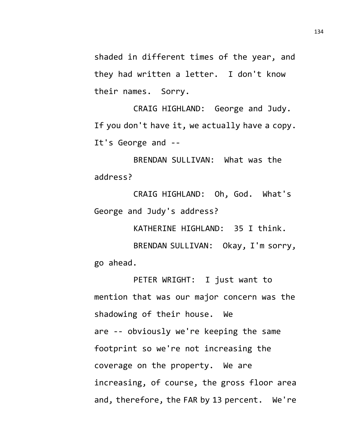shaded in different times of the year, and they had written a letter. I don't know their names. Sorry.

CRAIG HIGHLAND: George and Judy. If you don't have it, we actually have a copy. It's George and --

BRENDAN SULLIVAN: What was the address?

CRAIG HIGHLAND: Oh, God. What's George and Judy's address?

KATHERINE HIGHLAND: 35 I think.

BRENDAN SULLIVAN: Okay, I'm sorry, go ahead.

PETER WRIGHT: I just want to mention that was our major concern was the shadowing of their house. We are -- obviously we're keeping the same footprint so we're not increasing the coverage on the property. We are increasing, of course, the gross floor area and, therefore, the FAR by 13 percent. We're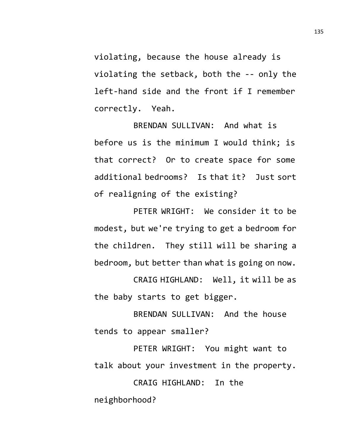violating, because the house already is violating the setback, both the -- only the left-hand side and the front if I remember correctly. Yeah.

BRENDAN SULLIVAN: And what is before us is the minimum I would think; is that correct? Or to create space for some additional bedrooms? Is that it? Just sort of realigning of the existing?

PETER WRIGHT: We consider it to be modest, but we're trying to get a bedroom for the children. They still will be sharing a bedroom, but better than what is going on now.

CRAIG HIGHLAND: Well, it will be as the baby starts to get bigger.

BRENDAN SULLIVAN: And the house tends to appear smaller?

PETER WRIGHT: You might want to talk about your investment in the property.

CRAIG HIGHLAND: In the neighborhood?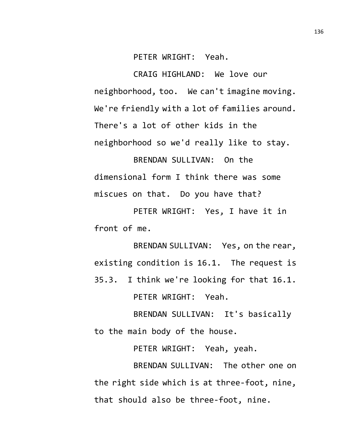PETER WRIGHT: Yeah.

CRAIG HIGHLAND: We love our neighborhood, too. We can't imagine moving. We're friendly with a lot of families around. There's a lot of other kids in the neighborhood so we'd really like to stay.

BRENDAN SULLIVAN: On the dimensional form I think there was some miscues on that. Do you have that?

PETER WRIGHT: Yes, I have it in front of me.

BRENDAN SULLIVAN: Yes, on the rear, existing condition is 16.1. The request is 35.3. I think we're looking for that 16.1. PETER WRIGHT: Yeah.

BRENDAN SULLIVAN: It's basically to the main body of the house.

PETER WRIGHT: Yeah, yeah.

BRENDAN SULLIVAN: The other one on the right side which is at three-foot, nine, that should also be three-foot, nine.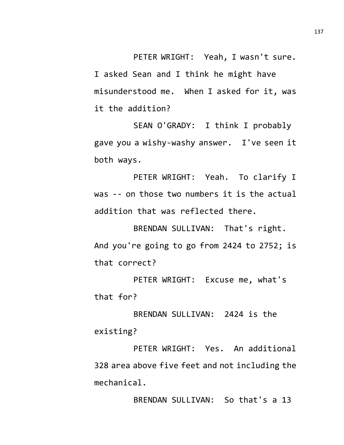PETER WRIGHT: Yeah, I wasn't sure. I asked Sean and I think he might have misunderstood me. When I asked for it, was it the addition?

SEAN O'GRADY: I think I probably gave you a wishy-washy answer. I've seen it both ways.

PETER WRIGHT: Yeah. To clarify I was -- on those two numbers it is the actual addition that was reflected there.

BRENDAN SULLIVAN: That's right. And you're going to go from 2424 to 2752; is that correct?

PETER WRIGHT: Excuse me, what's that for?

BRENDAN SULLIVAN: 2424 is the existing?

PETER WRIGHT: Yes. An additional 328 area above five feet and not including the mechanical.

BRENDAN SULLIVAN: So that's a 13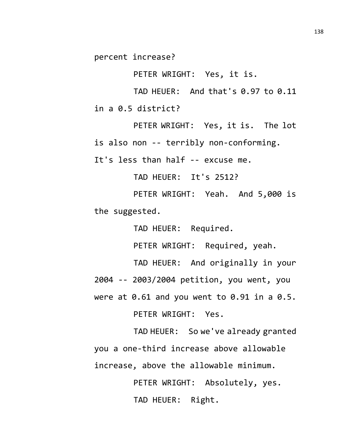percent increase?

PETER WRIGHT: Yes, it is.

TAD HEUER: And that's 0.97 to 0.11 in a 0.5 district?

PETER WRIGHT: Yes, it is. The lot is also non -- terribly non-conforming.

It's less than half -- excuse me.

TAD HEUER: It's 2512?

PETER WRIGHT: Yeah. And 5,000 is the suggested.

TAD HEUER: Required.

PETER WRIGHT: Required, yeah.

TAD HEUER: And originally in your

2004 -- 2003/2004 petition, you went, you

were at  $0.61$  and you went to  $0.91$  in a  $0.5$ .

PETER WRIGHT: Yes.

TAD HEUER: So we've already granted you a one-third increase above allowable increase, above the allowable minimum.

> PETER WRIGHT: Absolutely, yes. TAD HEUER: Right.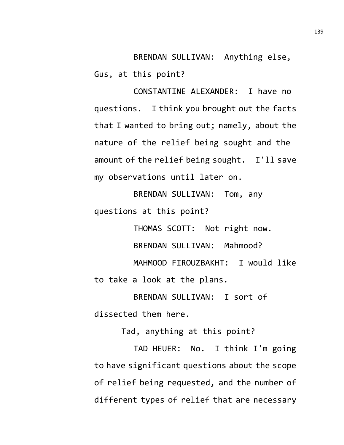BRENDAN SULLIVAN: Anything else, Gus, at this point?

CONSTANTINE ALEXANDER: I have no questions. I think you brought out the facts that I wanted to bring out; namely, about the nature of the relief being sought and the amount of the relief being sought. I'll save my observations until later on.

BRENDAN SULLIVAN: Tom, any questions at this point?

THOMAS SCOTT: Not right now. BRENDAN SULLIVAN: Mahmood? MAHMOOD FIROUZBAKHT: I would like to take a look at the plans.

BRENDAN SULLIVAN: I sort of dissected them here.

Tad, anything at this point?

TAD HEUER: No. I think I'm going to have significant questions about the scope of relief being requested, and the number of different types of relief that are necessary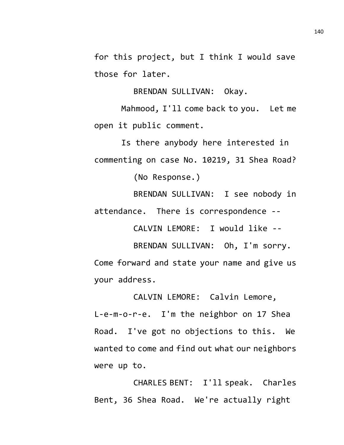for this project, but I think I would save those for later.

BRENDAN SULLIVAN: Okay.

Mahmood, I'll come back to you. Let me open it public comment.

Is there anybody here interested in commenting on case No. 10219, 31 Shea Road? (No Response.)

BRENDAN SULLIVAN: I see nobody in

attendance. There is correspondence --

CALVIN LEMORE: I would like --

BRENDAN SULLIVAN: Oh, I'm sorry. Come forward and state your name and give us your address.

CALVIN LEMORE: Calvin Lemore, L-e-m-o-r-e. I'm the neighbor on 17 Shea Road. I've got no objections to this. We wanted to come and find out what our neighbors were up to.

CHARLES BENT: I'll speak. Charles Bent, 36 Shea Road. We're actually right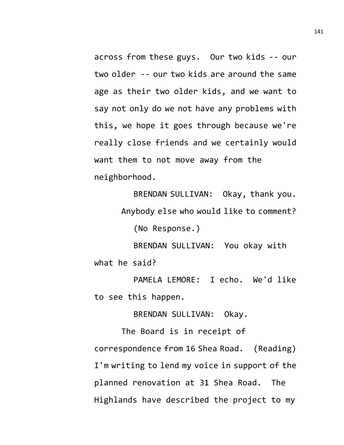across from these guys. Our two kids -- our two older -- our two kids are around the same age as their two older kids, and we want to say not only do we not have any problems with this, we hope it goes through because we're really close friends and we certainly would want them to not move away from the neighborhood.

> BRENDAN SULLIVAN: Okay, thank you. Anybody else who would like to comment?

(No Response.)

BRENDAN SULLIVAN: You okay with what he said?

PAMELA LEMORE: I echo. We'd like to see this happen.

BRENDAN SULLIVAN: Okay.

The Board is in receipt of correspondence from 16 Shea Road. (Reading) I'm writing to lend my voice in support of the planned renovation at 31 Shea Road. The Highlands have described the project to my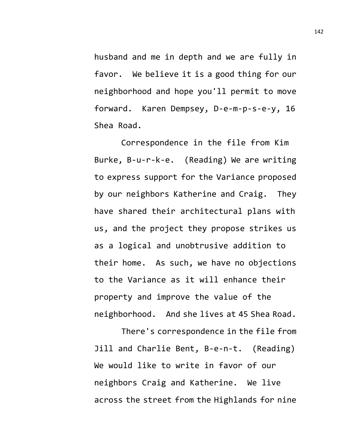husband and me in depth and we are fully in favor. We believe it is a good thing for our neighborhood and hope you'll permit to move forward. Karen Dempsey, D-e-m-p-s-e-y, 16 Shea Road.

Correspondence in the file from Kim Burke, B-u-r-k-e. (Reading) We are writing to express support for the Variance proposed by our neighbors Katherine and Craig. They have shared their architectural plans with us, and the project they propose strikes us as a logical and unobtrusive addition to their home. As such, we have no objections to the Variance as it will enhance their property and improve the value of the neighborhood. And she lives at 45 Shea Road.

There's correspondence in the file from Jill and Charlie Bent, B-e-n-t. (Reading) We would like to write in favor of our neighbors Craig and Katherine. We live across the street from the Highlands for nine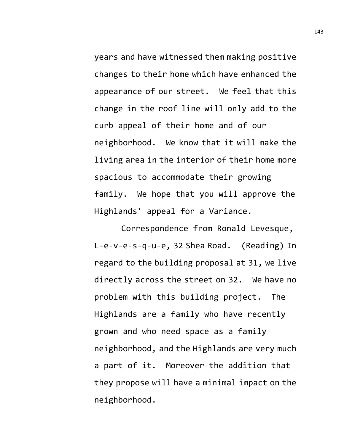years and have witnessed them making positive changes to their home which have enhanced the appearance of our street. We feel that this change in the roof line will only add to the curb appeal of their home and of our neighborhood. We know that it will make the living area in the interior of their home more spacious to accommodate their growing family. We hope that you will approve the Highlands' appeal for a Variance.

Correspondence from Ronald Levesque, L-e-v-e-s-q-u-e, 32 Shea Road. (Reading) In regard to the building proposal at 31, we live directly across the street on 32. We have no problem with this building project. The Highlands are a family who have recently grown and who need space as a family neighborhood, and the Highlands are very much a part of it. Moreover the addition that they propose will have a minimal impact on the neighborhood.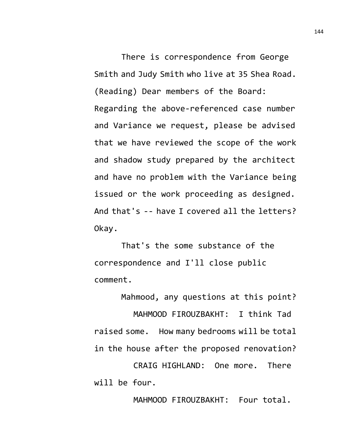There is correspondence from George Smith and Judy Smith who live at 35 Shea Road. (Reading) Dear members of the Board: Regarding the above-referenced case number and Variance we request, please be advised that we have reviewed the scope of the work and shadow study prepared by the architect and have no problem with the Variance being issued or the work proceeding as designed. And that's -- have I covered all the letters? Okay.

That's the some substance of the correspondence and I'll close public comment.

Mahmood, any questions at this point?

MAHMOOD FIROUZBAKHT: I think Tad raised some. How many bedrooms will be total in the house after the proposed renovation?

CRAIG HIGHLAND: One more. There will be four.

MAHMOOD FIROUZBAKHT: Four total.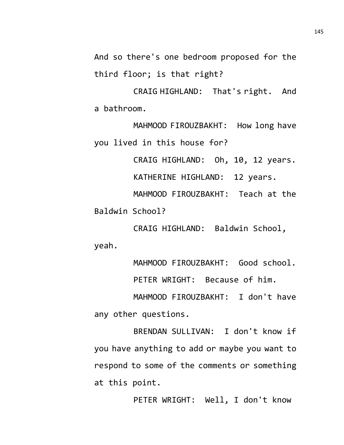And so there's one bedroom proposed for the third floor; is that right?

CRAIG HIGHLAND: That's right. And a bathroom.

MAHMOOD FIROUZBAKHT: How long have you lived in this house for?

CRAIG HIGHLAND: Oh, 10, 12 years.

KATHERINE HIGHLAND: 12 years.

MAHMOOD FIROUZBAKHT: Teach at the Baldwin School?

CRAIG HIGHLAND: Baldwin School, yeah.

MAHMOOD FIROUZBAKHT: Good school.

PETER WRIGHT: Because of him.

MAHMOOD FIROUZBAKHT: I don't have any other questions.

BRENDAN SULLIVAN: I don't know if you have anything to add or maybe you want to respond to some of the comments or something at this point.

PETER WRIGHT: Well, I don't know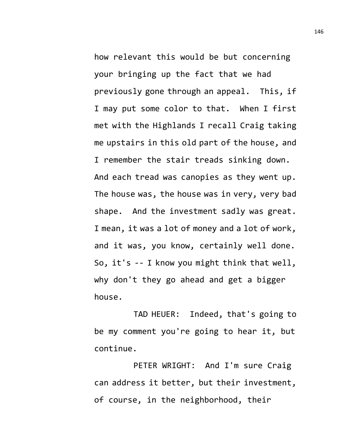how relevant this would be but concerning your bringing up the fact that we had previously gone through an appeal. This, if I may put some color to that. When I first met with the Highlands I recall Craig taking me upstairs in this old part of the house, and I remember the stair treads sinking down. And each tread was canopies as they went up. The house was, the house was in very, very bad shape. And the investment sadly was great. I mean, it was a lot of money and a lot of work, and it was, you know, certainly well done. So, it's -- I know you might think that well, why don't they go ahead and get a bigger house.

TAD HEUER: Indeed, that's going to be my comment you're going to hear it, but continue.

PETER WRIGHT: And I'm sure Craig can address it better, but their investment, of course, in the neighborhood, their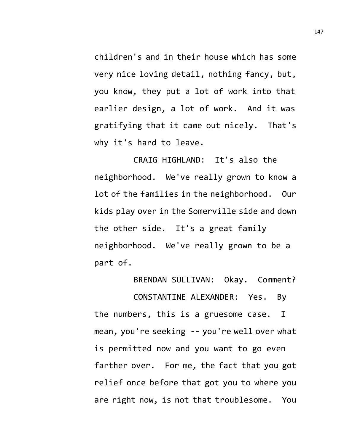children's and in their house which has some very nice loving detail, nothing fancy, but, you know, they put a lot of work into that earlier design, a lot of work. And it was gratifying that it came out nicely. That's why it's hard to leave.

CRAIG HIGHLAND: It's also the neighborhood. We've really grown to know a lot of the families in the neighborhood. Our kids play over in the Somerville side and down the other side. It's a great family neighborhood. We've really grown to be a part of.

BRENDAN SULLIVAN: Okay. Comment?

CONSTANTINE ALEXANDER: Yes. By the numbers, this is a gruesome case. I mean, you're seeking -- you're well over what is permitted now and you want to go even farther over. For me, the fact that you got relief once before that got you to where you are right now, is not that troublesome. You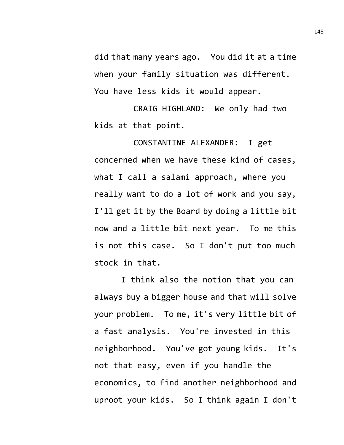did that many years ago. You did it at a time when your family situation was different. You have less kids it would appear.

CRAIG HIGHLAND: We only had two kids at that point.

CONSTANTINE ALEXANDER: I get concerned when we have these kind of cases, what I call a salami approach, where you really want to do a lot of work and you say, I'll get it by the Board by doing a little bit now and a little bit next year. To me this is not this case. So I don't put too much stock in that.

I think also the notion that you can always buy a bigger house and that will solve your problem. To me, it's very little bit of a fast analysis. You're invested in this neighborhood. You've got young kids. It's not that easy, even if you handle the economics, to find another neighborhood and uproot your kids. So I think again I don't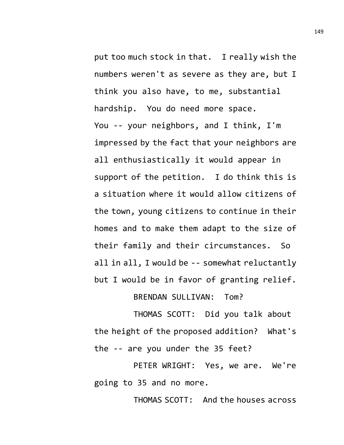put too much stock in that. I really wish the numbers weren't as severe as they are, but I think you also have, to me, substantial hardship. You do need more space. You -- your neighbors, and I think, I'm impressed by the fact that your neighbors are all enthusiastically it would appear in support of the petition. I do think this is a situation where it would allow citizens of the town, young citizens to continue in their homes and to make them adapt to the size of their family and their circumstances. So all in all, I would be -- somewhat reluctantly but I would be in favor of granting relief.

BRENDAN SULLIVAN: Tom?

THOMAS SCOTT: Did you talk about the height of the proposed addition? What's the -- are you under the 35 feet?

PETER WRIGHT: Yes, we are. We're going to 35 and no more.

THOMAS SCOTT: And the houses across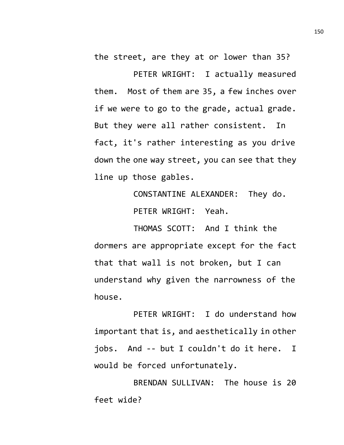the street, are they at or lower than 35?

PETER WRIGHT: I actually measured them. Most of them are 35, a few inches over if we were to go to the grade, actual grade. But they were all rather consistent. In fact, it's rather interesting as you drive down the one way street, you can see that they line up those gables.

> CONSTANTINE ALEXANDER: They do. PETER WRIGHT: Yeah.

THOMAS SCOTT: And I think the dormers are appropriate except for the fact that that wall is not broken, but I can understand why given the narrowness of the house.

PETER WRIGHT: I do understand how important that is, and aesthetically in other jobs. And -- but I couldn't do it here. I would be forced unfortunately.

BRENDAN SULLIVAN: The house is 20 feet wide?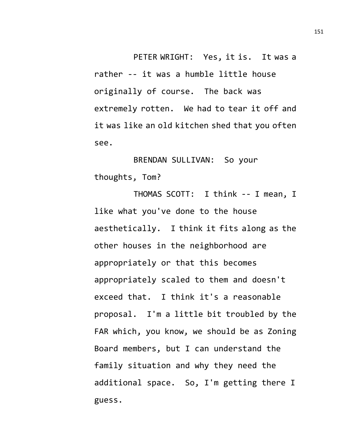PETER WRIGHT: Yes, it is. It was a rather -- it was a humble little house originally of course. The back was extremely rotten. We had to tear it off and it was like an old kitchen shed that you often see.

BRENDAN SULLIVAN: So your thoughts, Tom?

THOMAS SCOTT: I think -- I mean, I like what you've done to the house aesthetically. I think it fits along as the other houses in the neighborhood are appropriately or that this becomes appropriately scaled to them and doesn't exceed that. I think it's a reasonable proposal. I'm a little bit troubled by the FAR which, you know, we should be as Zoning Board members, but I can understand the family situation and why they need the additional space. So, I'm getting there I guess.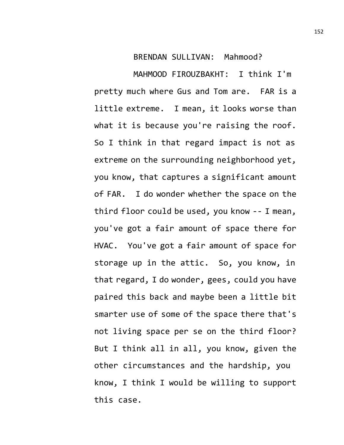## BRENDAN SULLIVAN: Mahmood?

MAHMOOD FIROUZBAKHT: I think I'm pretty much where Gus and Tom are. FAR is a little extreme. I mean, it looks worse than what it is because you're raising the roof. So I think in that regard impact is not as extreme on the surrounding neighborhood yet, you know, that captures a significant amount of FAR. I do wonder whether the space on the third floor could be used, you know -- I mean, you've got a fair amount of space there for HVAC. You've got a fair amount of space for storage up in the attic. So, you know, in that regard, I do wonder, gees, could you have paired this back and maybe been a little bit smarter use of some of the space there that's not living space per se on the third floor? But I think all in all, you know, given the other circumstances and the hardship, you know, I think I would be willing to support this case.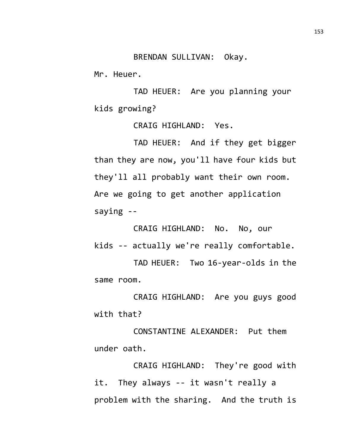BRENDAN SULLIVAN: Okay.

Mr. Heuer.

TAD HEUER: Are you planning your kids growing?

CRAIG HIGHLAND: Yes.

TAD HEUER: And if they get bigger than they are now, you'll have four kids but they'll all probably want their own room. Are we going to get another application saying --

CRAIG HIGHLAND: No. No, our kids -- actually we're really comfortable.

TAD HEUER: Two 16-year-olds in the same room.

CRAIG HIGHLAND: Are you guys good with that?

CONSTANTINE ALEXANDER: Put them under oath.

CRAIG HIGHLAND: They're good with it. They always -- it wasn't really a problem with the sharing. And the truth is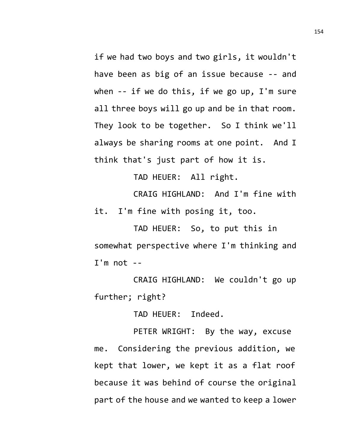if we had two boys and two girls, it wouldn't have been as big of an issue because -- and when -- if we do this, if we go up, I'm sure all three boys will go up and be in that room. They look to be together. So I think we'll always be sharing rooms at one point. And I think that's just part of how it is.

TAD HEUER: All right.

CRAIG HIGHLAND: And I'm fine with it. I'm fine with posing it, too.

TAD HEUER: So, to put this in somewhat perspective where I'm thinking and  $I'm$  not  $-$ 

CRAIG HIGHLAND: We couldn't go up further; right?

TAD HEUER: Indeed.

PETER WRIGHT: By the way, excuse me. Considering the previous addition, we kept that lower, we kept it as a flat roof because it was behind of course the original part of the house and we wanted to keep a lower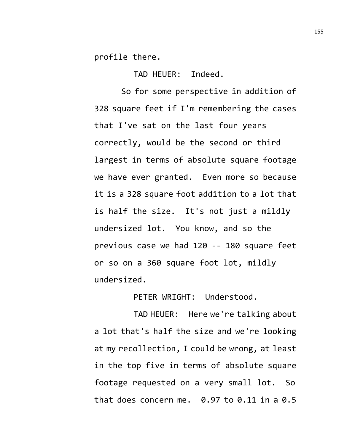profile there.

TAD HEUER: Indeed.

So for some perspective in addition of 328 square feet if I'm remembering the cases that I've sat on the last four years correctly, would be the second or third largest in terms of absolute square footage we have ever granted. Even more so because it is a 328 square foot addition to a lot that is half the size. It's not just a mildly undersized lot. You know, and so the previous case we had 120 -- 180 square feet or so on a 360 square foot lot, mildly undersized.

PETER WRIGHT: Understood.

TAD HEUER: Here we're talking about a lot that's half the size and we're looking at my recollection, I could be wrong, at least in the top five in terms of absolute square footage requested on a very small lot. So that does concern me.  $0.97$  to  $0.11$  in a  $0.5$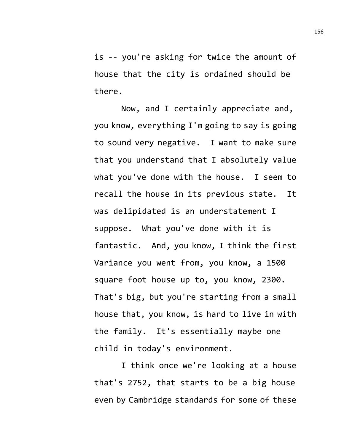is -- you're asking for twice the amount of house that the city is ordained should be there.

Now, and I certainly appreciate and, you know, everything I'm going to say is going to sound very negative. I want to make sure that you understand that I absolutely value what you've done with the house. I seem to recall the house in its previous state. It was delipidated is an understatement I suppose. What you've done with it is fantastic. And, you know, I think the first Variance you went from, you know, a 1500 square foot house up to, you know, 2300. That's big, but you're starting from a small house that, you know, is hard to live in with the family. It's essentially maybe one child in today's environment.

I think once we're looking at a house that's 2752, that starts to be a big house even by Cambridge standards for some of these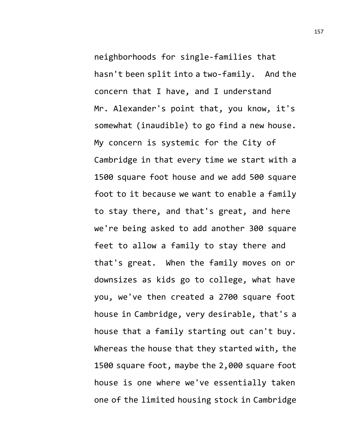neighborhoods for single-families that hasn't been split into a two-family. And the concern that I have, and I understand Mr. Alexander's point that, you know, it's somewhat (inaudible) to go find a new house. My concern is systemic for the City of Cambridge in that every time we start with a 1500 square foot house and we add 500 square foot to it because we want to enable a family to stay there, and that's great, and here we're being asked to add another 300 square feet to allow a family to stay there and that's great. When the family moves on or downsizes as kids go to college, what have you, we've then created a 2700 square foot house in Cambridge, very desirable, that's a house that a family starting out can't buy. Whereas the house that they started with, the 1500 square foot, maybe the 2,000 square foot house is one where we've essentially taken one of the limited housing stock in Cambridge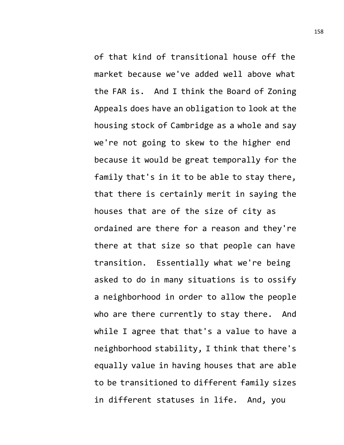of that kind of transitional house off the market because we've added well above what the FAR is. And I think the Board of Zoning Appeals does have an obligation to look at the housing stock of Cambridge as a whole and say we're not going to skew to the higher end because it would be great temporally for the family that's in it to be able to stay there, that there is certainly merit in saying the houses that are of the size of city as ordained are there for a reason and they're there at that size so that people can have transition. Essentially what we're being asked to do in many situations is to ossify a neighborhood in order to allow the people who are there currently to stay there. And while I agree that that's a value to have a neighborhood stability, I think that there's equally value in having houses that are able to be transitioned to different family sizes in different statuses in life. And, you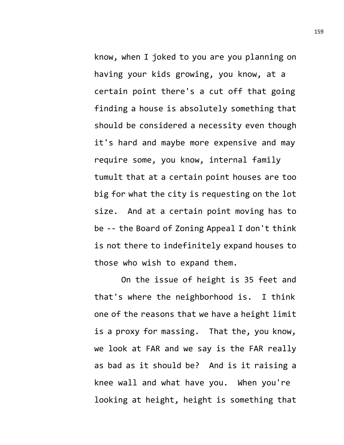know, when I joked to you are you planning on having your kids growing, you know, at a certain point there's a cut off that going finding a house is absolutely something that should be considered a necessity even though it's hard and maybe more expensive and may require some, you know, internal family tumult that at a certain point houses are too big for what the city is requesting on the lot size. And at a certain point moving has to be -- the Board of Zoning Appeal I don't think is not there to indefinitely expand houses to those who wish to expand them.

On the issue of height is 35 feet and that's where the neighborhood is. I think one of the reasons that we have a height limit is a proxy for massing. That the, you know, we look at FAR and we say is the FAR really as bad as it should be? And is it raising a knee wall and what have you. When you're looking at height, height is something that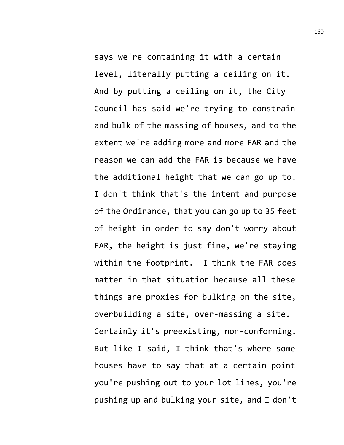says we're containing it with a certain level, literally putting a ceiling on it. And by putting a ceiling on it, the City Council has said we're trying to constrain and bulk of the massing of houses, and to the extent we're adding more and more FAR and the reason we can add the FAR is because we have the additional height that we can go up to. I don't think that's the intent and purpose of the Ordinance, that you can go up to 35 feet of height in order to say don't worry about FAR, the height is just fine, we're staying within the footprint. I think the FAR does matter in that situation because all these things are proxies for bulking on the site, overbuilding a site, over-massing a site. Certainly it's preexisting, non-conforming. But like I said, I think that's where some houses have to say that at a certain point you're pushing out to your lot lines, you're pushing up and bulking your site, and I don't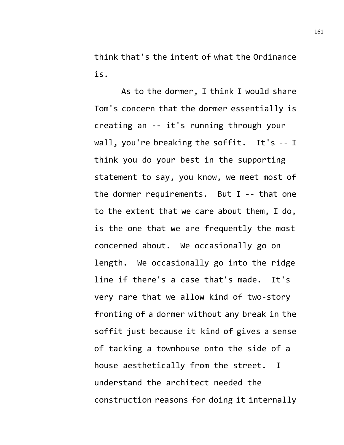think that's the intent of what the Ordinance is.

As to the dormer, I think I would share Tom's concern that the dormer essentially is creating an -- it's running through your wall, you're breaking the soffit. It's -- I think you do your best in the supporting statement to say, you know, we meet most of the dormer requirements. But I -- that one to the extent that we care about them, I do, is the one that we are frequently the most concerned about. We occasionally go on length. We occasionally go into the ridge line if there's a case that's made. It's very rare that we allow kind of two-story fronting of a dormer without any break in the soffit just because it kind of gives a sense of tacking a townhouse onto the side of a house aesthetically from the street. I understand the architect needed the construction reasons for doing it internally 161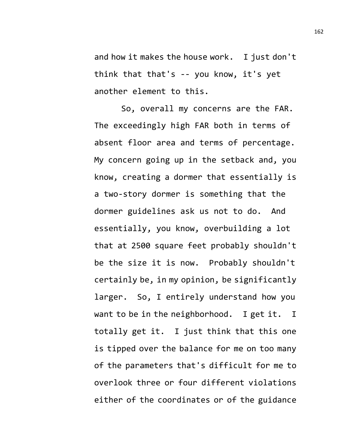and how it makes the house work. I just don't think that that's -- you know, it's yet another element to this.

So, overall my concerns are the FAR. The exceedingly high FAR both in terms of absent floor area and terms of percentage. My concern going up in the setback and, you know, creating a dormer that essentially is a two-story dormer is something that the dormer guidelines ask us not to do. And essentially, you know, overbuilding a lot that at 2500 square feet probably shouldn't be the size it is now. Probably shouldn't certainly be, in my opinion, be significantly larger. So, I entirely understand how you want to be in the neighborhood. I get it. I totally get it. I just think that this one is tipped over the balance for me on too many of the parameters that's difficult for me to overlook three or four different violations either of the coordinates or of the guidance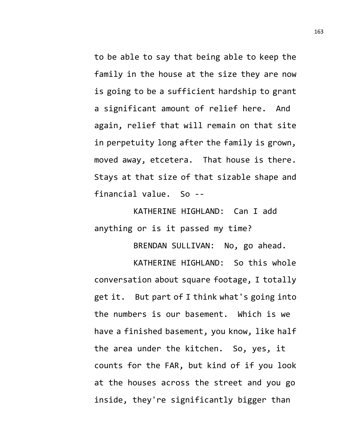to be able to say that being able to keep the family in the house at the size they are now is going to be a sufficient hardship to grant a significant amount of relief here. And again, relief that will remain on that site in perpetuity long after the family is grown, moved away, etcetera. That house is there. Stays at that size of that sizable shape and financial value. So --

KATHERINE HIGHLAND: Can I add anything or is it passed my time?

BRENDAN SULLIVAN: No, go ahead.

KATHERINE HIGHLAND: So this whole conversation about square footage, I totally get it. But part of I think what's going into the numbers is our basement. Which is we have a finished basement, you know, like half the area under the kitchen. So, yes, it counts for the FAR, but kind of if you look at the houses across the street and you go inside, they're significantly bigger than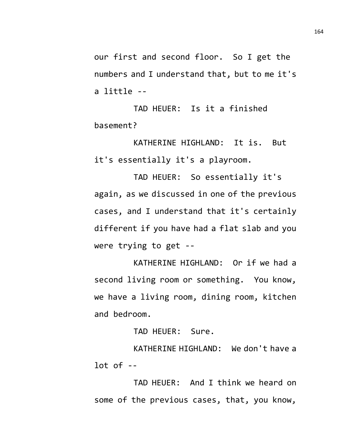our first and second floor. So I get the numbers and I understand that, but to me it's a little --

TAD HEUER: Is it a finished basement?

KATHERINE HIGHLAND: It is. But it's essentially it's a playroom.

TAD HEUER: So essentially it's again, as we discussed in one of the previous cases, and I understand that it's certainly different if you have had a flat slab and you were trying to get --

KATHERINE HIGHLAND: Or if we had a second living room or something. You know, we have a living room, dining room, kitchen and bedroom.

TAD HEUER: Sure.

KATHERINE HIGHLAND: We don't have a lot of --

TAD HEUER: And I think we heard on some of the previous cases, that, you know,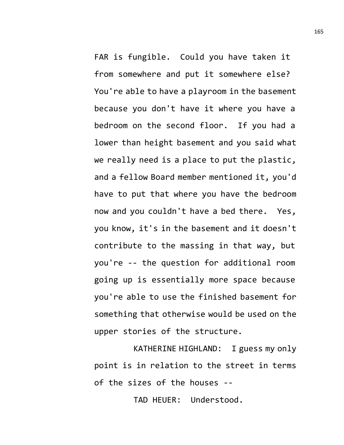FAR is fungible. Could you have taken it from somewhere and put it somewhere else? You're able to have a playroom in the basement because you don't have it where you have a bedroom on the second floor. If you had a lower than height basement and you said what we really need is a place to put the plastic, and a fellow Board member mentioned it, you'd have to put that where you have the bedroom now and you couldn't have a bed there. Yes, you know, it's in the basement and it doesn't contribute to the massing in that way, but you're -- the question for additional room going up is essentially more space because you're able to use the finished basement for something that otherwise would be used on the upper stories of the structure.

KATHERINE HIGHLAND: I guess my only point is in relation to the street in terms of the sizes of the houses --

TAD HEUER: Understood.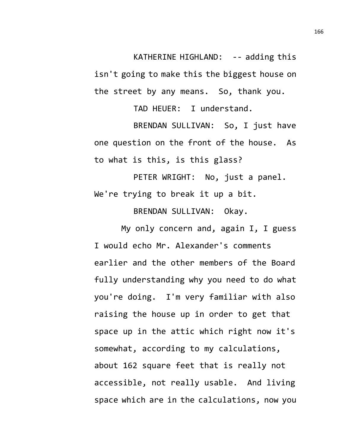KATHERINE HIGHLAND: -- adding this isn't going to make this the biggest house on the street by any means. So, thank you.

TAD HEUER: I understand.

BRENDAN SULLIVAN: So, I just have one question on the front of the house. As to what is this, is this glass?

PETER WRIGHT: No, just a panel. We're trying to break it up a bit.

BRENDAN SULLIVAN: Okay.

My only concern and, again I, I guess I would echo Mr. Alexander's comments earlier and the other members of the Board fully understanding why you need to do what you're doing. I'm very familiar with also raising the house up in order to get that space up in the attic which right now it's somewhat, according to my calculations, about 162 square feet that is really not accessible, not really usable. And living space which are in the calculations, now you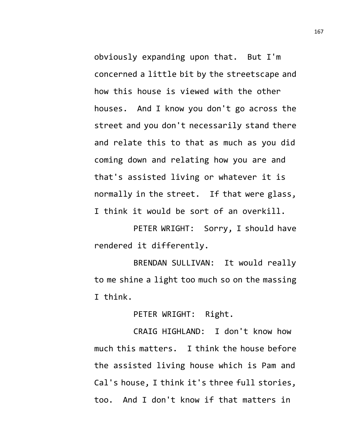obviously expanding upon that. But I'm concerned a little bit by the streetscape and how this house is viewed with the other houses. And I know you don't go across the street and you don't necessarily stand there and relate this to that as much as you did coming down and relating how you are and that's assisted living or whatever it is normally in the street. If that were glass, I think it would be sort of an overkill.

PETER WRIGHT: Sorry, I should have rendered it differently.

BRENDAN SULLIVAN: It would really to me shine a light too much so on the massing I think.

PETER WRIGHT: Right.

CRAIG HIGHLAND: I don't know how much this matters. I think the house before the assisted living house which is Pam and Cal's house, I think it's three full stories, too. And I don't know if that matters in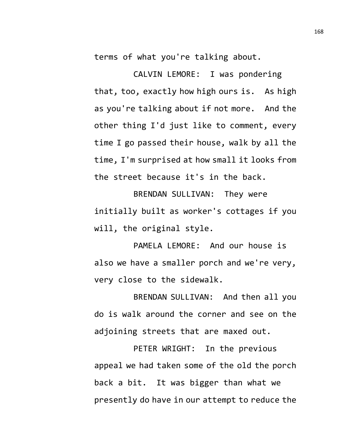terms of what you're talking about.

CALVIN LEMORE: I was pondering that, too, exactly how high ours is. As high as you're talking about if not more. And the other thing I'd just like to comment, every time I go passed their house, walk by all the time, I'm surprised at how small it looks from the street because it's in the back.

BRENDAN SULLIVAN: They were initially built as worker's cottages if you will, the original style.

PAMELA LEMORE: And our house is also we have a smaller porch and we're very, very close to the sidewalk.

BRENDAN SULLIVAN: And then all you do is walk around the corner and see on the adjoining streets that are maxed out.

PETER WRIGHT: In the previous appeal we had taken some of the old the porch back a bit. It was bigger than what we presently do have in our attempt to reduce the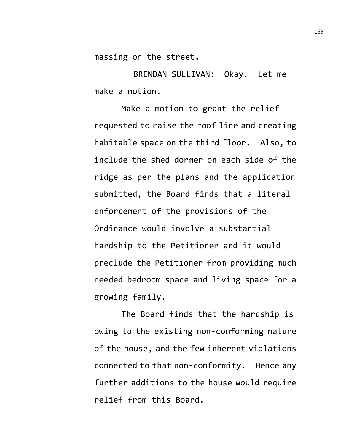massing on the street.

BRENDAN SULLIVAN: Okay. Let me make a motion.

Make a motion to grant the relief requested to raise the roof line and creating habitable space on the third floor. Also, to include the shed dormer on each side of the ridge as per the plans and the application submitted, the Board finds that a literal enforcement of the provisions of the Ordinance would involve a substantial hardship to the Petitioner and it would preclude the Petitioner from providing much needed bedroom space and living space for a growing family.

The Board finds that the hardship is owing to the existing non-conforming nature of the house, and the few inherent violations connected to that non-conformity. Hence any further additions to the house would require relief from this Board.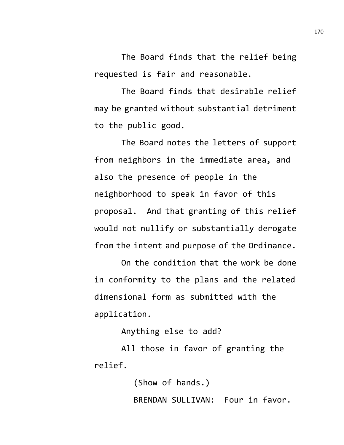The Board finds that the relief being requested is fair and reasonable.

The Board finds that desirable relief may be granted without substantial detriment to the public good.

The Board notes the letters of support from neighbors in the immediate area, and also the presence of people in the neighborhood to speak in favor of this proposal. And that granting of this relief would not nullify or substantially derogate from the intent and purpose of the Ordinance.

On the condition that the work be done in conformity to the plans and the related dimensional form as submitted with the application.

Anything else to add?

All those in favor of granting the relief.

> (Show of hands.) BRENDAN SULLIVAN: Four in favor.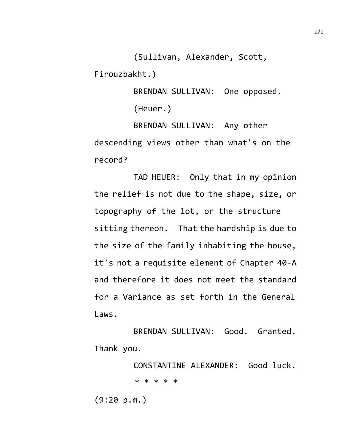(Sullivan, Alexander, Scott,

Firouzbakht.)

BRENDAN SULLIVAN: One opposed. (Heuer.)

BRENDAN SULLIVAN: Any other descending views other than what's on the record?

TAD HEUER: Only that in my opinion the relief is not due to the shape, size, or topography of the lot, or the structure sitting thereon. That the hardship is due to the size of the family inhabiting the house, it's not a requisite element of Chapter 40-A and therefore it does not meet the standard for a Variance as set forth in the General Laws.

BRENDAN SULLIVAN: Good. Granted. Thank you.

> CONSTANTINE ALEXANDER: Good luck. \* \* \* \* \*

(9:20 p.m.)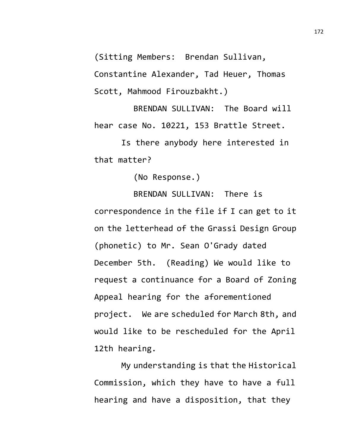(Sitting Members: Brendan Sullivan,

Constantine Alexander, Tad Heuer, Thomas Scott, Mahmood Firouzbakht.)

BRENDAN SULLIVAN: The Board will hear case No. 10221, 153 Brattle Street.

Is there anybody here interested in that matter?

(No Response.)

BRENDAN SULLIVAN: There is correspondence in the file if I can get to it on the letterhead of the Grassi Design Group (phonetic) to Mr. Sean O'Grady dated December 5th. (Reading) We would like to request a continuance for a Board of Zoning Appeal hearing for the aforementioned project. We are scheduled for March 8th, and would like to be rescheduled for the April 12th hearing.

My understanding is that the Historical Commission, which they have to have a full hearing and have a disposition, that they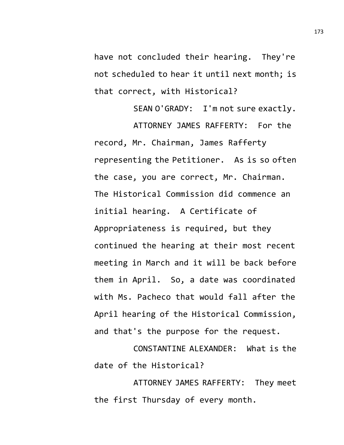have not concluded their hearing. They're not scheduled to hear it until next month; is that correct, with Historical?

SEAN O'GRADY: I'm not sure exactly. ATTORNEY JAMES RAFFERTY: For the record, Mr. Chairman, James Rafferty representing the Petitioner. As is so often the case, you are correct, Mr. Chairman. The Historical Commission did commence an initial hearing. A Certificate of Appropriateness is required, but they continued the hearing at their most recent meeting in March and it will be back before them in April. So, a date was coordinated with Ms. Pacheco that would fall after the April hearing of the Historical Commission, and that's the purpose for the request.

CONSTANTINE ALEXANDER: What is the date of the Historical?

ATTORNEY JAMES RAFFERTY: They meet the first Thursday of every month.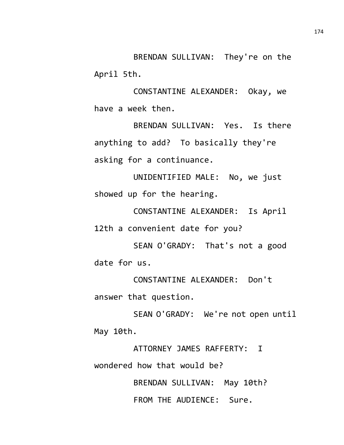BRENDAN SULLIVAN: They're on the April 5th.

CONSTANTINE ALEXANDER: Okay, we have a week then.

BRENDAN SULLIVAN: Yes. Is there anything to add? To basically they're asking for a continuance.

UNIDENTIFIED MALE: No, we just showed up for the hearing.

CONSTANTINE ALEXANDER: Is April 12th a convenient date for you?

SEAN O'GRADY: That's not a good date for us.

CONSTANTINE ALEXANDER: Don't answer that question.

SEAN O'GRADY: We're not open until May 10th.

ATTORNEY JAMES RAFFERTY: I wondered how that would be?

> BRENDAN SULLIVAN: May 10th? FROM THE AUDIENCE: Sure.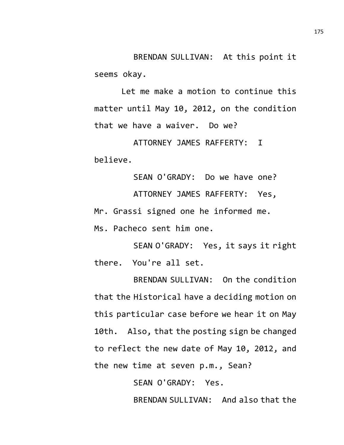BRENDAN SULLIVAN: At this point it seems okay.

Let me make a motion to continue this matter until May 10, 2012, on the condition that we have a waiver. Do we?

ATTORNEY JAMES RAFFERTY: I believe.

SEAN O'GRADY: Do we have one? ATTORNEY JAMES RAFFERTY: Yes, Mr. Grassi signed one he informed me. Ms. Pacheco sent him one.

SEAN O'GRADY: Yes, it says it right there. You're all set.

BRENDAN SULLIVAN: On the condition that the Historical have a deciding motion on this particular case before we hear it on May 10th. Also, that the posting sign be changed to reflect the new date of May 10, 2012, and the new time at seven p.m., Sean?

SEAN O'GRADY: Yes.

BRENDAN SULLIVAN: And also that the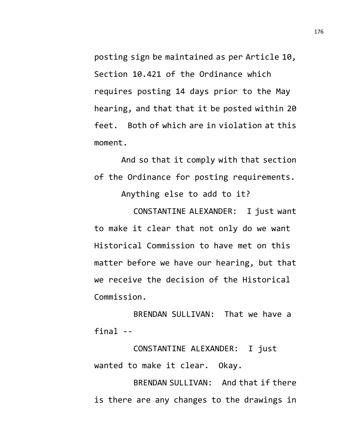posting sign be maintained as per Article 10, Section 10.421 of the Ordinance which requires posting 14 days prior to the May hearing, and that that it be posted within 20 feet. Both of which are in violation at this moment.

And so that it comply with that section of the Ordinance for posting requirements.

Anything else to add to it?

CONSTANTINE ALEXANDER: I just want to make it clear that not only do we want Historical Commission to have met on this matter before we have our hearing, but that we receive the decision of the Historical Commission.

BRENDAN SULLIVAN: That we have a final --

CONSTANTINE ALEXANDER: I just wanted to make it clear. Okay.

BRENDAN SULLIVAN: And that if there is there are any changes to the drawings in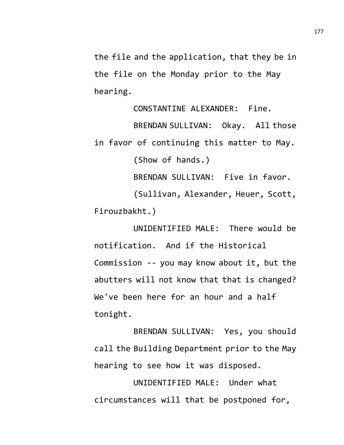the file and the application, that they be in the file on the Monday prior to the May hearing.

CONSTANTINE ALEXANDER: Fine. BRENDAN SULLIVAN: Okay. All those in favor of continuing this matter to May. (Show of hands.) BRENDAN SULLIVAN: Five in favor.

(Sullivan, Alexander, Heuer, Scott, Firouzbakht.)

UNIDENTIFIED MALE: There would be notification. And if the Historical Commission -- you may know about it, but the abutters will not know that that is changed? We've been here for an hour and a half tonight.

BRENDAN SULLIVAN: Yes, you should call the Building Department prior to the May hearing to see how it was disposed.

UNIDENTIFIED MALE: Under what circumstances will that be postponed for,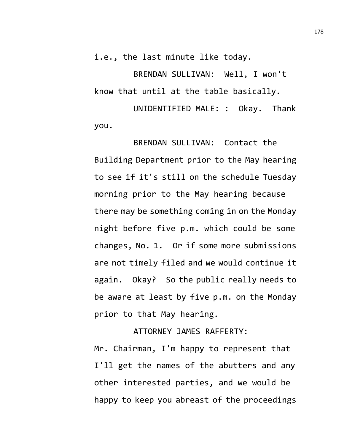i.e., the last minute like today.

BRENDAN SULLIVAN: Well, I won't know that until at the table basically.

UNIDENTIFIED MALE: : Okay. Thank you.

BRENDAN SULLIVAN: Contact the Building Department prior to the May hearing to see if it's still on the schedule Tuesday morning prior to the May hearing because there may be something coming in on the Monday night before five p.m. which could be some changes, No. 1. Or if some more submissions are not timely filed and we would continue it again. Okay? So the public really needs to be aware at least by five p.m. on the Monday prior to that May hearing.

ATTORNEY JAMES RAFFERTY:

Mr. Chairman, I'm happy to represent that I'll get the names of the abutters and any other interested parties, and we would be happy to keep you abreast of the proceedings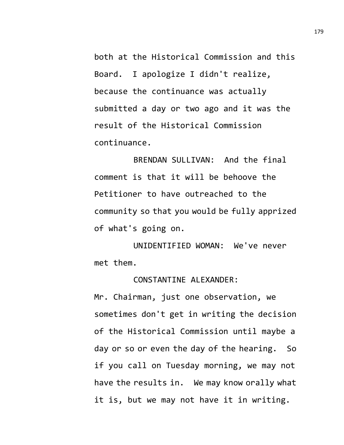both at the Historical Commission and this Board. I apologize I didn't realize, because the continuance was actually submitted a day or two ago and it was the result of the Historical Commission continuance.

BRENDAN SULLIVAN: And the final comment is that it will be behoove the Petitioner to have outreached to the community so that you would be fully apprized of what's going on.

UNIDENTIFIED WOMAN: We've never met them.

## CONSTANTINE ALEXANDER:

Mr. Chairman, just one observation, we sometimes don't get in writing the decision of the Historical Commission until maybe a day or so or even the day of the hearing. So if you call on Tuesday morning, we may not have the results in. We may know orally what it is, but we may not have it in writing.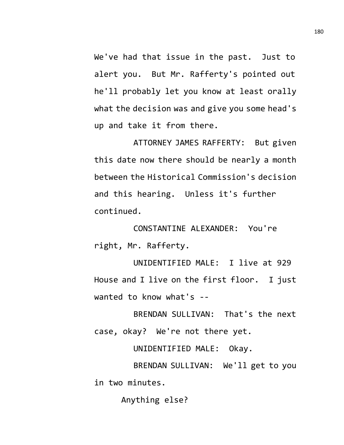We've had that issue in the past. Just to alert you. But Mr. Rafferty's pointed out he'll probably let you know at least orally what the decision was and give you some head's up and take it from there.

ATTORNEY JAMES RAFFERTY: But given this date now there should be nearly a month between the Historical Commission's decision and this hearing. Unless it's further continued.

CONSTANTINE ALEXANDER: You're right, Mr. Rafferty.

UNIDENTIFIED MALE: I live at 929 House and I live on the first floor. I just wanted to know what's --

BRENDAN SULLIVAN: That's the next case, okay? We're not there yet.

UNIDENTIFIED MALE: Okay.

BRENDAN SULLIVAN: We'll get to you in two minutes.

Anything else?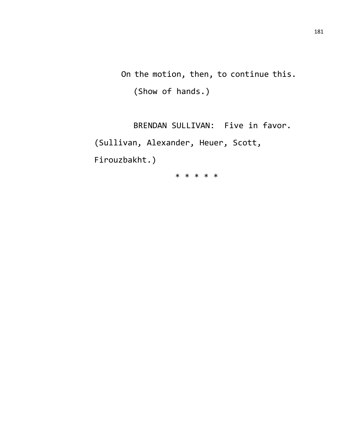On the motion, then, to continue this. (Show of hands.)

BRENDAN SULLIVAN: Five in favor. (Sullivan, Alexander, Heuer, Scott, Firouzbakht.)

\* \* \* \* \*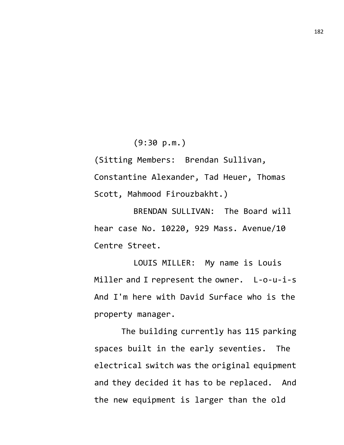(9:30 p.m.)

(Sitting Members: Brendan Sullivan, Constantine Alexander, Tad Heuer, Thomas Scott, Mahmood Firouzbakht.)

BRENDAN SULLIVAN: The Board will hear case No. 10220, 929 Mass. Avenue/10 Centre Street.

LOUIS MILLER: My name is Louis Miller and I represent the owner. L-o-u-i-s And I'm here with David Surface who is the property manager.

The building currently has 115 parking spaces built in the early seventies. The electrical switch was the original equipment and they decided it has to be replaced. And the new equipment is larger than the old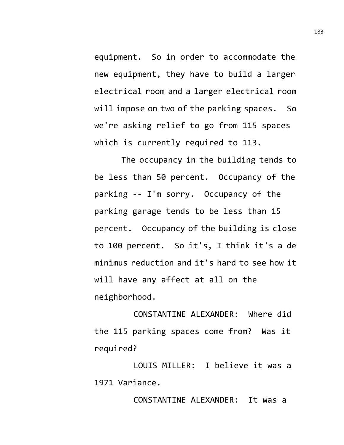equipment. So in order to accommodate the new equipment, they have to build a larger electrical room and a larger electrical room will impose on two of the parking spaces. So we're asking relief to go from 115 spaces which is currently required to 113.

The occupancy in the building tends to be less than 50 percent. Occupancy of the parking -- I'm sorry. Occupancy of the parking garage tends to be less than 15 percent. Occupancy of the building is close to 100 percent. So it's, I think it's a de minimus reduction and it's hard to see how it will have any affect at all on the neighborhood.

CONSTANTINE ALEXANDER: Where did the 115 parking spaces come from? Was it required?

LOUIS MILLER: I believe it was a 1971 Variance.

CONSTANTINE ALEXANDER: It was a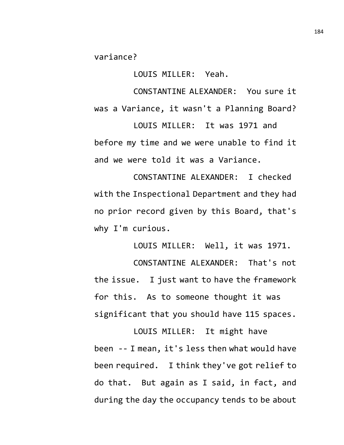variance?

LOUIS MILLER: Yeah.

CONSTANTINE ALEXANDER: You sure it was a Variance, it wasn't a Planning Board?

LOUIS MILLER: It was 1971 and before my time and we were unable to find it and we were told it was a Variance.

CONSTANTINE ALEXANDER: I checked with the Inspectional Department and they had no prior record given by this Board, that's why I'm curious.

LOUIS MILLER: Well, it was 1971.

CONSTANTINE ALEXANDER: That's not the issue. I just want to have the framework for this. As to someone thought it was significant that you should have 115 spaces.

LOUIS MILLER: It might have been -- I mean, it's less then what would have been required. I think they've got relief to do that. But again as I said, in fact, and during the day the occupancy tends to be about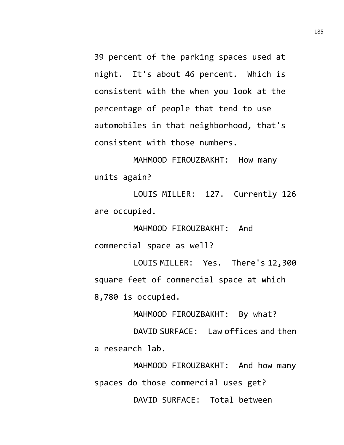39 percent of the parking spaces used at night. It's about 46 percent. Which is consistent with the when you look at the percentage of people that tend to use automobiles in that neighborhood, that's consistent with those numbers.

MAHMOOD FIROUZBAKHT: How many units again?

LOUIS MILLER: 127. Currently 126 are occupied.

MAHMOOD FIROUZBAKHT: And commercial space as well?

LOUIS MILLER: Yes. There's 12,300 square feet of commercial space at which 8,780 is occupied.

MAHMOOD FIROUZBAKHT: By what?

DAVID SURFACE: Law offices and then a research lab.

MAHMOOD FIROUZBAKHT: And how many spaces do those commercial uses get? DAVID SURFACE: Total between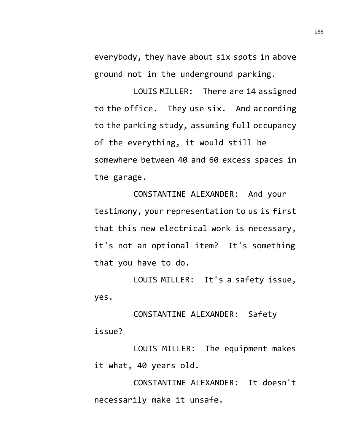everybody, they have about six spots in above ground not in the underground parking.

LOUIS MILLER: There are 14 assigned to the office. They use six. And according to the parking study, assuming full occupancy of the everything, it would still be somewhere between 40 and 60 excess spaces in the garage.

CONSTANTINE ALEXANDER: And your testimony, your representation to us is first that this new electrical work is necessary, it's not an optional item? It's something that you have to do.

LOUIS MILLER: It's a safety issue, yes.

CONSTANTINE ALEXANDER: Safety issue?

LOUIS MILLER: The equipment makes it what, 40 years old.

CONSTANTINE ALEXANDER: It doesn't necessarily make it unsafe.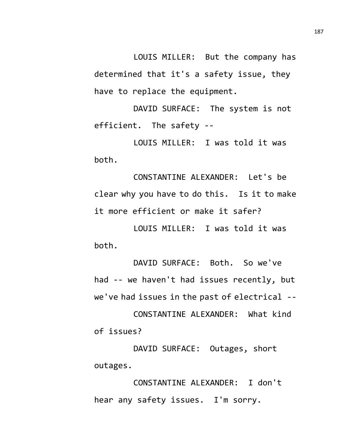LOUIS MILLER: But the company has determined that it's a safety issue, they have to replace the equipment.

DAVID SURFACE: The system is not efficient. The safety --

LOUIS MILLER: I was told it was both.

CONSTANTINE ALEXANDER: Let's be clear why you have to do this. Is it to make it more efficient or make it safer?

LOUIS MILLER: I was told it was both.

DAVID SURFACE: Both. So we've had -- we haven't had issues recently, but we've had issues in the past of electrical --

CONSTANTINE ALEXANDER: What kind of issues?

DAVID SURFACE: Outages, short outages.

CONSTANTINE ALEXANDER: I don't hear any safety issues. I'm sorry.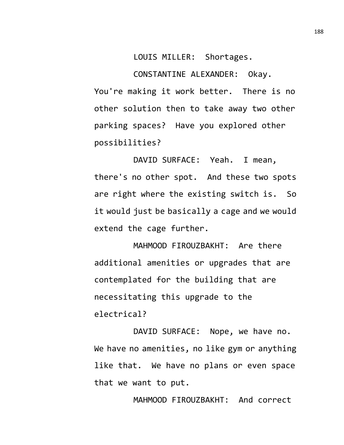LOUIS MILLER: Shortages.

CONSTANTINE ALEXANDER: Okay. You're making it work better. There is no other solution then to take away two other parking spaces? Have you explored other possibilities?

DAVID SURFACE: Yeah. I mean, there's no other spot. And these two spots are right where the existing switch is. So it would just be basically a cage and we would extend the cage further.

MAHMOOD FIROUZBAKHT: Are there additional amenities or upgrades that are contemplated for the building that are necessitating this upgrade to the electrical?

DAVID SURFACE: Nope, we have no. We have no amenities, no like gym or anything like that. We have no plans or even space that we want to put.

MAHMOOD FIROUZBAKHT: And correct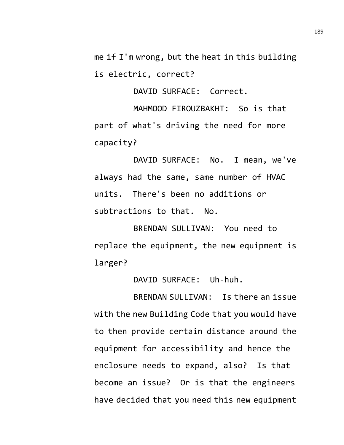me if I'm wrong, but the heat in this building is electric, correct?

DAVID SURFACE: Correct.

MAHMOOD FIROUZBAKHT: So is that part of what's driving the need for more capacity?

DAVID SURFACE: No. I mean, we've always had the same, same number of HVAC units. There's been no additions or subtractions to that. No.

BRENDAN SULLIVAN: You need to replace the equipment, the new equipment is larger?

DAVID SURFACE: Uh-huh.

BRENDAN SULLIVAN: Is there an issue with the new Building Code that you would have to then provide certain distance around the equipment for accessibility and hence the enclosure needs to expand, also? Is that become an issue? Or is that the engineers have decided that you need this new equipment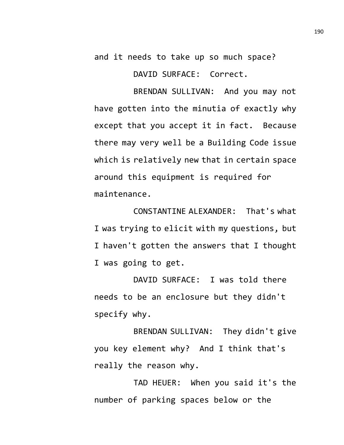and it needs to take up so much space?

DAVID SURFACE: Correct.

BRENDAN SULLIVAN: And you may not have gotten into the minutia of exactly why except that you accept it in fact. Because there may very well be a Building Code issue which is relatively new that in certain space around this equipment is required for maintenance.

CONSTANTINE ALEXANDER: That's what I was trying to elicit with my questions, but I haven't gotten the answers that I thought I was going to get.

DAVID SURFACE: I was told there needs to be an enclosure but they didn't specify why.

BRENDAN SULLIVAN: They didn't give you key element why? And I think that's really the reason why.

TAD HEUER: When you said it's the number of parking spaces below or the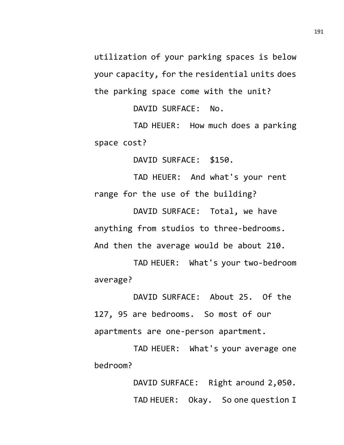utilization of your parking spaces is below your capacity, for the residential units does the parking space come with the unit?

DAVID SURFACE: No.

TAD HEUER: How much does a parking space cost?

DAVID SURFACE: \$150.

TAD HEUER: And what's your rent range for the use of the building?

DAVID SURFACE: Total, we have anything from studios to three-bedrooms. And then the average would be about 210.

TAD HEUER: What's your two-bedroom average?

DAVID SURFACE: About 25. Of the 127, 95 are bedrooms. So most of our apartments are one-person apartment.

TAD HEUER: What's your average one bedroom?

> DAVID SURFACE: Right around 2,050. TAD HEUER: Okay. So one question I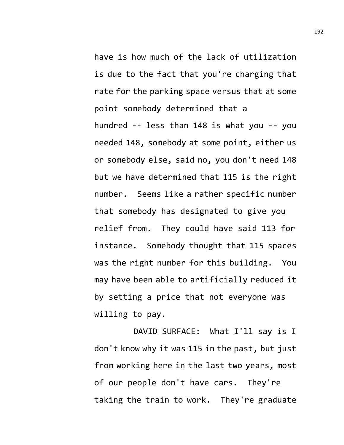have is how much of the lack of utilization is due to the fact that you're charging that rate for the parking space versus that at some point somebody determined that a hundred -- less than 148 is what you -- you needed 148, somebody at some point, either us or somebody else, said no, you don't need 148 but we have determined that 115 is the right number. Seems like a rather specific number that somebody has designated to give you relief from. They could have said 113 for instance. Somebody thought that 115 spaces was the right number for this building. You may have been able to artificially reduced it by setting a price that not everyone was willing to pay.

DAVID SURFACE: What I'll say is I don't know why it was 115 in the past, but just from working here in the last two years, most of our people don't have cars. They're taking the train to work. They're graduate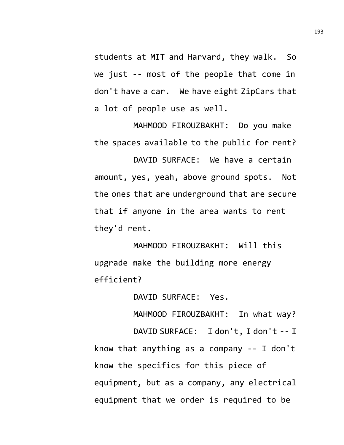students at MIT and Harvard, they walk. So we just -- most of the people that come in don't have a car. We have eight ZipCars that a lot of people use as well.

MAHMOOD FIROUZBAKHT: Do you make the spaces available to the public for rent?

DAVID SURFACE: We have a certain amount, yes, yeah, above ground spots. Not the ones that are underground that are secure that if anyone in the area wants to rent they'd rent.

MAHMOOD FIROUZBAKHT: Will this upgrade make the building more energy efficient?

DAVID SURFACE: Yes.

MAHMOOD FIROUZBAKHT: In what way?

DAVID SURFACE: I don't, I don't -- I know that anything as a company -- I don't know the specifics for this piece of equipment, but as a company, any electrical equipment that we order is required to be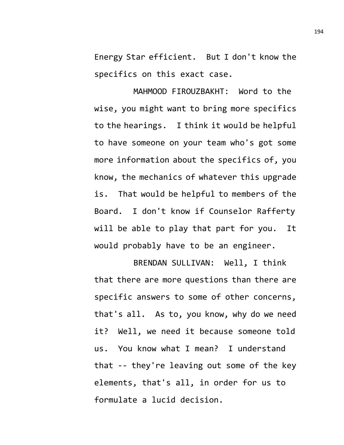Energy Star efficient. But I don't know the specifics on this exact case.

MAHMOOD FIROUZBAKHT: Word to the wise, you might want to bring more specifics to the hearings. I think it would be helpful to have someone on your team who's got some more information about the specifics of, you know, the mechanics of whatever this upgrade is. That would be helpful to members of the Board. I don't know if Counselor Rafferty will be able to play that part for you. It would probably have to be an engineer.

BRENDAN SULLIVAN: Well, I think that there are more questions than there are specific answers to some of other concerns, that's all. As to, you know, why do we need it? Well, we need it because someone told us. You know what I mean? I understand that -- they're leaving out some of the key elements, that's all, in order for us to formulate a lucid decision.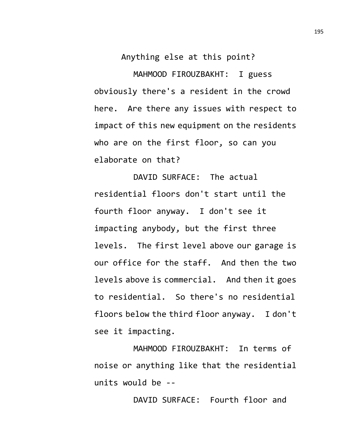Anything else at this point?

MAHMOOD FIROUZBAKHT: I guess obviously there's a resident in the crowd here. Are there any issues with respect to impact of this new equipment on the residents who are on the first floor, so can you elaborate on that?

DAVID SURFACE: The actual residential floors don't start until the fourth floor anyway. I don't see it impacting anybody, but the first three levels. The first level above our garage is our office for the staff. And then the two levels above is commercial. And then it goes to residential. So there's no residential floors below the third floor anyway. I don't see it impacting.

MAHMOOD FIROUZBAKHT: In terms of noise or anything like that the residential units would be --

DAVID SURFACE: Fourth floor and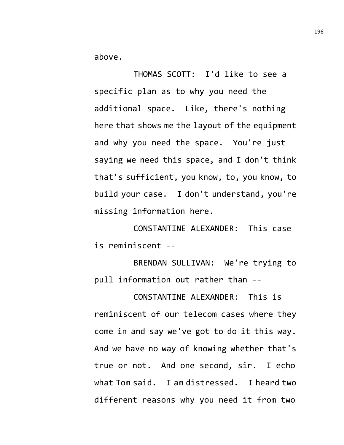above.

THOMAS SCOTT: I'd like to see a specific plan as to why you need the additional space. Like, there's nothing here that shows me the layout of the equipment and why you need the space. You're just saying we need this space, and I don't think that's sufficient, you know, to, you know, to build your case. I don't understand, you're missing information here.

CONSTANTINE ALEXANDER: This case is reminiscent --

BRENDAN SULLIVAN: We're trying to pull information out rather than --

CONSTANTINE ALEXANDER: This is reminiscent of our telecom cases where they come in and say we've got to do it this way. And we have no way of knowing whether that's true or not. And one second, sir. I echo what Tom said. I am distressed. I heard two different reasons why you need it from two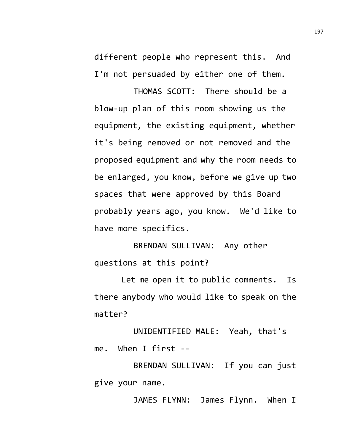different people who represent this. And I'm not persuaded by either one of them.

THOMAS SCOTT: There should be a blow-up plan of this room showing us the equipment, the existing equipment, whether it's being removed or not removed and the proposed equipment and why the room needs to be enlarged, you know, before we give up two spaces that were approved by this Board probably years ago, you know. We'd like to have more specifics.

BRENDAN SULLIVAN: Any other questions at this point?

Let me open it to public comments. Is there anybody who would like to speak on the matter?

UNIDENTIFIED MALE: Yeah, that's me. When I first --

BRENDAN SULLIVAN: If you can just give your name.

JAMES FLYNN: James Flynn. When I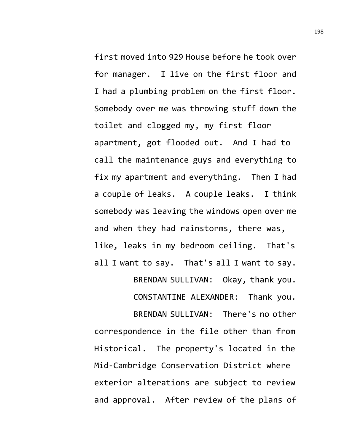first moved into 929 House before he took over for manager. I live on the first floor and I had a plumbing problem on the first floor. Somebody over me was throwing stuff down the toilet and clogged my, my first floor apartment, got flooded out. And I had to call the maintenance guys and everything to fix my apartment and everything. Then I had a couple of leaks. A couple leaks. I think somebody was leaving the windows open over me and when they had rainstorms, there was, like, leaks in my bedroom ceiling. That's all I want to say. That's all I want to say.

BRENDAN SULLIVAN: Okay, thank you.

CONSTANTINE ALEXANDER: Thank you.

BRENDAN SULLIVAN: There's no other correspondence in the file other than from Historical. The property's located in the Mid-Cambridge Conservation District where exterior alterations are subject to review and approval. After review of the plans of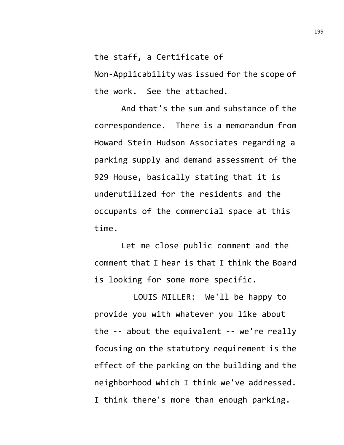the staff, a Certificate of

Non-Applicability was issued for the scope of the work. See the attached.

And that's the sum and substance of the correspondence. There is a memorandum from Howard Stein Hudson Associates regarding a parking supply and demand assessment of the 929 House, basically stating that it is underutilized for the residents and the occupants of the commercial space at this time.

Let me close public comment and the comment that I hear is that I think the Board is looking for some more specific.

LOUIS MILLER: We'll be happy to provide you with whatever you like about the -- about the equivalent -- we're really focusing on the statutory requirement is the effect of the parking on the building and the neighborhood which I think we've addressed. I think there's more than enough parking.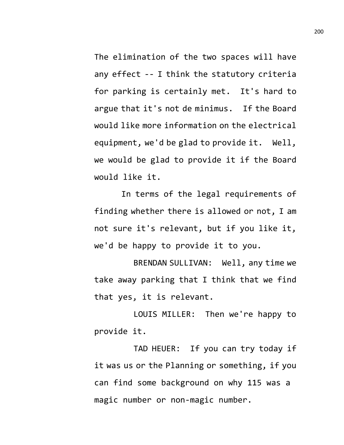The elimination of the two spaces will have any effect -- I think the statutory criteria for parking is certainly met. It's hard to argue that it's not de minimus. If the Board would like more information on the electrical equipment, we'd be glad to provide it. Well, we would be glad to provide it if the Board would like it.

In terms of the legal requirements of finding whether there is allowed or not, I am not sure it's relevant, but if you like it, we'd be happy to provide it to you.

BRENDAN SULLIVAN: Well, any time we take away parking that I think that we find that yes, it is relevant.

LOUIS MILLER: Then we're happy to provide it.

TAD HEUER: If you can try today if it was us or the Planning or something, if you can find some background on why 115 was a magic number or non-magic number.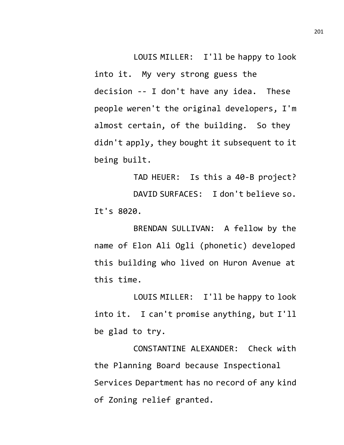LOUIS MILLER: I'll be happy to look into it. My very strong guess the decision -- I don't have any idea. These people weren't the original developers, I'm almost certain, of the building. So they didn't apply, they bought it subsequent to it being built.

TAD HEUER: Is this a 40-B project? DAVID SURFACES: I don't believe so. It's 8020.

BRENDAN SULLIVAN: A fellow by the name of Elon Ali Ogli (phonetic) developed this building who lived on Huron Avenue at this time.

LOUIS MILLER: I'll be happy to look into it. I can't promise anything, but I'll be glad to try.

CONSTANTINE ALEXANDER: Check with the Planning Board because Inspectional Services Department has no record of any kind of Zoning relief granted.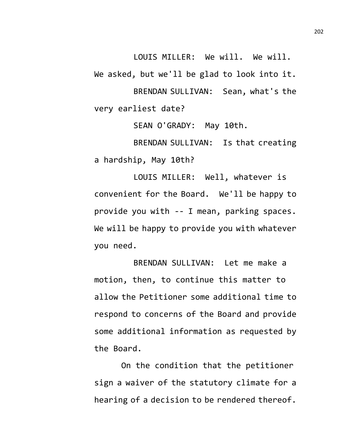LOUIS MILLER: We will. We will.

We asked, but we'll be glad to look into it.

BRENDAN SULLIVAN: Sean, what's the very earliest date?

SEAN O'GRADY: May 10th.

BRENDAN SULLIVAN: Is that creating a hardship, May 10th?

LOUIS MILLER: Well, whatever is convenient for the Board. We'll be happy to provide you with -- I mean, parking spaces. We will be happy to provide you with whatever you need.

BRENDAN SULLIVAN: Let me make a motion, then, to continue this matter to allow the Petitioner some additional time to respond to concerns of the Board and provide some additional information as requested by the Board.

On the condition that the petitioner sign a waiver of the statutory climate for a hearing of a decision to be rendered thereof.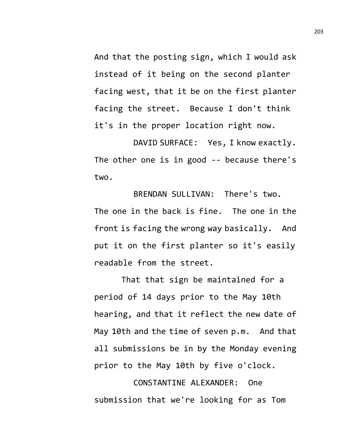And that the posting sign, which I would ask instead of it being on the second planter facing west, that it be on the first planter facing the street. Because I don't think it's in the proper location right now.

DAVID SURFACE: Yes, I know exactly. The other one is in good -- because there's two.

BRENDAN SULLIVAN: There's two. The one in the back is fine. The one in the front is facing the wrong way basically. And put it on the first planter so it's easily readable from the street.

That that sign be maintained for a period of 14 days prior to the May 10th hearing, and that it reflect the new date of May 10th and the time of seven p.m. And that all submissions be in by the Monday evening prior to the May 10th by five o'clock.

CONSTANTINE ALEXANDER: One submission that we're looking for as Tom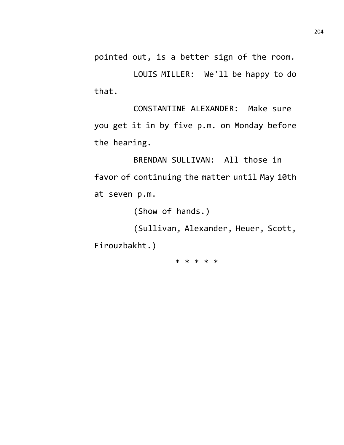pointed out, is a better sign of the room.

LOUIS MILLER: We'll be happy to do that.

CONSTANTINE ALEXANDER: Make sure you get it in by five p.m. on Monday before the hearing.

BRENDAN SULLIVAN: All those in favor of continuing the matter until May 10th at seven p.m.

(Show of hands.)

(Sullivan, Alexander, Heuer, Scott,

Firouzbakht.)

\* \* \* \* \*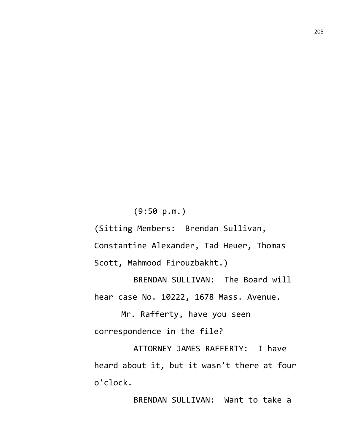(9:50 p.m.) (Sitting Members: Brendan Sullivan, Constantine Alexander, Tad Heuer, Thomas Scott, Mahmood Firouzbakht.)

BRENDAN SULLIVAN: The Board will hear case No. 10222, 1678 Mass. Avenue.

Mr. Rafferty, have you seen correspondence in the file?

ATTORNEY JAMES RAFFERTY: I have heard about it, but it wasn't there at four o'clock.

BRENDAN SULLIVAN: Want to take a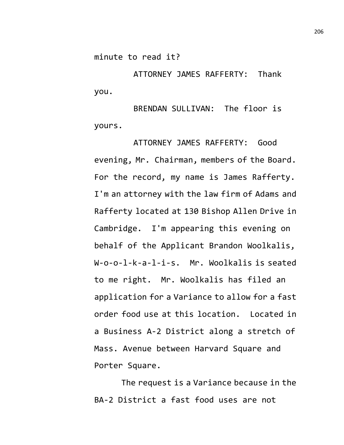minute to read it?

ATTORNEY JAMES RAFFERTY: Thank you.

BRENDAN SULLIVAN: The floor is yours.

ATTORNEY JAMES RAFFERTY: Good evening, Mr. Chairman, members of the Board. For the record, my name is James Rafferty. I'm an attorney with the law firm of Adams and Rafferty located at 130 Bishop Allen Drive in Cambridge. I'm appearing this evening on behalf of the Applicant Brandon Woolkalis, W-o-o-l-k-a-l-i-s. Mr. Woolkalis is seated to me right. Mr. Woolkalis has filed an application for a Variance to allow for a fast order food use at this location. Located in a Business A-2 District along a stretch of Mass. Avenue between Harvard Square and Porter Square.

The request is a Variance because in the BA-2 District a fast food uses are not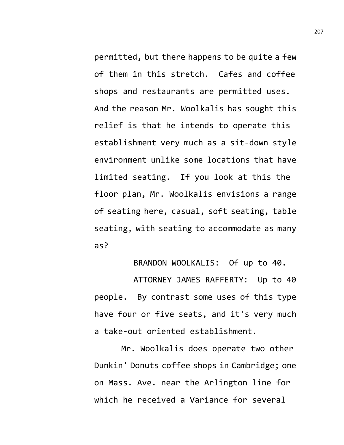permitted, but there happens to be quite a few of them in this stretch. Cafes and coffee shops and restaurants are permitted uses. And the reason Mr. Woolkalis has sought this relief is that he intends to operate this establishment very much as a sit-down style environment unlike some locations that have limited seating. If you look at this the floor plan, Mr. Woolkalis envisions a range of seating here, casual, soft seating, table seating, with seating to accommodate as many as?

BRANDON WOOLKALIS: Of up to 40.

ATTORNEY JAMES RAFFERTY: Up to 40 people. By contrast some uses of this type have four or five seats, and it's very much a take-out oriented establishment.

Mr. Woolkalis does operate two other Dunkin' Donuts coffee shops in Cambridge; one on Mass. Ave. near the Arlington line for which he received a Variance for several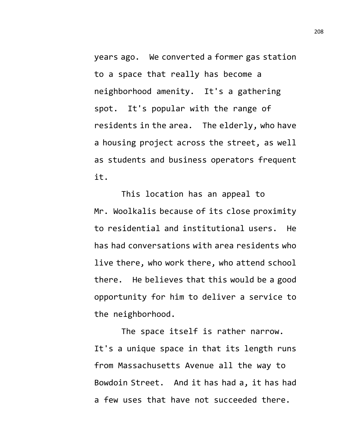years ago. We converted a former gas station to a space that really has become a neighborhood amenity. It's a gathering spot. It's popular with the range of residents in the area. The elderly, who have a housing project across the street, as well as students and business operators frequent it.

This location has an appeal to Mr. Woolkalis because of its close proximity to residential and institutional users. He has had conversations with area residents who live there, who work there, who attend school there. He believes that this would be a good opportunity for him to deliver a service to the neighborhood.

The space itself is rather narrow. It's a unique space in that its length runs from Massachusetts Avenue all the way to Bowdoin Street. And it has had a, it has had a few uses that have not succeeded there.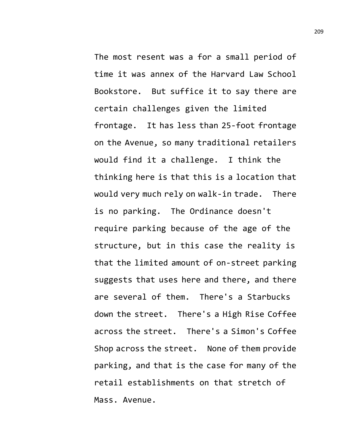The most resent was a for a small period of time it was annex of the Harvard Law School Bookstore. But suffice it to say there are certain challenges given the limited frontage. It has less than 25-foot frontage on the Avenue, so many traditional retailers would find it a challenge. I think the thinking here is that this is a location that would very much rely on walk-in trade. There is no parking. The Ordinance doesn't require parking because of the age of the structure, but in this case the reality is that the limited amount of on-street parking suggests that uses here and there, and there are several of them. There's a Starbucks down the street. There's a High Rise Coffee across the street. There's a Simon's Coffee Shop across the street. None of them provide parking, and that is the case for many of the retail establishments on that stretch of Mass. Avenue.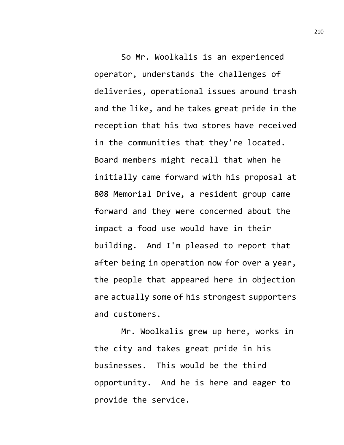So Mr. Woolkalis is an experienced operator, understands the challenges of deliveries, operational issues around trash and the like, and he takes great pride in the reception that his two stores have received in the communities that they're located. Board members might recall that when he initially came forward with his proposal at 808 Memorial Drive, a resident group came forward and they were concerned about the impact a food use would have in their building. And I'm pleased to report that after being in operation now for over a year, the people that appeared here in objection are actually some of his strongest supporters and customers.

Mr. Woolkalis grew up here, works in the city and takes great pride in his businesses. This would be the third opportunity. And he is here and eager to provide the service.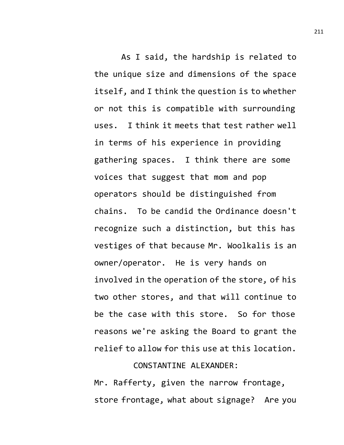As I said, the hardship is related to the unique size and dimensions of the space itself, and I think the question is to whether or not this is compatible with surrounding uses. I think it meets that test rather well in terms of his experience in providing gathering spaces. I think there are some voices that suggest that mom and pop operators should be distinguished from chains. To be candid the Ordinance doesn't recognize such a distinction, but this has vestiges of that because Mr. Woolkalis is an owner/operator. He is very hands on involved in the operation of the store, of his two other stores, and that will continue to be the case with this store. So for those reasons we're asking the Board to grant the relief to allow for this use at this location.

## CONSTANTINE ALEXANDER:

Mr. Rafferty, given the narrow frontage, store frontage, what about signage? Are you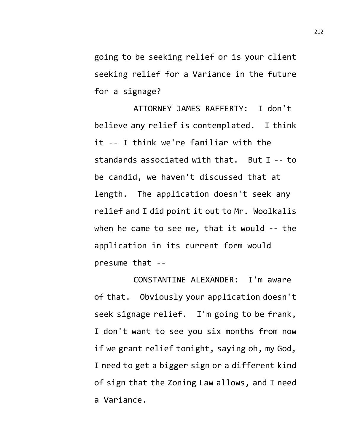going to be seeking relief or is your client seeking relief for a Variance in the future for a signage?

ATTORNEY JAMES RAFFERTY: I don't believe any relief is contemplated. I think it -- I think we're familiar with the standards associated with that. But I -- to be candid, we haven't discussed that at length. The application doesn't seek any relief and I did point it out to Mr. Woolkalis when he came to see me, that it would -- the application in its current form would presume that --

CONSTANTINE ALEXANDER: I'm aware of that. Obviously your application doesn't seek signage relief. I'm going to be frank, I don't want to see you six months from now if we grant relief tonight, saying oh, my God, I need to get a bigger sign or a different kind of sign that the Zoning Law allows, and I need a Variance.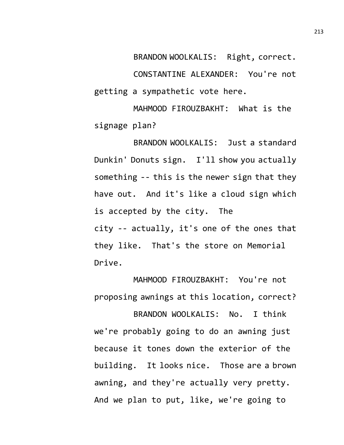BRANDON WOOLKALIS: Right, correct. CONSTANTINE ALEXANDER: You're not getting a sympathetic vote here.

MAHMOOD FIROUZBAKHT: What is the signage plan?

BRANDON WOOLKALIS: Just a standard Dunkin' Donuts sign. I'll show you actually something -- this is the newer sign that they have out. And it's like a cloud sign which is accepted by the city. The city -- actually, it's one of the ones that they like. That's the store on Memorial Drive.

MAHMOOD FIROUZBAKHT: You're not proposing awnings at this location, correct?

BRANDON WOOLKALIS: No. I think we're probably going to do an awning just because it tones down the exterior of the building. It looks nice. Those are a brown awning, and they're actually very pretty. And we plan to put, like, we're going to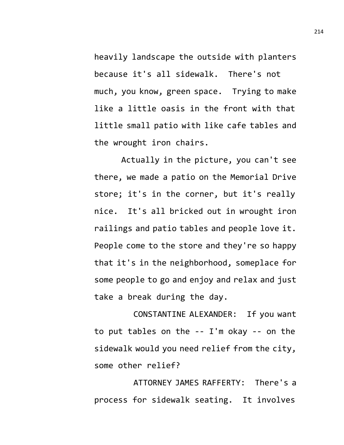heavily landscape the outside with planters because it's all sidewalk. There's not much, you know, green space. Trying to make like a little oasis in the front with that little small patio with like cafe tables and the wrought iron chairs.

Actually in the picture, you can't see there, we made a patio on the Memorial Drive store; it's in the corner, but it's really nice. It's all bricked out in wrought iron railings and patio tables and people love it. People come to the store and they're so happy that it's in the neighborhood, someplace for some people to go and enjoy and relax and just take a break during the day.

CONSTANTINE ALEXANDER: If you want to put tables on the -- I'm okay -- on the sidewalk would you need relief from the city, some other relief?

ATTORNEY JAMES RAFFERTY: There's a process for sidewalk seating. It involves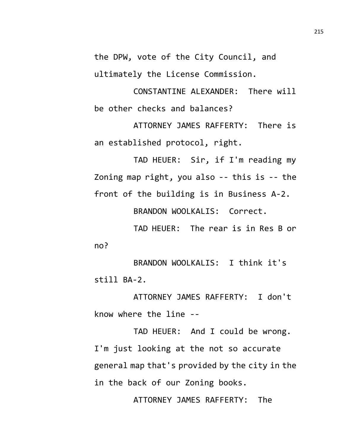the DPW, vote of the City Council, and ultimately the License Commission.

CONSTANTINE ALEXANDER: There will be other checks and balances?

ATTORNEY JAMES RAFFERTY: There is an established protocol, right.

TAD HEUER: Sir, if I'm reading my Zoning map right, you also -- this is -- the front of the building is in Business A-2.

BRANDON WOOLKALIS: Correct.

TAD HEUER: The rear is in Res B or no?

BRANDON WOOLKALIS: I think it's still BA-2.

ATTORNEY JAMES RAFFERTY: I don't know where the line --

TAD HEUER: And I could be wrong. I'm just looking at the not so accurate general map that's provided by the city in the in the back of our Zoning books.

ATTORNEY JAMES RAFFERTY: The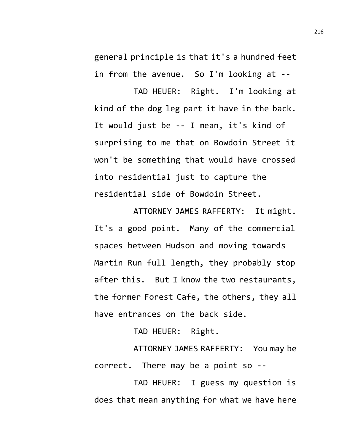general principle is that it's a hundred feet in from the avenue. So I'm looking at --

TAD HEUER: Right. I'm looking at kind of the dog leg part it have in the back. It would just be -- I mean, it's kind of surprising to me that on Bowdoin Street it won't be something that would have crossed into residential just to capture the residential side of Bowdoin Street.

ATTORNEY JAMES RAFFERTY: It might. It's a good point. Many of the commercial spaces between Hudson and moving towards Martin Run full length, they probably stop after this. But I know the two restaurants, the former Forest Cafe, the others, they all have entrances on the back side.

TAD HEUER: Right.

ATTORNEY JAMES RAFFERTY: You may be correct. There may be a point so --

TAD HEUER: I guess my question is does that mean anything for what we have here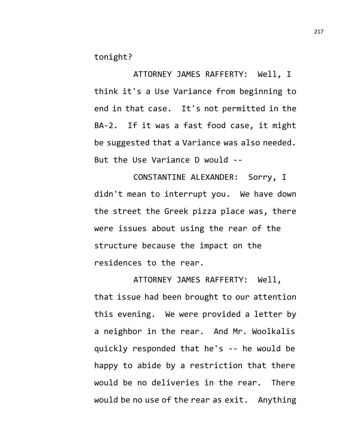tonight?

ATTORNEY JAMES RAFFERTY: Well, I think it's a Use Variance from beginning to end in that case. It's not permitted in the BA-2. If it was a fast food case, it might be suggested that a Variance was also needed. But the Use Variance D would --

CONSTANTINE ALEXANDER: Sorry, I didn't mean to interrupt you. We have down the street the Greek pizza place was, there were issues about using the rear of the structure because the impact on the residences to the rear.

ATTORNEY JAMES RAFFERTY: Well, that issue had been brought to our attention this evening. We were provided a letter by a neighbor in the rear. And Mr. Woolkalis quickly responded that he's -- he would be happy to abide by a restriction that there would be no deliveries in the rear. There would be no use of the rear as exit. Anything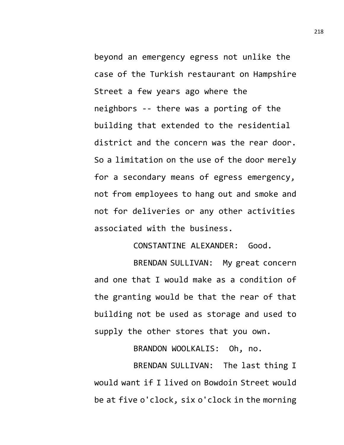beyond an emergency egress not unlike the case of the Turkish restaurant on Hampshire Street a few years ago where the neighbors -- there was a porting of the building that extended to the residential district and the concern was the rear door. So a limitation on the use of the door merely for a secondary means of egress emergency, not from employees to hang out and smoke and not for deliveries or any other activities associated with the business.

CONSTANTINE ALEXANDER: Good.

BRENDAN SULLIVAN: My great concern and one that I would make as a condition of the granting would be that the rear of that building not be used as storage and used to supply the other stores that you own.

BRANDON WOOLKALIS: Oh, no.

BRENDAN SULLIVAN: The last thing I would want if I lived on Bowdoin Street would be at five o'clock, six o'clock in the morning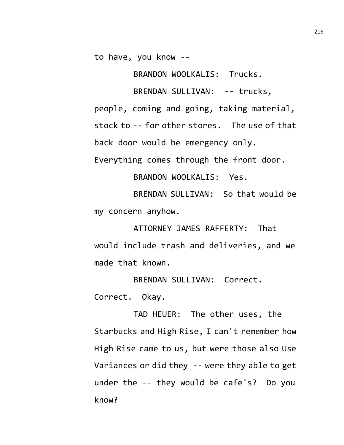to have, you know --

BRANDON WOOLKALIS: Trucks.

BRENDAN SULLIVAN: -- trucks, people, coming and going, taking material, stock to -- for other stores. The use of that back door would be emergency only. Everything comes through the front door.

BRANDON WOOLKALIS: Yes.

BRENDAN SULLIVAN: So that would be my concern anyhow.

ATTORNEY JAMES RAFFERTY: That would include trash and deliveries, and we made that known.

BRENDAN SULLIVAN: Correct. Correct. Okay.

TAD HEUER: The other uses, the Starbucks and High Rise, I can't remember how High Rise came to us, but were those also Use Variances or did they -- were they able to get under the -- they would be cafe's? Do you know?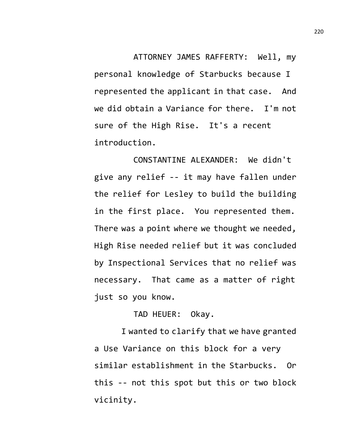ATTORNEY JAMES RAFFERTY: Well, my personal knowledge of Starbucks because I represented the applicant in that case. And we did obtain a Variance for there. I'm not sure of the High Rise. It's a recent introduction.

CONSTANTINE ALEXANDER: We didn't give any relief -- it may have fallen under the relief for Lesley to build the building in the first place. You represented them. There was a point where we thought we needed, High Rise needed relief but it was concluded by Inspectional Services that no relief was necessary. That came as a matter of right just so you know.

TAD HEUER: Okay.

I wanted to clarify that we have granted a Use Variance on this block for a very similar establishment in the Starbucks. Or this -- not this spot but this or two block vicinity.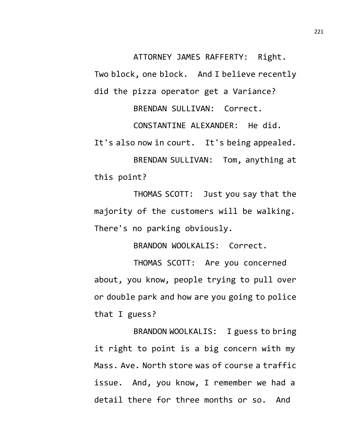ATTORNEY JAMES RAFFERTY: Right.

Two block, one block. And I believe recently did the pizza operator get a Variance?

BRENDAN SULLIVAN: Correct.

CONSTANTINE ALEXANDER: He did. It's also now in court. It's being appealed.

BRENDAN SULLIVAN: Tom, anything at this point?

THOMAS SCOTT: Just you say that the majority of the customers will be walking. There's no parking obviously.

BRANDON WOOLKALIS: Correct.

THOMAS SCOTT: Are you concerned about, you know, people trying to pull over or double park and how are you going to police that I guess?

BRANDON WOOLKALIS: I guess to bring it right to point is a big concern with my Mass. Ave. North store was of course a traffic issue. And, you know, I remember we had a detail there for three months or so. And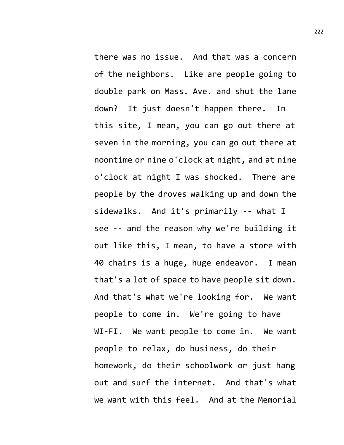there was no issue. And that was a concern of the neighbors. Like are people going to double park on Mass. Ave. and shut the lane down? It just doesn't happen there. In this site, I mean, you can go out there at seven in the morning, you can go out there at noontime or nine o'clock at night, and at nine o'clock at night I was shocked. There are people by the droves walking up and down the sidewalks. And it's primarily -- what I see -- and the reason why we're building it out like this, I mean, to have a store with 40 chairs is a huge, huge endeavor. I mean that's a lot of space to have people sit down. And that's what we're looking for. We want people to come in. We're going to have WI-FI. We want people to come in. We want people to relax, do business, do their homework, do their schoolwork or just hang out and surf the internet. And that's what we want with this feel. And at the Memorial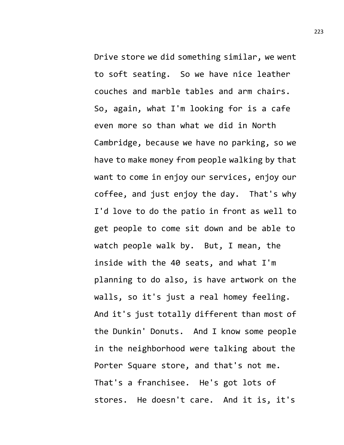Drive store we did something similar, we went to soft seating. So we have nice leather couches and marble tables and arm chairs. So, again, what I'm looking for is a cafe even more so than what we did in North Cambridge, because we have no parking, so we have to make money from people walking by that want to come in enjoy our services, enjoy our coffee, and just enjoy the day. That's why I'd love to do the patio in front as well to get people to come sit down and be able to watch people walk by. But, I mean, the inside with the 40 seats, and what I'm planning to do also, is have artwork on the walls, so it's just a real homey feeling. And it's just totally different than most of the Dunkin' Donuts. And I know some people in the neighborhood were talking about the Porter Square store, and that's not me. That's a franchisee. He's got lots of stores. He doesn't care. And it is, it's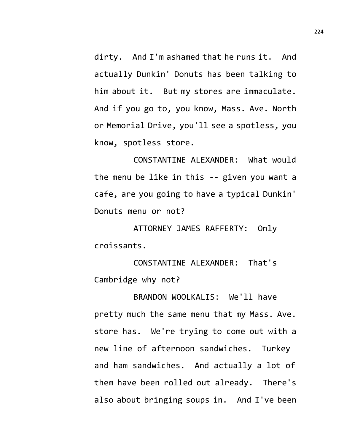dirty. And I'm ashamed that he runs it. And actually Dunkin' Donuts has been talking to him about it. But my stores are immaculate. And if you go to, you know, Mass. Ave. North or Memorial Drive, you'll see a spotless, you know, spotless store.

CONSTANTINE ALEXANDER: What would the menu be like in this -- given you want a cafe, are you going to have a typical Dunkin' Donuts menu or not?

ATTORNEY JAMES RAFFERTY: Only croissants.

CONSTANTINE ALEXANDER: That's Cambridge why not?

BRANDON WOOLKALIS: We'll have pretty much the same menu that my Mass. Ave. store has. We're trying to come out with a new line of afternoon sandwiches. Turkey and ham sandwiches. And actually a lot of them have been rolled out already. There's also about bringing soups in. And I've been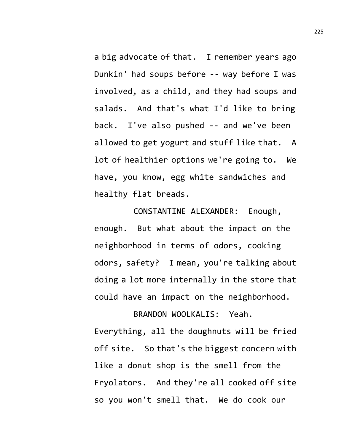a big advocate of that. I remember years ago Dunkin' had soups before -- way before I was involved, as a child, and they had soups and salads. And that's what I'd like to bring back. I've also pushed -- and we've been allowed to get yogurt and stuff like that. A lot of healthier options we're going to. We have, you know, egg white sandwiches and healthy flat breads.

CONSTANTINE ALEXANDER: Enough, enough. But what about the impact on the neighborhood in terms of odors, cooking odors, safety? I mean, you're talking about doing a lot more internally in the store that could have an impact on the neighborhood.

BRANDON WOOLKALIS: Yeah. Everything, all the doughnuts will be fried off site. So that's the biggest concern with like a donut shop is the smell from the Fryolators. And they're all cooked off site so you won't smell that. We do cook our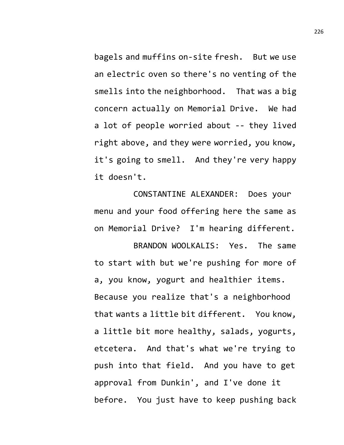bagels and muffins on-site fresh. But we use an electric oven so there's no venting of the smells into the neighborhood. That was a big concern actually on Memorial Drive. We had a lot of people worried about -- they lived right above, and they were worried, you know, it's going to smell. And they're very happy it doesn't.

CONSTANTINE ALEXANDER: Does your menu and your food offering here the same as on Memorial Drive? I'm hearing different.

BRANDON WOOLKALIS: Yes. The same to start with but we're pushing for more of a, you know, yogurt and healthier items. Because you realize that's a neighborhood that wants a little bit different. You know, a little bit more healthy, salads, yogurts, etcetera. And that's what we're trying to push into that field. And you have to get approval from Dunkin', and I've done it before. You just have to keep pushing back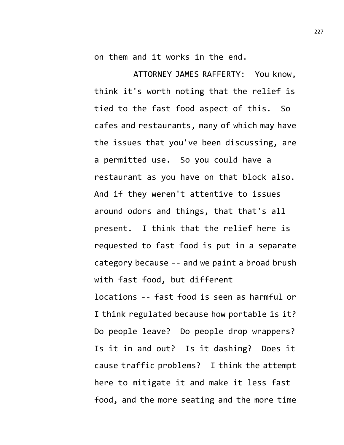on them and it works in the end.

ATTORNEY JAMES RAFFERTY: You know, think it's worth noting that the relief is tied to the fast food aspect of this. So cafes and restaurants, many of which may have the issues that you've been discussing, are a permitted use. So you could have a restaurant as you have on that block also. And if they weren't attentive to issues around odors and things, that that's all present. I think that the relief here is requested to fast food is put in a separate category because -- and we paint a broad brush with fast food, but different locations -- fast food is seen as harmful or I think regulated because how portable is it? Do people leave? Do people drop wrappers? Is it in and out? Is it dashing? Does it cause traffic problems? I think the attempt here to mitigate it and make it less fast food, and the more seating and the more time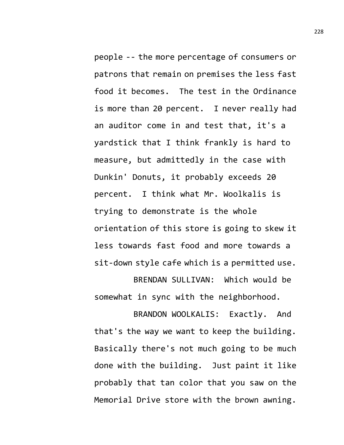people -- the more percentage of consumers or patrons that remain on premises the less fast food it becomes. The test in the Ordinance is more than 20 percent. I never really had an auditor come in and test that, it's a yardstick that I think frankly is hard to measure, but admittedly in the case with Dunkin' Donuts, it probably exceeds 20 percent. I think what Mr. Woolkalis is trying to demonstrate is the whole orientation of this store is going to skew it less towards fast food and more towards a sit-down style cafe which is a permitted use. BRENDAN SULLIVAN: Which would be

somewhat in sync with the neighborhood.

BRANDON WOOLKALIS: Exactly. And that's the way we want to keep the building. Basically there's not much going to be much done with the building. Just paint it like probably that tan color that you saw on the Memorial Drive store with the brown awning.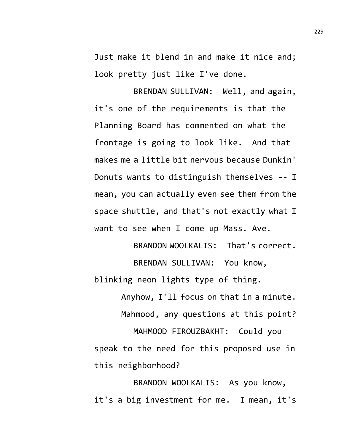Just make it blend in and make it nice and; look pretty just like I've done.

BRENDAN SULLIVAN: Well, and again, it's one of the requirements is that the Planning Board has commented on what the frontage is going to look like. And that makes me a little bit nervous because Dunkin' Donuts wants to distinguish themselves -- I mean, you can actually even see them from the space shuttle, and that's not exactly what I want to see when I come up Mass. Ave.

BRANDON WOOLKALIS: That's correct. BRENDAN SULLIVAN: You know,

blinking neon lights type of thing.

Anyhow, I'll focus on that in a minute. Mahmood, any questions at this point? MAHMOOD FIROUZBAKHT: Could you speak to the need for this proposed use in this neighborhood?

BRANDON WOOLKALIS: As you know, it's a big investment for me. I mean, it's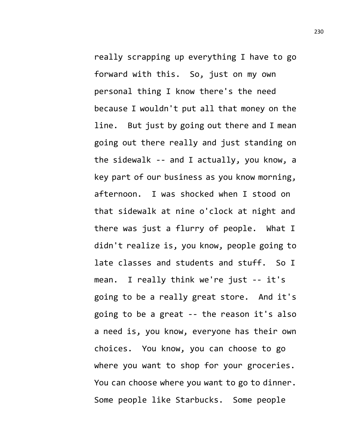really scrapping up everything I have to go forward with this. So, just on my own personal thing I know there's the need because I wouldn't put all that money on the line. But just by going out there and I mean going out there really and just standing on the sidewalk -- and I actually, you know, a key part of our business as you know morning, afternoon. I was shocked when I stood on that sidewalk at nine o'clock at night and there was just a flurry of people. What I didn't realize is, you know, people going to late classes and students and stuff. So I mean. I really think we're just -- it's going to be a really great store. And it's going to be a great -- the reason it's also a need is, you know, everyone has their own choices. You know, you can choose to go where you want to shop for your groceries. You can choose where you want to go to dinner. Some people like Starbucks. Some people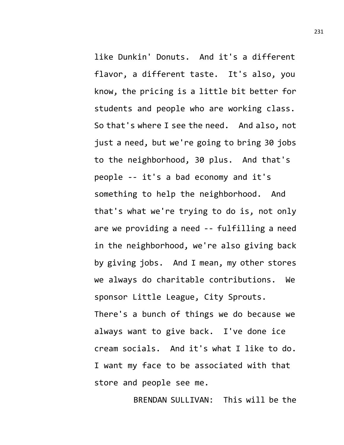like Dunkin' Donuts. And it's a different flavor, a different taste. It's also, you know, the pricing is a little bit better for students and people who are working class. So that's where I see the need. And also, not just a need, but we're going to bring 30 jobs to the neighborhood, 30 plus. And that's people -- it's a bad economy and it's something to help the neighborhood. And that's what we're trying to do is, not only are we providing a need -- fulfilling a need in the neighborhood, we're also giving back by giving jobs. And I mean, my other stores we always do charitable contributions. We sponsor Little League, City Sprouts. There's a bunch of things we do because we always want to give back. I've done ice cream socials. And it's what I like to do. I want my face to be associated with that store and people see me.

BRENDAN SULLIVAN: This will be the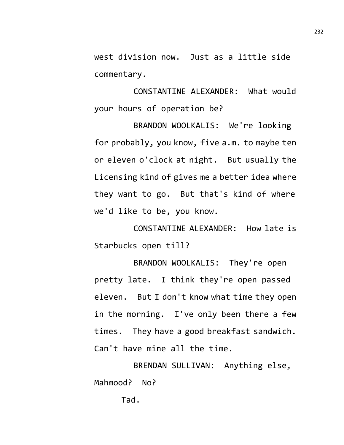west division now. Just as a little side commentary.

CONSTANTINE ALEXANDER: What would your hours of operation be?

BRANDON WOOLKALIS: We're looking for probably, you know, five a.m. to maybe ten or eleven o'clock at night. But usually the Licensing kind of gives me a better idea where they want to go. But that's kind of where we'd like to be, you know.

CONSTANTINE ALEXANDER: How late is Starbucks open till?

BRANDON WOOLKALIS: They're open pretty late. I think they're open passed eleven. But I don't know what time they open in the morning. I've only been there a few times. They have a good breakfast sandwich. Can't have mine all the time.

BRENDAN SULLIVAN: Anything else, Mahmood? No?

Tad.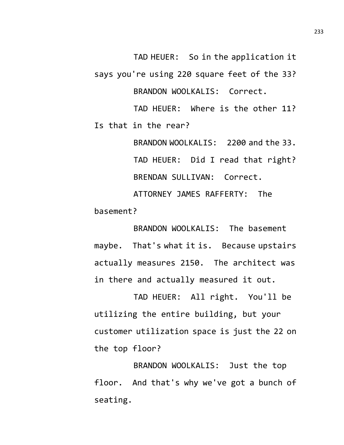TAD HEUER: So in the application it says you're using 220 square feet of the 33? BRANDON WOOLKALIS: Correct.

TAD HEUER: Where is the other 11? Is that in the rear?

BRANDON WOOLKALIS: 2200 and the 33. TAD HEUER: Did I read that right? BRENDAN SULLIVAN: Correct. ATTORNEY JAMES RAFFERTY: The

basement?

BRANDON WOOLKALIS: The basement maybe. That's what it is. Because upstairs actually measures 2150. The architect was in there and actually measured it out.

TAD HEUER: All right. You'll be utilizing the entire building, but your customer utilization space is just the 22 on the top floor?

BRANDON WOOLKALIS: Just the top floor. And that's why we've got a bunch of seating.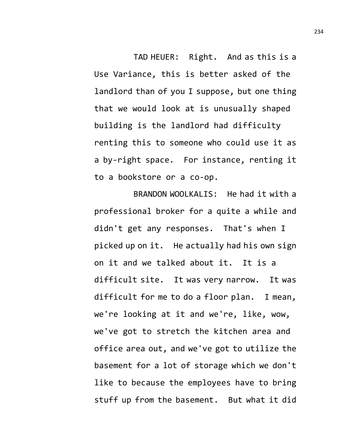TAD HEUER: Right. And as this is a Use Variance, this is better asked of the landlord than of you I suppose, but one thing that we would look at is unusually shaped building is the landlord had difficulty renting this to someone who could use it as a by-right space. For instance, renting it to a bookstore or a co-op.

BRANDON WOOLKALIS: He had it with a professional broker for a quite a while and didn't get any responses. That's when I picked up on it. He actually had his own sign on it and we talked about it. It is a difficult site. It was very narrow. It was difficult for me to do a floor plan. I mean, we're looking at it and we're, like, wow, we've got to stretch the kitchen area and office area out, and we've got to utilize the basement for a lot of storage which we don't like to because the employees have to bring stuff up from the basement. But what it did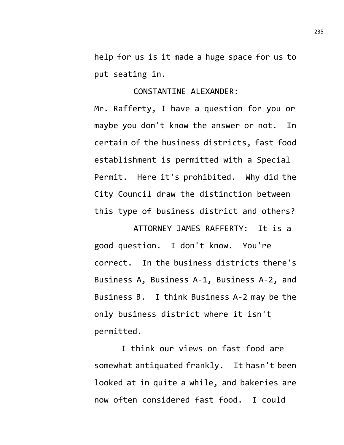help for us is it made a huge space for us to put seating in.

## CONSTANTINE ALEXANDER:

Mr. Rafferty, I have a question for you or maybe you don't know the answer or not. In certain of the business districts, fast food establishment is permitted with a Special Permit. Here it's prohibited. Why did the City Council draw the distinction between this type of business district and others?

ATTORNEY JAMES RAFFERTY: It is a good question. I don't know. You're correct. In the business districts there's Business A, Business A-1, Business A-2, and Business B. I think Business A-2 may be the only business district where it isn't permitted.

I think our views on fast food are somewhat antiquated frankly. It hasn't been looked at in quite a while, and bakeries are now often considered fast food. I could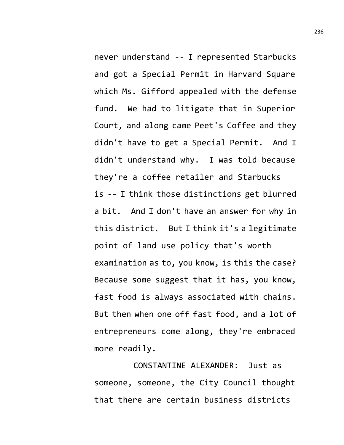never understand -- I represented Starbucks and got a Special Permit in Harvard Square which Ms. Gifford appealed with the defense fund. We had to litigate that in Superior Court, and along came Peet's Coffee and they didn't have to get a Special Permit. And I didn't understand why. I was told because they're a coffee retailer and Starbucks is -- I think those distinctions get blurred a bit. And I don't have an answer for why in this district. But I think it's a legitimate point of land use policy that's worth examination as to, you know, is this the case? Because some suggest that it has, you know, fast food is always associated with chains. But then when one off fast food, and a lot of entrepreneurs come along, they're embraced more readily.

CONSTANTINE ALEXANDER: Just as someone, someone, the City Council thought that there are certain business districts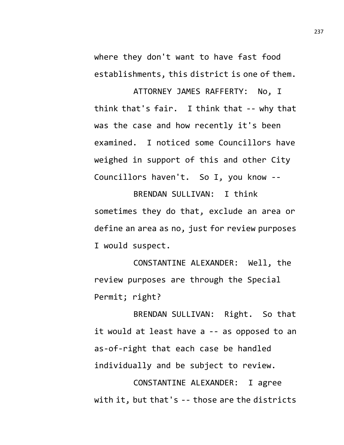where they don't want to have fast food establishments, this district is one of them.

ATTORNEY JAMES RAFFERTY: No, I think that's fair. I think that -- why that was the case and how recently it's been examined. I noticed some Councillors have weighed in support of this and other City Councillors haven't. So I, you know --

BRENDAN SULLIVAN: I think sometimes they do that, exclude an area or define an area as no, just for review purposes I would suspect.

CONSTANTINE ALEXANDER: Well, the review purposes are through the Special Permit; right?

BRENDAN SULLIVAN: Right. So that it would at least have a -- as opposed to an as-of-right that each case be handled individually and be subject to review.

CONSTANTINE ALEXANDER: I agree with it, but that's -- those are the districts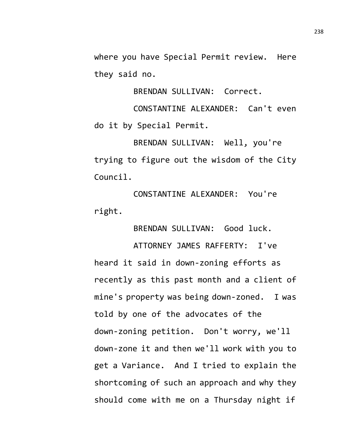where you have Special Permit review. Here they said no.

BRENDAN SULLIVAN: Correct.

CONSTANTINE ALEXANDER: Can't even do it by Special Permit.

BRENDAN SULLIVAN: Well, you're trying to figure out the wisdom of the City Council.

CONSTANTINE ALEXANDER: You're right.

BRENDAN SULLIVAN: Good luck.

ATTORNEY JAMES RAFFERTY: I've heard it said in down-zoning efforts as recently as this past month and a client of mine's property was being down-zoned. I was told by one of the advocates of the down-zoning petition. Don't worry, we'll down-zone it and then we'll work with you to get a Variance. And I tried to explain the shortcoming of such an approach and why they should come with me on a Thursday night if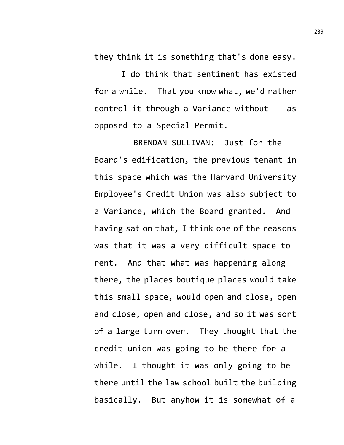they think it is something that's done easy.

I do think that sentiment has existed for a while. That you know what, we'd rather control it through a Variance without -- as opposed to a Special Permit.

BRENDAN SULLIVAN: Just for the Board's edification, the previous tenant in this space which was the Harvard University Employee's Credit Union was also subject to a Variance, which the Board granted. And having sat on that, I think one of the reasons was that it was a very difficult space to rent. And that what was happening along there, the places boutique places would take this small space, would open and close, open and close, open and close, and so it was sort of a large turn over. They thought that the credit union was going to be there for a while. I thought it was only going to be there until the law school built the building basically. But anyhow it is somewhat of a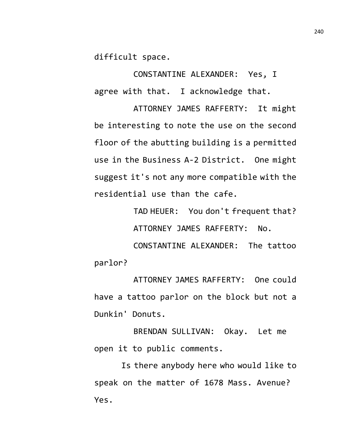difficult space.

CONSTANTINE ALEXANDER: Yes, I agree with that. I acknowledge that.

ATTORNEY JAMES RAFFERTY: It might be interesting to note the use on the second floor of the abutting building is a permitted use in the Business A-2 District. One might suggest it's not any more compatible with the residential use than the cafe.

> TAD HEUER: You don't frequent that? ATTORNEY JAMES RAFFERTY: No.

CONSTANTINE ALEXANDER: The tattoo parlor?

ATTORNEY JAMES RAFFERTY: One could have a tattoo parlor on the block but not a Dunkin' Donuts.

BRENDAN SULLIVAN: Okay. Let me open it to public comments.

Is there anybody here who would like to speak on the matter of 1678 Mass. Avenue? Yes.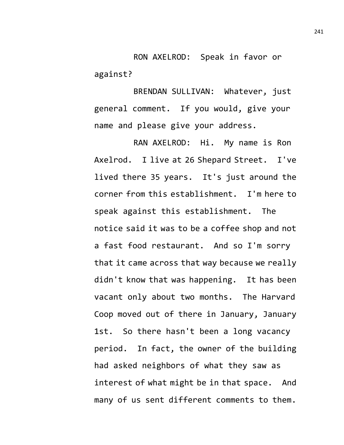RON AXELROD: Speak in favor or against?

BRENDAN SULLIVAN: Whatever, just general comment. If you would, give your name and please give your address.

RAN AXELROD: Hi. My name is Ron Axelrod. I live at 26 Shepard Street. I've lived there 35 years. It's just around the corner from this establishment. I'm here to speak against this establishment. The notice said it was to be a coffee shop and not a fast food restaurant. And so I'm sorry that it came across that way because we really didn't know that was happening. It has been vacant only about two months. The Harvard Coop moved out of there in January, January 1st. So there hasn't been a long vacancy period. In fact, the owner of the building had asked neighbors of what they saw as interest of what might be in that space. And many of us sent different comments to them.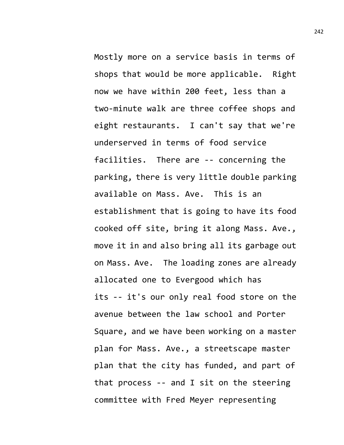Mostly more on a service basis in terms of shops that would be more applicable. Right now we have within 200 feet, less than a two-minute walk are three coffee shops and eight restaurants. I can't say that we're underserved in terms of food service facilities. There are -- concerning the parking, there is very little double parking available on Mass. Ave. This is an establishment that is going to have its food cooked off site, bring it along Mass. Ave., move it in and also bring all its garbage out on Mass. Ave. The loading zones are already allocated one to Evergood which has its -- it's our only real food store on the avenue between the law school and Porter Square, and we have been working on a master plan for Mass. Ave., a streetscape master plan that the city has funded, and part of that process -- and I sit on the steering committee with Fred Meyer representing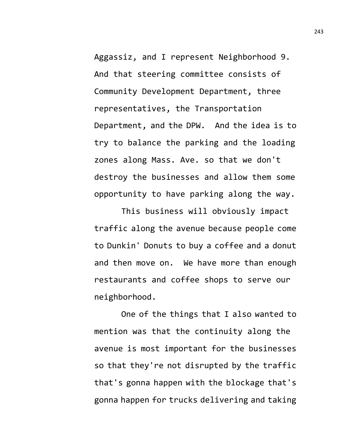Aggassiz, and I represent Neighborhood 9. And that steering committee consists of Community Development Department, three representatives, the Transportation Department, and the DPW. And the idea is to try to balance the parking and the loading zones along Mass. Ave. so that we don't destroy the businesses and allow them some opportunity to have parking along the way.

This business will obviously impact traffic along the avenue because people come to Dunkin' Donuts to buy a coffee and a donut and then move on. We have more than enough restaurants and coffee shops to serve our neighborhood.

One of the things that I also wanted to mention was that the continuity along the avenue is most important for the businesses so that they're not disrupted by the traffic that's gonna happen with the blockage that's gonna happen for trucks delivering and taking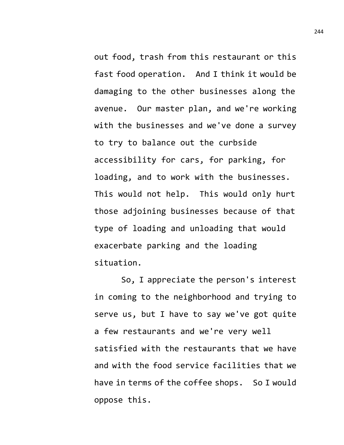out food, trash from this restaurant or this fast food operation. And I think it would be damaging to the other businesses along the avenue. Our master plan, and we're working with the businesses and we've done a survey to try to balance out the curbside accessibility for cars, for parking, for loading, and to work with the businesses. This would not help. This would only hurt those adjoining businesses because of that type of loading and unloading that would exacerbate parking and the loading situation.

So, I appreciate the person's interest in coming to the neighborhood and trying to serve us, but I have to say we've got quite a few restaurants and we're very well satisfied with the restaurants that we have and with the food service facilities that we have in terms of the coffee shops. So I would oppose this.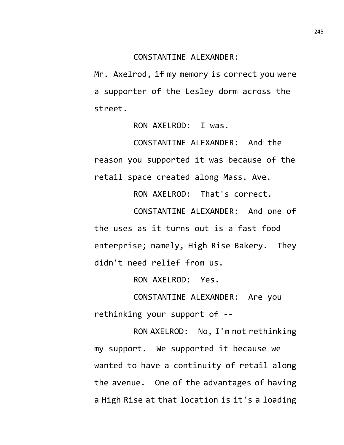CONSTANTINE ALEXANDER:

Mr. Axelrod, if my memory is correct you were a supporter of the Lesley dorm across the street.

RON AXELROD: I was.

CONSTANTINE ALEXANDER: And the reason you supported it was because of the retail space created along Mass. Ave.

RON AXELROD: That's correct.

CONSTANTINE ALEXANDER: And one of the uses as it turns out is a fast food enterprise; namely, High Rise Bakery. They didn't need relief from us.

RON AXELROD: Yes.

CONSTANTINE ALEXANDER: Are you rethinking your support of --

RON AXELROD: No, I'm not rethinking my support. We supported it because we wanted to have a continuity of retail along the avenue. One of the advantages of having a High Rise at that location is it's a loading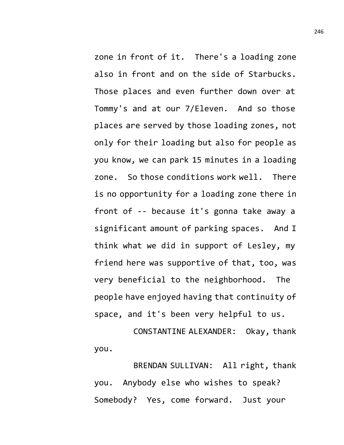zone in front of it. There's a loading zone also in front and on the side of Starbucks. Those places and even further down over at Tommy's and at our 7/Eleven. And so those places are served by those loading zones, not only for their loading but also for people as you know, we can park 15 minutes in a loading zone. So those conditions work well. There is no opportunity for a loading zone there in front of -- because it's gonna take away a significant amount of parking spaces. And I think what we did in support of Lesley, my friend here was supportive of that, too, was very beneficial to the neighborhood. The people have enjoyed having that continuity of space, and it's been very helpful to us.

CONSTANTINE ALEXANDER: Okay, thank you.

BRENDAN SULLIVAN: All right, thank you. Anybody else who wishes to speak? Somebody? Yes, come forward. Just your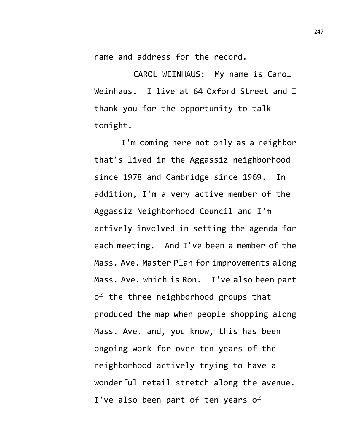name and address for the record.

CAROL WEINHAUS: My name is Carol Weinhaus. I live at 64 Oxford Street and I thank you for the opportunity to talk tonight.

I'm coming here not only as a neighbor that's lived in the Aggassiz neighborhood since 1978 and Cambridge since 1969. In addition, I'm a very active member of the Aggassiz Neighborhood Council and I'm actively involved in setting the agenda for each meeting. And I've been a member of the Mass. Ave. Master Plan for improvements along Mass. Ave. which is Ron. I've also been part of the three neighborhood groups that produced the map when people shopping along Mass. Ave. and, you know, this has been ongoing work for over ten years of the neighborhood actively trying to have a wonderful retail stretch along the avenue. I've also been part of ten years of

247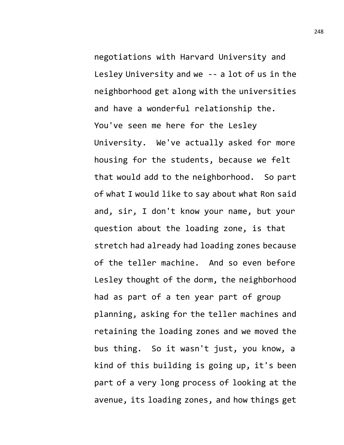negotiations with Harvard University and Lesley University and we -- a lot of us in the neighborhood get along with the universities and have a wonderful relationship the. You've seen me here for the Lesley University. We've actually asked for more housing for the students, because we felt that would add to the neighborhood. So part of what I would like to say about what Ron said and, sir, I don't know your name, but your question about the loading zone, is that stretch had already had loading zones because of the teller machine. And so even before Lesley thought of the dorm, the neighborhood had as part of a ten year part of group planning, asking for the teller machines and retaining the loading zones and we moved the bus thing. So it wasn't just, you know, a kind of this building is going up, it's been part of a very long process of looking at the avenue, its loading zones, and how things get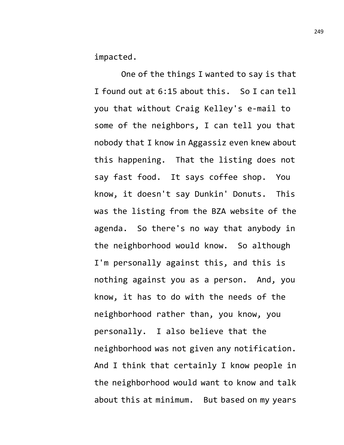impacted.

One of the things I wanted to say is that I found out at 6:15 about this. So I can tell you that without Craig Kelley's e-mail to some of the neighbors, I can tell you that nobody that I know in Aggassiz even knew about this happening. That the listing does not say fast food. It says coffee shop. You know, it doesn't say Dunkin' Donuts. This was the listing from the BZA website of the agenda. So there's no way that anybody in the neighborhood would know. So although I'm personally against this, and this is nothing against you as a person. And, you know, it has to do with the needs of the neighborhood rather than, you know, you personally. I also believe that the neighborhood was not given any notification. And I think that certainly I know people in the neighborhood would want to know and talk about this at minimum. But based on my years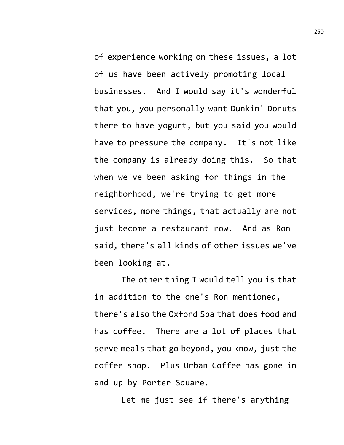of experience working on these issues, a lot of us have been actively promoting local businesses. And I would say it's wonderful that you, you personally want Dunkin' Donuts there to have yogurt, but you said you would have to pressure the company. It's not like the company is already doing this. So that when we've been asking for things in the neighborhood, we're trying to get more services, more things, that actually are not just become a restaurant row. And as Ron said, there's all kinds of other issues we've been looking at.

The other thing I would tell you is that in addition to the one's Ron mentioned, there's also the Oxford Spa that does food and has coffee. There are a lot of places that serve meals that go beyond, you know, just the coffee shop. Plus Urban Coffee has gone in and up by Porter Square.

Let me just see if there's anything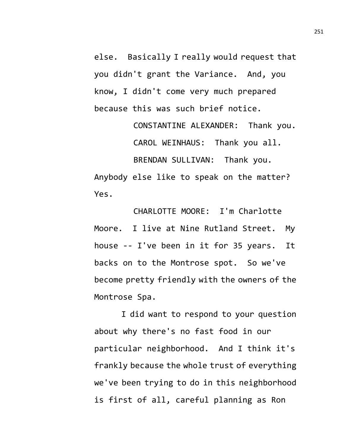else. Basically I really would request that you didn't grant the Variance. And, you know, I didn't come very much prepared because this was such brief notice.

> CONSTANTINE ALEXANDER: Thank you. CAROL WEINHAUS: Thank you all.

BRENDAN SULLIVAN: Thank you. Anybody else like to speak on the matter? Yes.

CHARLOTTE MOORE: I'm Charlotte Moore. I live at Nine Rutland Street. My house -- I've been in it for 35 years. It backs on to the Montrose spot. So we've become pretty friendly with the owners of the Montrose Spa.

I did want to respond to your question about why there's no fast food in our particular neighborhood. And I think it's frankly because the whole trust of everything we've been trying to do in this neighborhood is first of all, careful planning as Ron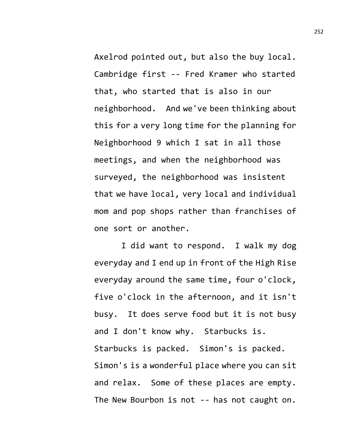Axelrod pointed out, but also the buy local. Cambridge first -- Fred Kramer who started that, who started that is also in our neighborhood. And we've been thinking about this for a very long time for the planning for Neighborhood 9 which I sat in all those meetings, and when the neighborhood was surveyed, the neighborhood was insistent that we have local, very local and individual mom and pop shops rather than franchises of one sort or another.

I did want to respond. I walk my dog everyday and I end up in front of the High Rise everyday around the same time, four o'clock, five o'clock in the afternoon, and it isn't busy. It does serve food but it is not busy and I don't know why. Starbucks is. Starbucks is packed. Simon's is packed. Simon's is a wonderful place where you can sit and relax. Some of these places are empty. The New Bourbon is not -- has not caught on.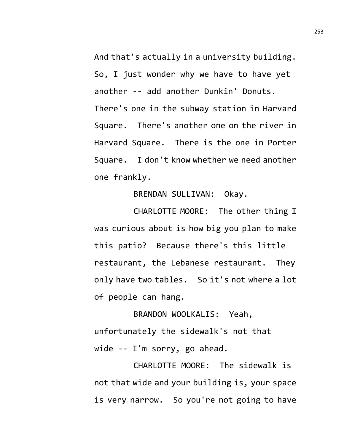And that's actually in a university building. So, I just wonder why we have to have yet another -- add another Dunkin' Donuts. There's one in the subway station in Harvard Square. There's another one on the river in Harvard Square. There is the one in Porter Square. I don't know whether we need another one frankly.

BRENDAN SULLIVAN: Okay.

CHARLOTTE MOORE: The other thing I was curious about is how big you plan to make this patio? Because there's this little restaurant, the Lebanese restaurant. They only have two tables. So it's not where a lot of people can hang.

BRANDON WOOLKALIS: Yeah, unfortunately the sidewalk's not that wide -- I'm sorry, go ahead.

CHARLOTTE MOORE: The sidewalk is not that wide and your building is, your space is very narrow. So you're not going to have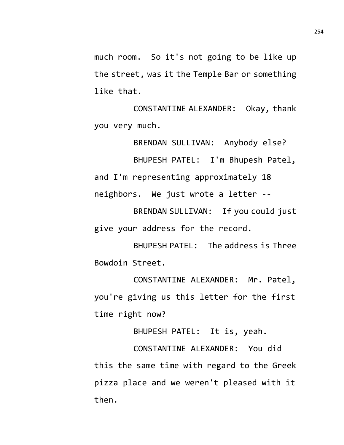much room. So it's not going to be like up the street, was it the Temple Bar or something like that.

CONSTANTINE ALEXANDER: Okay, thank you very much.

BRENDAN SULLIVAN: Anybody else? BHUPESH PATEL: I'm Bhupesh Patel, and I'm representing approximately 18 neighbors. We just wrote a letter --

BRENDAN SULLIVAN: If you could just give your address for the record.

BHUPESH PATEL: The address is Three Bowdoin Street.

CONSTANTINE ALEXANDER: Mr. Patel, you're giving us this letter for the first time right now?

BHUPESH PATEL: It is, yeah.

CONSTANTINE ALEXANDER: You did this the same time with regard to the Greek pizza place and we weren't pleased with it then.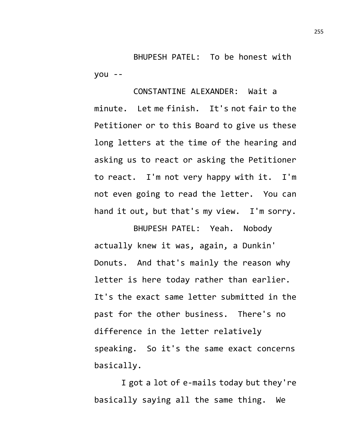BHUPESH PATEL: To be honest with you --

CONSTANTINE ALEXANDER: Wait a minute. Let me finish. It's not fair to the Petitioner or to this Board to give us these long letters at the time of the hearing and asking us to react or asking the Petitioner to react. I'm not very happy with it. I'm not even going to read the letter. You can hand it out, but that's my view. I'm sorry.

BHUPESH PATEL: Yeah. Nobody actually knew it was, again, a Dunkin' Donuts. And that's mainly the reason why letter is here today rather than earlier. It's the exact same letter submitted in the past for the other business. There's no difference in the letter relatively speaking. So it's the same exact concerns basically.

I got a lot of e-mails today but they're basically saying all the same thing. We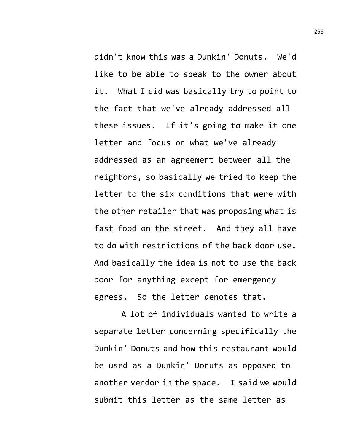didn't know this was a Dunkin' Donuts. We'd like to be able to speak to the owner about it. What I did was basically try to point to the fact that we've already addressed all these issues. If it's going to make it one letter and focus on what we've already addressed as an agreement between all the neighbors, so basically we tried to keep the letter to the six conditions that were with the other retailer that was proposing what is fast food on the street. And they all have to do with restrictions of the back door use. And basically the idea is not to use the back door for anything except for emergency egress. So the letter denotes that.

A lot of individuals wanted to write a separate letter concerning specifically the Dunkin' Donuts and how this restaurant would be used as a Dunkin' Donuts as opposed to another vendor in the space. I said we would submit this letter as the same letter as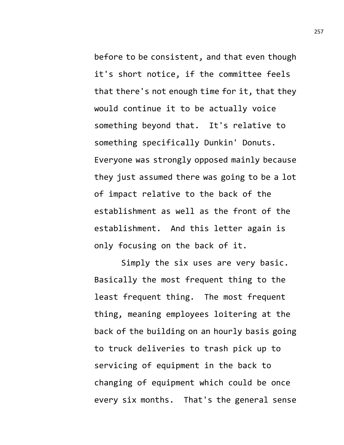before to be consistent, and that even though it's short notice, if the committee feels that there's not enough time for it, that they would continue it to be actually voice something beyond that. It's relative to something specifically Dunkin' Donuts. Everyone was strongly opposed mainly because they just assumed there was going to be a lot of impact relative to the back of the establishment as well as the front of the establishment. And this letter again is only focusing on the back of it.

Simply the six uses are very basic. Basically the most frequent thing to the least frequent thing. The most frequent thing, meaning employees loitering at the back of the building on an hourly basis going to truck deliveries to trash pick up to servicing of equipment in the back to changing of equipment which could be once every six months. That's the general sense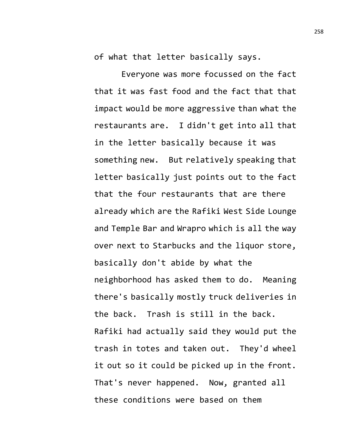of what that letter basically says.

Everyone was more focussed on the fact that it was fast food and the fact that that impact would be more aggressive than what the restaurants are. I didn't get into all that in the letter basically because it was something new. But relatively speaking that letter basically just points out to the fact that the four restaurants that are there already which are the Rafiki West Side Lounge and Temple Bar and Wrapro which is all the way over next to Starbucks and the liquor store, basically don't abide by what the neighborhood has asked them to do. Meaning there's basically mostly truck deliveries in the back. Trash is still in the back. Rafiki had actually said they would put the trash in totes and taken out. They'd wheel it out so it could be picked up in the front. That's never happened. Now, granted all these conditions were based on them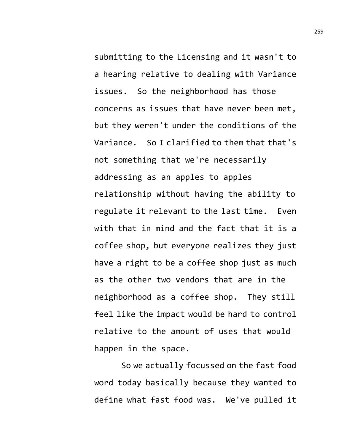submitting to the Licensing and it wasn't to a hearing relative to dealing with Variance issues. So the neighborhood has those concerns as issues that have never been met, but they weren't under the conditions of the Variance. So I clarified to them that that's not something that we're necessarily addressing as an apples to apples relationship without having the ability to regulate it relevant to the last time. Even with that in mind and the fact that it is a coffee shop, but everyone realizes they just have a right to be a coffee shop just as much as the other two vendors that are in the neighborhood as a coffee shop. They still feel like the impact would be hard to control relative to the amount of uses that would happen in the space.

So we actually focussed on the fast food word today basically because they wanted to define what fast food was. We've pulled it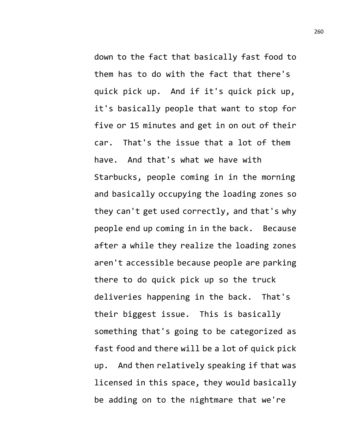down to the fact that basically fast food to them has to do with the fact that there's quick pick up. And if it's quick pick up, it's basically people that want to stop for five or 15 minutes and get in on out of their car. That's the issue that a lot of them have. And that's what we have with Starbucks, people coming in in the morning and basically occupying the loading zones so they can't get used correctly, and that's why people end up coming in in the back. Because after a while they realize the loading zones aren't accessible because people are parking there to do quick pick up so the truck deliveries happening in the back. That's their biggest issue. This is basically something that's going to be categorized as fast food and there will be a lot of quick pick up. And then relatively speaking if that was licensed in this space, they would basically be adding on to the nightmare that we're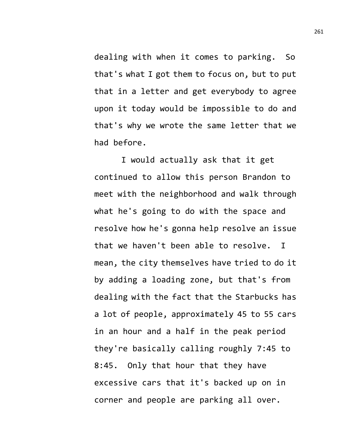dealing with when it comes to parking. So that's what I got them to focus on, but to put that in a letter and get everybody to agree upon it today would be impossible to do and that's why we wrote the same letter that we had before.

I would actually ask that it get continued to allow this person Brandon to meet with the neighborhood and walk through what he's going to do with the space and resolve how he's gonna help resolve an issue that we haven't been able to resolve. I mean, the city themselves have tried to do it by adding a loading zone, but that's from dealing with the fact that the Starbucks has a lot of people, approximately 45 to 55 cars in an hour and a half in the peak period they're basically calling roughly 7:45 to 8:45. Only that hour that they have excessive cars that it's backed up on in corner and people are parking all over.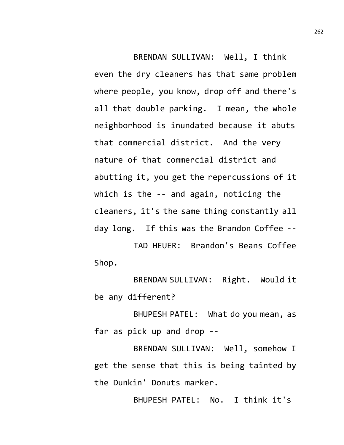BRENDAN SULLIVAN: Well, I think even the dry cleaners has that same problem where people, you know, drop off and there's all that double parking. I mean, the whole neighborhood is inundated because it abuts that commercial district. And the very nature of that commercial district and abutting it, you get the repercussions of it which is the -- and again, noticing the cleaners, it's the same thing constantly all day long. If this was the Brandon Coffee --

TAD HEUER: Brandon's Beans Coffee Shop.

BRENDAN SULLIVAN: Right. Would it be any different?

BHUPESH PATEL: What do you mean, as far as pick up and drop --

BRENDAN SULLIVAN: Well, somehow I get the sense that this is being tainted by the Dunkin' Donuts marker.

BHUPESH PATEL: No. I think it's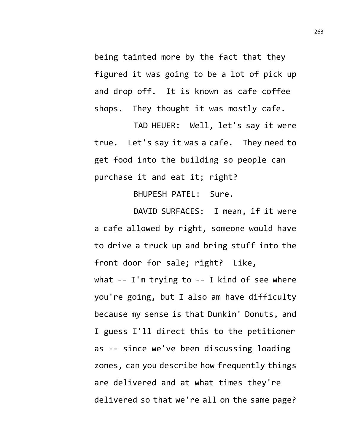being tainted more by the fact that they figured it was going to be a lot of pick up and drop off. It is known as cafe coffee shops. They thought it was mostly cafe.

TAD HEUER: Well, let's say it were true. Let's say it was a cafe. They need to get food into the building so people can purchase it and eat it; right?

BHUPESH PATEL: Sure.

DAVID SURFACES: I mean, if it were a cafe allowed by right, someone would have to drive a truck up and bring stuff into the front door for sale; right? Like, what -- I'm trying to -- I kind of see where you're going, but I also am have difficulty because my sense is that Dunkin' Donuts, and I guess I'll direct this to the petitioner as -- since we've been discussing loading zones, can you describe how frequently things are delivered and at what times they're delivered so that we're all on the same page?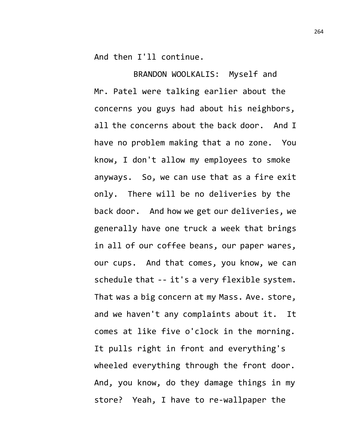And then I'll continue.

BRANDON WOOLKALIS: Myself and Mr. Patel were talking earlier about the concerns you guys had about his neighbors, all the concerns about the back door. And I have no problem making that a no zone. You know, I don't allow my employees to smoke anyways. So, we can use that as a fire exit only. There will be no deliveries by the back door. And how we get our deliveries, we generally have one truck a week that brings in all of our coffee beans, our paper wares, our cups. And that comes, you know, we can schedule that -- it's a very flexible system. That was a big concern at my Mass. Ave. store, and we haven't any complaints about it. It comes at like five o'clock in the morning. It pulls right in front and everything's wheeled everything through the front door. And, you know, do they damage things in my store? Yeah, I have to re-wallpaper the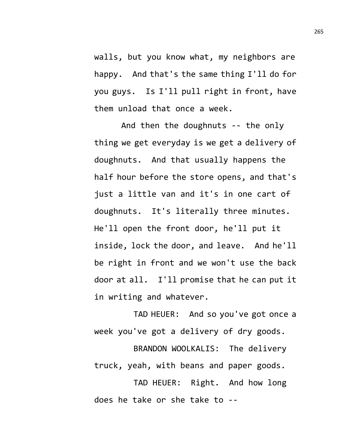walls, but you know what, my neighbors are happy. And that's the same thing I'll do for you guys. Is I'll pull right in front, have them unload that once a week.

And then the doughnuts -- the only thing we get everyday is we get a delivery of doughnuts. And that usually happens the half hour before the store opens, and that's just a little van and it's in one cart of doughnuts. It's literally three minutes. He'll open the front door, he'll put it inside, lock the door, and leave. And he'll be right in front and we won't use the back door at all. I'll promise that he can put it in writing and whatever.

TAD HEUER: And so you've got once a week you've got a delivery of dry goods.

BRANDON WOOLKALIS: The delivery truck, yeah, with beans and paper goods.

TAD HEUER: Right. And how long does he take or she take to --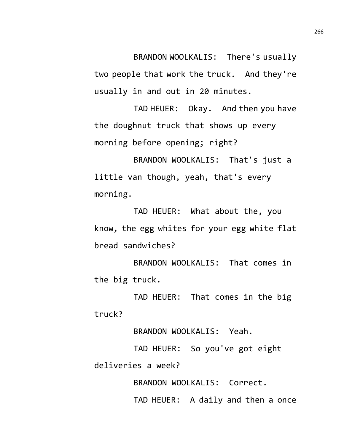BRANDON WOOLKALIS: There's usually two people that work the truck. And they're usually in and out in 20 minutes.

TAD HEUER: Okay. And then you have the doughnut truck that shows up every morning before opening; right?

BRANDON WOOLKALIS: That's just a little van though, yeah, that's every morning.

TAD HEUER: What about the, you know, the egg whites for your egg white flat bread sandwiches?

BRANDON WOOLKALIS: That comes in the big truck.

TAD HEUER: That comes in the big truck?

BRANDON WOOLKALIS: Yeah.

TAD HEUER: So you've got eight deliveries a week?

BRANDON WOOLKALIS: Correct.

TAD HEUER: A daily and then a once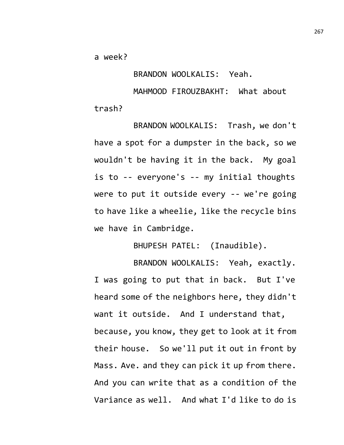a week?

BRANDON WOOLKALIS: Yeah.

MAHMOOD FIROUZBAKHT: What about trash?

BRANDON WOOLKALIS: Trash, we don't have a spot for a dumpster in the back, so we wouldn't be having it in the back. My goal is to -- everyone's -- my initial thoughts were to put it outside every -- we're going to have like a wheelie, like the recycle bins we have in Cambridge.

BHUPESH PATEL: (Inaudible).

BRANDON WOOLKALIS: Yeah, exactly. I was going to put that in back. But I've heard some of the neighbors here, they didn't want it outside. And I understand that, because, you know, they get to look at it from their house. So we'll put it out in front by Mass. Ave. and they can pick it up from there. And you can write that as a condition of the Variance as well. And what I'd like to do is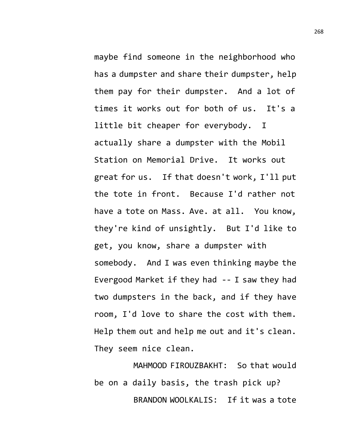maybe find someone in the neighborhood who has a dumpster and share their dumpster, help them pay for their dumpster. And a lot of times it works out for both of us. It's a little bit cheaper for everybody. I actually share a dumpster with the Mobil Station on Memorial Drive. It works out great for us. If that doesn't work, I'll put the tote in front. Because I'd rather not have a tote on Mass. Ave. at all. You know, they're kind of unsightly. But I'd like to get, you know, share a dumpster with somebody. And I was even thinking maybe the Evergood Market if they had -- I saw they had two dumpsters in the back, and if they have room, I'd love to share the cost with them. Help them out and help me out and it's clean. They seem nice clean.

MAHMOOD FIROUZBAKHT: So that would be on a daily basis, the trash pick up? BRANDON WOOLKALIS: If it was a tote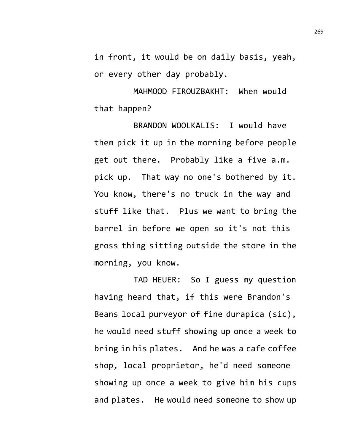in front, it would be on daily basis, yeah, or every other day probably.

MAHMOOD FIROUZBAKHT: When would that happen?

BRANDON WOOLKALIS: I would have them pick it up in the morning before people get out there. Probably like a five a.m. pick up. That way no one's bothered by it. You know, there's no truck in the way and stuff like that. Plus we want to bring the barrel in before we open so it's not this gross thing sitting outside the store in the morning, you know.

TAD HEUER: So I guess my question having heard that, if this were Brandon's Beans local purveyor of fine durapica (sic), he would need stuff showing up once a week to bring in his plates. And he was a cafe coffee shop, local proprietor, he'd need someone showing up once a week to give him his cups and plates. He would need someone to show up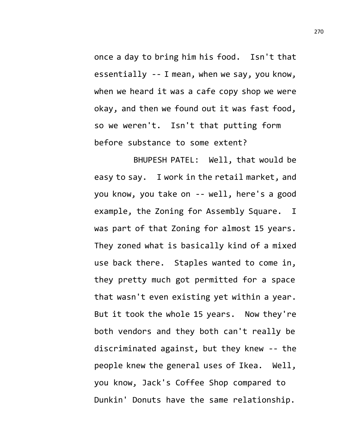once a day to bring him his food. Isn't that essentially -- I mean, when we say, you know, when we heard it was a cafe copy shop we were okay, and then we found out it was fast food, so we weren't. Isn't that putting form before substance to some extent?

BHUPESH PATEL: Well, that would be easy to say. I work in the retail market, and you know, you take on -- well, here's a good example, the Zoning for Assembly Square. I was part of that Zoning for almost 15 years. They zoned what is basically kind of a mixed use back there. Staples wanted to come in, they pretty much got permitted for a space that wasn't even existing yet within a year. But it took the whole 15 years. Now they're both vendors and they both can't really be discriminated against, but they knew -- the people knew the general uses of Ikea. Well, you know, Jack's Coffee Shop compared to Dunkin' Donuts have the same relationship.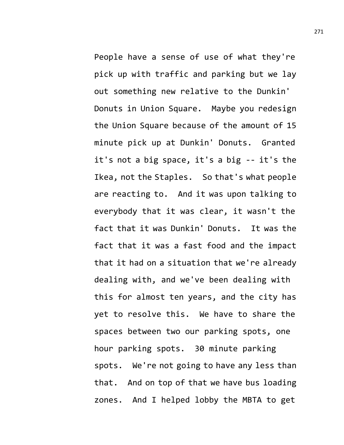People have a sense of use of what they're pick up with traffic and parking but we lay out something new relative to the Dunkin' Donuts in Union Square. Maybe you redesign the Union Square because of the amount of 15 minute pick up at Dunkin' Donuts. Granted it's not a big space, it's a big -- it's the Ikea, not the Staples. So that's what people are reacting to. And it was upon talking to everybody that it was clear, it wasn't the fact that it was Dunkin' Donuts. It was the fact that it was a fast food and the impact that it had on a situation that we're already dealing with, and we've been dealing with this for almost ten years, and the city has yet to resolve this. We have to share the spaces between two our parking spots, one hour parking spots. 30 minute parking spots. We're not going to have any less than that. And on top of that we have bus loading zones. And I helped lobby the MBTA to get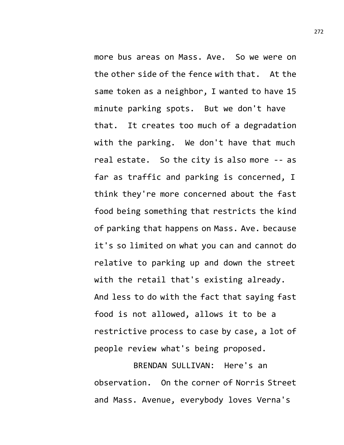more bus areas on Mass. Ave. So we were on the other side of the fence with that. At the same token as a neighbor, I wanted to have 15 minute parking spots. But we don't have that. It creates too much of a degradation with the parking. We don't have that much real estate. So the city is also more -- as far as traffic and parking is concerned, I think they're more concerned about the fast food being something that restricts the kind of parking that happens on Mass. Ave. because it's so limited on what you can and cannot do relative to parking up and down the street with the retail that's existing already. And less to do with the fact that saying fast food is not allowed, allows it to be a restrictive process to case by case, a lot of people review what's being proposed.

BRENDAN SULLIVAN: Here's an observation. On the corner of Norris Street and Mass. Avenue, everybody loves Verna's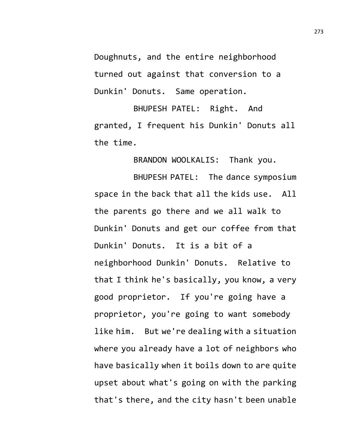Doughnuts, and the entire neighborhood turned out against that conversion to a Dunkin' Donuts. Same operation.

BHUPESH PATEL: Right. And granted, I frequent his Dunkin' Donuts all the time.

BRANDON WOOLKALIS: Thank you.

BHUPESH PATEL: The dance symposium space in the back that all the kids use. All the parents go there and we all walk to Dunkin' Donuts and get our coffee from that Dunkin' Donuts. It is a bit of a neighborhood Dunkin' Donuts. Relative to that I think he's basically, you know, a very good proprietor. If you're going have a proprietor, you're going to want somebody like him. But we're dealing with a situation where you already have a lot of neighbors who have basically when it boils down to are quite upset about what's going on with the parking that's there, and the city hasn't been unable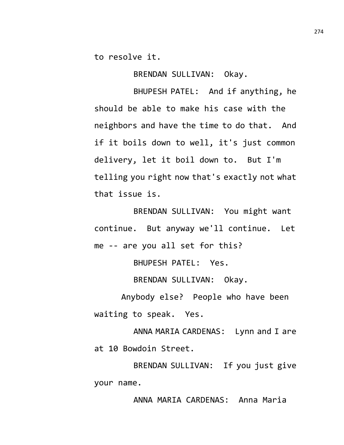to resolve it.

BRENDAN SULLIVAN: Okay.

BHUPESH PATEL: And if anything, he should be able to make his case with the neighbors and have the time to do that. And if it boils down to well, it's just common delivery, let it boil down to. But I'm telling you right now that's exactly not what that issue is.

BRENDAN SULLIVAN: You might want continue. But anyway we'll continue. Let me -- are you all set for this?

BHUPESH PATEL: Yes.

BRENDAN SULLIVAN: Okay.

Anybody else? People who have been waiting to speak. Yes.

ANNA MARIA CARDENAS: Lynn and I are at 10 Bowdoin Street.

BRENDAN SULLIVAN: If you just give your name.

ANNA MARIA CARDENAS: Anna Maria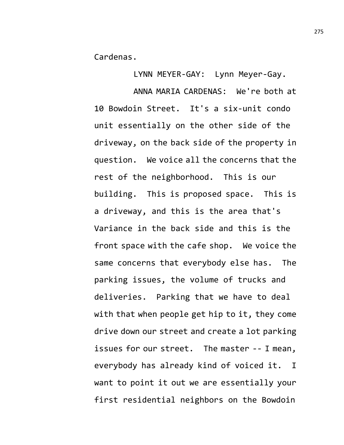Cardenas.

LYNN MEYER-GAY: Lynn Meyer-Gay.

ANNA MARIA CARDENAS: We're both at 10 Bowdoin Street. It's a six-unit condo unit essentially on the other side of the driveway, on the back side of the property in question. We voice all the concerns that the rest of the neighborhood. This is our building. This is proposed space. This is a driveway, and this is the area that's Variance in the back side and this is the front space with the cafe shop. We voice the same concerns that everybody else has. The parking issues, the volume of trucks and deliveries. Parking that we have to deal with that when people get hip to it, they come drive down our street and create a lot parking issues for our street. The master -- I mean, everybody has already kind of voiced it. I want to point it out we are essentially your first residential neighbors on the Bowdoin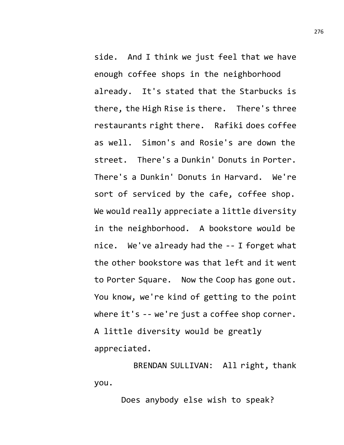side. And I think we just feel that we have enough coffee shops in the neighborhood already. It's stated that the Starbucks is there, the High Rise is there. There's three restaurants right there. Rafiki does coffee as well. Simon's and Rosie's are down the street. There's a Dunkin' Donuts in Porter. There's a Dunkin' Donuts in Harvard. We're sort of serviced by the cafe, coffee shop. We would really appreciate a little diversity in the neighborhood. A bookstore would be nice. We've already had the -- I forget what the other bookstore was that left and it went to Porter Square. Now the Coop has gone out. You know, we're kind of getting to the point where it's -- we're just a coffee shop corner. A little diversity would be greatly appreciated.

BRENDAN SULLIVAN: All right, thank you.

Does anybody else wish to speak?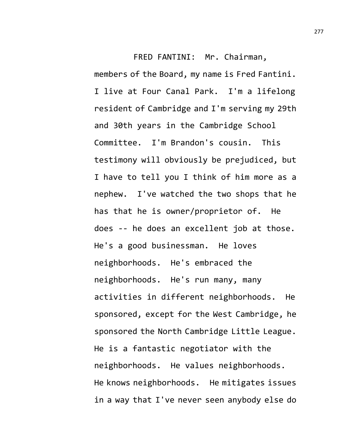FRED FANTINI: Mr. Chairman, members of the Board, my name is Fred Fantini. I live at Four Canal Park. I'm a lifelong resident of Cambridge and I'm serving my 29th and 30th years in the Cambridge School Committee. I'm Brandon's cousin. This testimony will obviously be prejudiced, but I have to tell you I think of him more as a nephew. I've watched the two shops that he has that he is owner/proprietor of. He does -- he does an excellent job at those. He's a good businessman. He loves neighborhoods. He's embraced the neighborhoods. He's run many, many activities in different neighborhoods. He sponsored, except for the West Cambridge, he sponsored the North Cambridge Little League. He is a fantastic negotiator with the neighborhoods. He values neighborhoods. He knows neighborhoods. He mitigates issues in a way that I've never seen anybody else do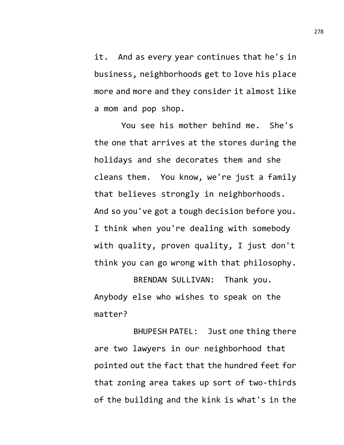it. And as every year continues that he's in business, neighborhoods get to love his place more and more and they consider it almost like a mom and pop shop.

You see his mother behind me. She's the one that arrives at the stores during the holidays and she decorates them and she cleans them. You know, we're just a family that believes strongly in neighborhoods. And so you've got a tough decision before you. I think when you're dealing with somebody with quality, proven quality, I just don't think you can go wrong with that philosophy.

BRENDAN SULLIVAN: Thank you. Anybody else who wishes to speak on the matter?

BHUPESH PATEL: Just one thing there are two lawyers in our neighborhood that pointed out the fact that the hundred feet for that zoning area takes up sort of two-thirds of the building and the kink is what's in the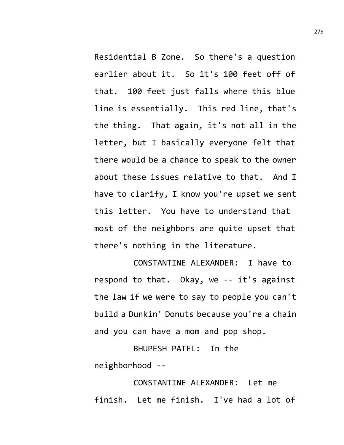Residential B Zone. So there's a question earlier about it. So it's 100 feet off of that. 100 feet just falls where this blue line is essentially. This red line, that's the thing. That again, it's not all in the letter, but I basically everyone felt that there would be a chance to speak to the owner about these issues relative to that. And I have to clarify, I know you're upset we sent this letter. You have to understand that most of the neighbors are quite upset that there's nothing in the literature.

CONSTANTINE ALEXANDER: I have to respond to that. Okay, we -- it's against the law if we were to say to people you can't build a Dunkin' Donuts because you're a chain and you can have a mom and pop shop.

BHUPESH PATEL: In the neighborhood --

CONSTANTINE ALEXANDER: Let me finish. Let me finish. I've had a lot of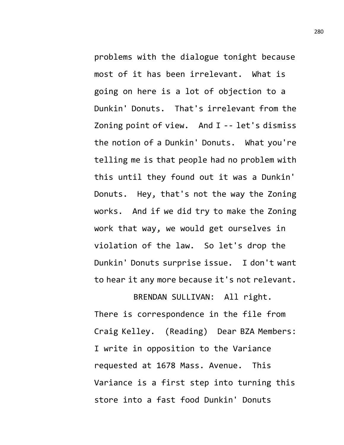problems with the dialogue tonight because most of it has been irrelevant. What is going on here is a lot of objection to a Dunkin' Donuts. That's irrelevant from the Zoning point of view. And I -- let's dismiss the notion of a Dunkin' Donuts. What you're telling me is that people had no problem with this until they found out it was a Dunkin' Donuts. Hey, that's not the way the Zoning works. And if we did try to make the Zoning work that way, we would get ourselves in violation of the law. So let's drop the Dunkin' Donuts surprise issue. I don't want to hear it any more because it's not relevant.

BRENDAN SULLIVAN: All right. There is correspondence in the file from Craig Kelley. (Reading) Dear BZA Members: I write in opposition to the Variance requested at 1678 Mass. Avenue. This Variance is a first step into turning this store into a fast food Dunkin' Donuts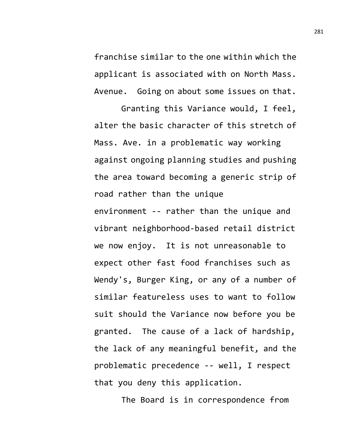franchise similar to the one within which the applicant is associated with on North Mass. Avenue. Going on about some issues on that.

Granting this Variance would, I feel, alter the basic character of this stretch of Mass. Ave. in a problematic way working against ongoing planning studies and pushing the area toward becoming a generic strip of road rather than the unique environment -- rather than the unique and vibrant neighborhood-based retail district we now enjoy. It is not unreasonable to expect other fast food franchises such as Wendy's, Burger King, or any of a number of similar featureless uses to want to follow suit should the Variance now before you be granted. The cause of a lack of hardship, the lack of any meaningful benefit, and the problematic precedence -- well, I respect that you deny this application.

The Board is in correspondence from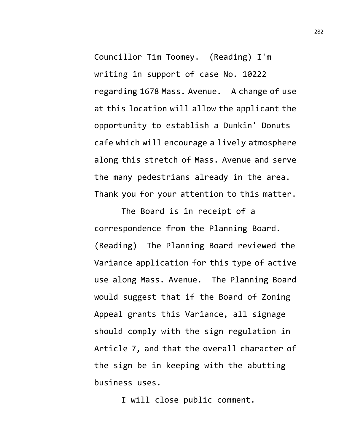Councillor Tim Toomey. (Reading) I'm writing in support of case No. 10222 regarding 1678 Mass. Avenue. A change of use at this location will allow the applicant the opportunity to establish a Dunkin' Donuts cafe which will encourage a lively atmosphere along this stretch of Mass. Avenue and serve the many pedestrians already in the area. Thank you for your attention to this matter.

The Board is in receipt of a correspondence from the Planning Board. (Reading) The Planning Board reviewed the Variance application for this type of active use along Mass. Avenue. The Planning Board would suggest that if the Board of Zoning Appeal grants this Variance, all signage should comply with the sign regulation in Article 7, and that the overall character of the sign be in keeping with the abutting business uses.

I will close public comment.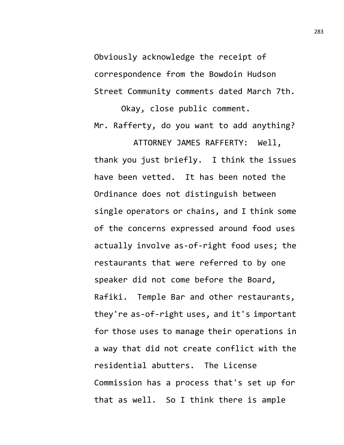Obviously acknowledge the receipt of correspondence from the Bowdoin Hudson Street Community comments dated March 7th.

Okay, close public comment. Mr. Rafferty, do you want to add anything?

ATTORNEY JAMES RAFFERTY: Well, thank you just briefly. I think the issues have been vetted. It has been noted the Ordinance does not distinguish between single operators or chains, and I think some of the concerns expressed around food uses actually involve as-of-right food uses; the restaurants that were referred to by one speaker did not come before the Board, Rafiki. Temple Bar and other restaurants, they're as-of-right uses, and it's important for those uses to manage their operations in a way that did not create conflict with the residential abutters. The License Commission has a process that's set up for that as well. So I think there is ample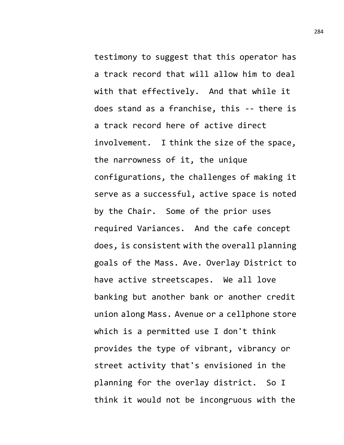testimony to suggest that this operator has a track record that will allow him to deal with that effectively. And that while it does stand as a franchise, this -- there is a track record here of active direct involvement. I think the size of the space, the narrowness of it, the unique configurations, the challenges of making it serve as a successful, active space is noted by the Chair. Some of the prior uses required Variances. And the cafe concept does, is consistent with the overall planning goals of the Mass. Ave. Overlay District to have active streetscapes. We all love banking but another bank or another credit union along Mass. Avenue or a cellphone store which is a permitted use I don't think provides the type of vibrant, vibrancy or street activity that's envisioned in the planning for the overlay district. So I think it would not be incongruous with the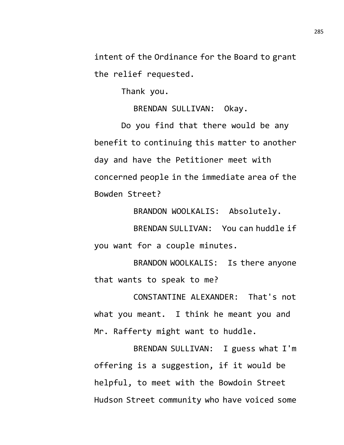intent of the Ordinance for the Board to grant the relief requested.

Thank you.

BRENDAN SULLIVAN: Okay.

Do you find that there would be any benefit to continuing this matter to another day and have the Petitioner meet with concerned people in the immediate area of the Bowden Street?

BRANDON WOOLKALIS: Absolutely.

BRENDAN SULLIVAN: You can huddle if you want for a couple minutes.

BRANDON WOOLKALIS: Is there anyone that wants to speak to me?

CONSTANTINE ALEXANDER: That's not what you meant. I think he meant you and Mr. Rafferty might want to huddle.

BRENDAN SULLIVAN: I guess what I'm offering is a suggestion, if it would be helpful, to meet with the Bowdoin Street Hudson Street community who have voiced some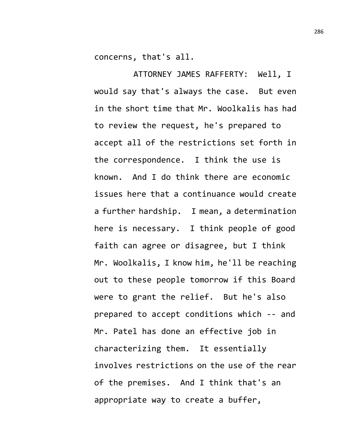concerns, that's all.

ATTORNEY JAMES RAFFERTY: Well, I would say that's always the case. But even in the short time that Mr. Woolkalis has had to review the request, he's prepared to accept all of the restrictions set forth in the correspondence. I think the use is known. And I do think there are economic issues here that a continuance would create a further hardship. I mean, a determination here is necessary. I think people of good faith can agree or disagree, but I think Mr. Woolkalis, I know him, he'll be reaching out to these people tomorrow if this Board were to grant the relief. But he's also prepared to accept conditions which -- and Mr. Patel has done an effective job in characterizing them. It essentially involves restrictions on the use of the rear of the premises. And I think that's an appropriate way to create a buffer,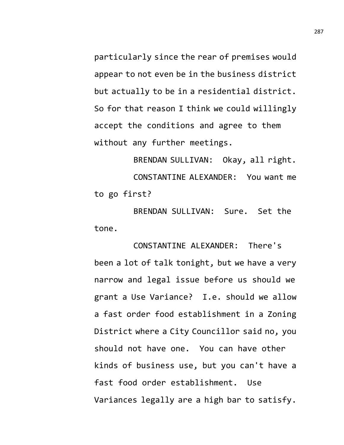particularly since the rear of premises would appear to not even be in the business district but actually to be in a residential district. So for that reason I think we could willingly accept the conditions and agree to them without any further meetings.

BRENDAN SULLIVAN: Okay, all right. CONSTANTINE ALEXANDER: You want me to go first?

BRENDAN SULLIVAN: Sure. Set the tone.

CONSTANTINE ALEXANDER: There's been a lot of talk tonight, but we have a very narrow and legal issue before us should we grant a Use Variance? I.e. should we allow a fast order food establishment in a Zoning District where a City Councillor said no, you should not have one. You can have other kinds of business use, but you can't have a fast food order establishment. Use Variances legally are a high bar to satisfy.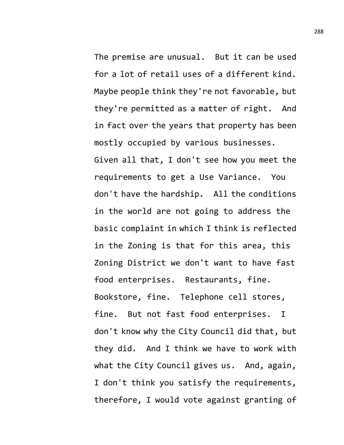The premise are unusual. But it can be used for a lot of retail uses of a different kind. Maybe people think they're not favorable, but they're permitted as a matter of right. And in fact over the years that property has been mostly occupied by various businesses. Given all that, I don't see how you meet the requirements to get a Use Variance. You don't have the hardship. All the conditions in the world are not going to address the basic complaint in which I think is reflected in the Zoning is that for this area, this Zoning District we don't want to have fast food enterprises. Restaurants, fine. Bookstore, fine. Telephone cell stores, fine. But not fast food enterprises. I don't know why the City Council did that, but they did. And I think we have to work with what the City Council gives us. And, again, I don't think you satisfy the requirements, therefore, I would vote against granting of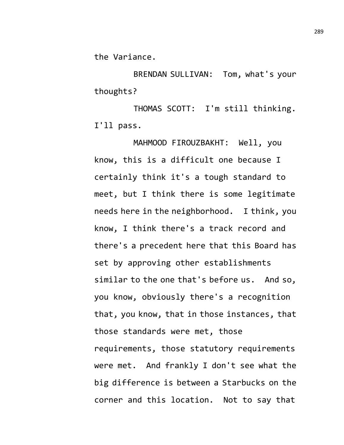the Variance.

BRENDAN SULLIVAN: Tom, what's your thoughts?

THOMAS SCOTT: I'm still thinking. I'll pass.

MAHMOOD FIROUZBAKHT: Well, you know, this is a difficult one because I certainly think it's a tough standard to meet, but I think there is some legitimate needs here in the neighborhood. I think, you know, I think there's a track record and there's a precedent here that this Board has set by approving other establishments similar to the one that's before us. And so, you know, obviously there's a recognition that, you know, that in those instances, that those standards were met, those requirements, those statutory requirements were met. And frankly I don't see what the big difference is between a Starbucks on the corner and this location. Not to say that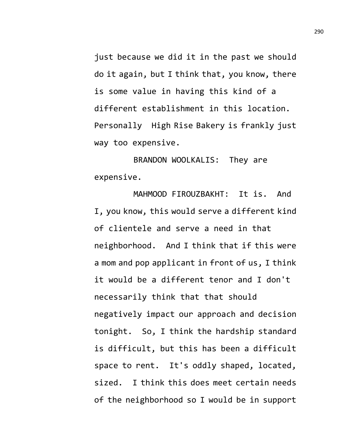just because we did it in the past we should do it again, but I think that, you know, there is some value in having this kind of a different establishment in this location. Personally High Rise Bakery is frankly just way too expensive.

BRANDON WOOLKALIS: They are expensive.

MAHMOOD FIROUZBAKHT: It is. And I, you know, this would serve a different kind of clientele and serve a need in that neighborhood. And I think that if this were a mom and pop applicant in front of us, I think it would be a different tenor and I don't necessarily think that that should negatively impact our approach and decision tonight. So, I think the hardship standard is difficult, but this has been a difficult space to rent. It's oddly shaped, located, sized. I think this does meet certain needs of the neighborhood so I would be in support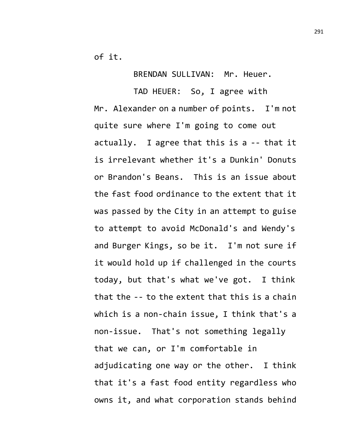of it.

BRENDAN SULLIVAN: Mr. Heuer.

TAD HEUER: So, I agree with Mr. Alexander on a number of points. I'm not quite sure where I'm going to come out actually. I agree that this is a -- that it is irrelevant whether it's a Dunkin' Donuts or Brandon's Beans. This is an issue about the fast food ordinance to the extent that it was passed by the City in an attempt to guise to attempt to avoid McDonald's and Wendy's and Burger Kings, so be it. I'm not sure if it would hold up if challenged in the courts today, but that's what we've got. I think that the -- to the extent that this is a chain which is a non-chain issue, I think that's a non-issue. That's not something legally that we can, or I'm comfortable in adjudicating one way or the other. I think that it's a fast food entity regardless who owns it, and what corporation stands behind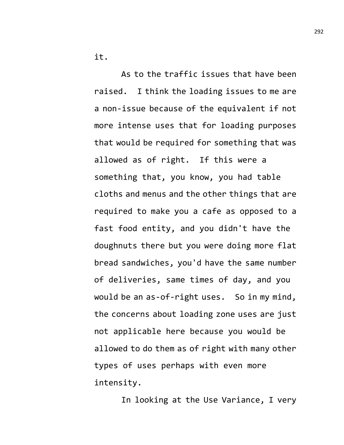it.

As to the traffic issues that have been raised. I think the loading issues to me are a non-issue because of the equivalent if not more intense uses that for loading purposes that would be required for something that was allowed as of right. If this were a something that, you know, you had table cloths and menus and the other things that are required to make you a cafe as opposed to a fast food entity, and you didn't have the doughnuts there but you were doing more flat bread sandwiches, you'd have the same number of deliveries, same times of day, and you would be an as-of-right uses. So in my mind, the concerns about loading zone uses are just not applicable here because you would be allowed to do them as of right with many other types of uses perhaps with even more intensity.

In looking at the Use Variance, I very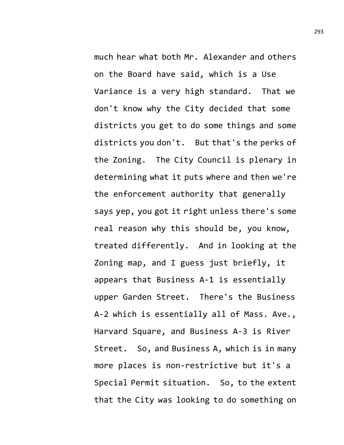much hear what both Mr. Alexander and others on the Board have said, which is a Use Variance is a very high standard. That we don't know why the City decided that some districts you get to do some things and some districts you don't. But that's the perks of the Zoning. The City Council is plenary in determining what it puts where and then we're the enforcement authority that generally says yep, you got it right unless there's some real reason why this should be, you know, treated differently. And in looking at the Zoning map, and I guess just briefly, it appears that Business A-1 is essentially upper Garden Street. There's the Business A-2 which is essentially all of Mass. Ave., Harvard Square, and Business A-3 is River Street. So, and Business A, which is in many more places is non-restrictive but it's a Special Permit situation. So, to the extent that the City was looking to do something on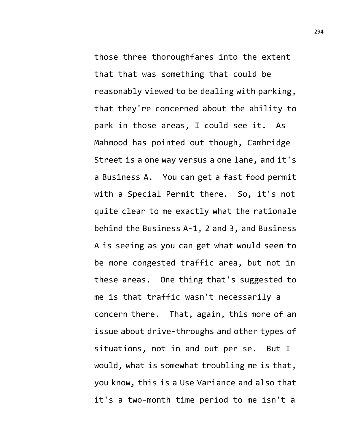those three thoroughfares into the extent that that was something that could be reasonably viewed to be dealing with parking, that they're concerned about the ability to park in those areas, I could see it. As Mahmood has pointed out though, Cambridge Street is a one way versus a one lane, and it's a Business A. You can get a fast food permit with a Special Permit there. So, it's not quite clear to me exactly what the rationale behind the Business A-1, 2 and 3, and Business A is seeing as you can get what would seem to be more congested traffic area, but not in these areas. One thing that's suggested to me is that traffic wasn't necessarily a concern there. That, again, this more of an issue about drive-throughs and other types of situations, not in and out per se. But I

would, what is somewhat troubling me is that, you know, this is a Use Variance and also that it's a two-month time period to me isn't a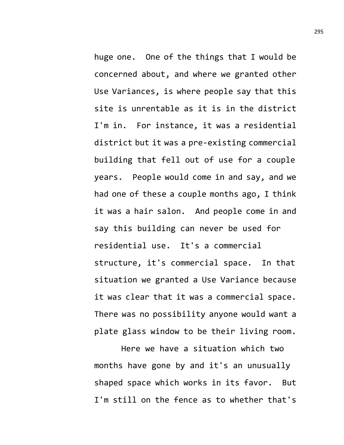huge one. One of the things that I would be concerned about, and where we granted other Use Variances, is where people say that this site is unrentable as it is in the district I'm in. For instance, it was a residential district but it was a pre-existing commercial building that fell out of use for a couple years. People would come in and say, and we had one of these a couple months ago, I think it was a hair salon. And people come in and say this building can never be used for residential use. It's a commercial structure, it's commercial space. In that situation we granted a Use Variance because it was clear that it was a commercial space. There was no possibility anyone would want a plate glass window to be their living room.

Here we have a situation which two months have gone by and it's an unusually shaped space which works in its favor. But I'm still on the fence as to whether that's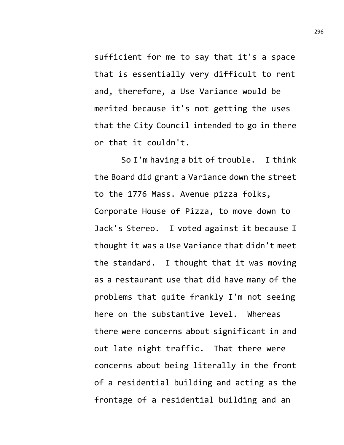sufficient for me to say that it's a space that is essentially very difficult to rent and, therefore, a Use Variance would be merited because it's not getting the uses that the City Council intended to go in there or that it couldn't.

So I'm having a bit of trouble. I think the Board did grant a Variance down the street to the 1776 Mass. Avenue pizza folks, Corporate House of Pizza, to move down to Jack's Stereo. I voted against it because I thought it was a Use Variance that didn't meet the standard. I thought that it was moving as a restaurant use that did have many of the problems that quite frankly I'm not seeing here on the substantive level. Whereas there were concerns about significant in and out late night traffic. That there were concerns about being literally in the front of a residential building and acting as the frontage of a residential building and an

296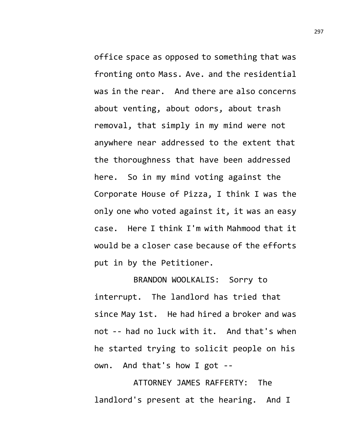office space as opposed to something that was fronting onto Mass. Ave. and the residential was in the rear. And there are also concerns about venting, about odors, about trash removal, that simply in my mind were not anywhere near addressed to the extent that the thoroughness that have been addressed here. So in my mind voting against the Corporate House of Pizza, I think I was the only one who voted against it, it was an easy case. Here I think I'm with Mahmood that it would be a closer case because of the efforts put in by the Petitioner.

BRANDON WOOLKALIS: Sorry to interrupt. The landlord has tried that since May 1st. He had hired a broker and was not -- had no luck with it. And that's when he started trying to solicit people on his own. And that's how I got --

ATTORNEY JAMES RAFFERTY: The landlord's present at the hearing. And I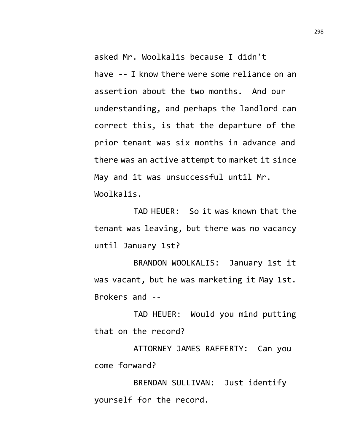asked Mr. Woolkalis because I didn't have -- I know there were some reliance on an assertion about the two months. And our understanding, and perhaps the landlord can correct this, is that the departure of the prior tenant was six months in advance and there was an active attempt to market it since May and it was unsuccessful until Mr. Woolkalis.

TAD HEUER: So it was known that the tenant was leaving, but there was no vacancy until January 1st?

BRANDON WOOLKALIS: January 1st it was vacant, but he was marketing it May 1st. Brokers and --

TAD HEUER: Would you mind putting that on the record?

ATTORNEY JAMES RAFFERTY: Can you come forward?

BRENDAN SULLIVAN: Just identify yourself for the record.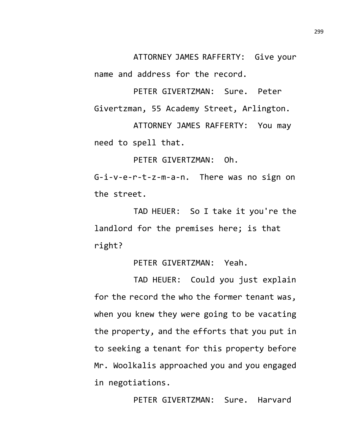ATTORNEY JAMES RAFFERTY: Give your name and address for the record.

PETER GIVERTZMAN: Sure. Peter Givertzman, 55 Academy Street, Arlington.

ATTORNEY JAMES RAFFERTY: You may need to spell that.

PETER GIVERTZMAN: Oh.

G-i-v-e-r-t-z-m-a-n. There was no sign on the street.

TAD HEUER: So I take it you're the landlord for the premises here; is that right?

PETER GIVERTZMAN: Yeah.

TAD HEUER: Could you just explain for the record the who the former tenant was, when you knew they were going to be vacating the property, and the efforts that you put in to seeking a tenant for this property before Mr. Woolkalis approached you and you engaged in negotiations.

PETER GIVERTZMAN: Sure. Harvard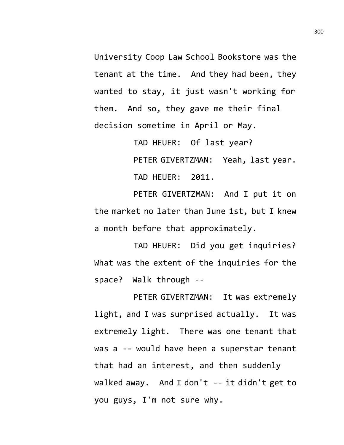University Coop Law School Bookstore was the tenant at the time. And they had been, they wanted to stay, it just wasn't working for them. And so, they gave me their final decision sometime in April or May.

> TAD HEUER: Of last year? PETER GIVERTZMAN: Yeah, last year. TAD HEUER: 2011.

PETER GIVERTZMAN: And I put it on the market no later than June 1st, but I knew a month before that approximately.

TAD HEUER: Did you get inquiries? What was the extent of the inquiries for the space? Walk through --

PETER GIVERTZMAN: It was extremely light, and I was surprised actually. It was extremely light. There was one tenant that was a -- would have been a superstar tenant that had an interest, and then suddenly walked away. And I don't -- it didn't get to you guys, I'm not sure why.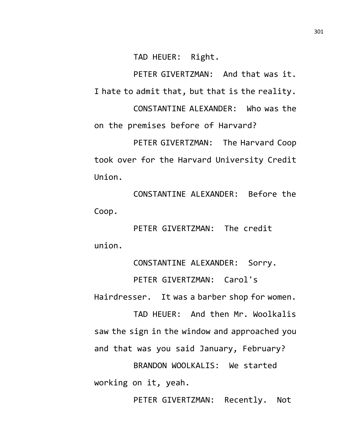TAD HEUER: Right.

PETER GIVERTZMAN: And that was it. I hate to admit that, but that is the reality. CONSTANTINE ALEXANDER: Who was the

on the premises before of Harvard?

PETER GIVERTZMAN: The Harvard Coop took over for the Harvard University Credit Union.

CONSTANTINE ALEXANDER: Before the Coop.

PETER GIVERTZMAN: The credit union.

CONSTANTINE ALEXANDER: Sorry.

PETER GIVERTZMAN: Carol's Hairdresser. It was a barber shop for women.

TAD HEUER: And then Mr. Woolkalis saw the sign in the window and approached you and that was you said January, February? BRANDON WOOLKALIS: We started working on it, yeah.

PETER GIVERTZMAN: Recently. Not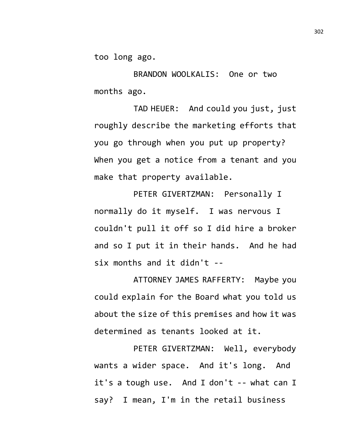too long ago.

BRANDON WOOLKALIS: One or two months ago.

TAD HEUER: And could you just, just roughly describe the marketing efforts that you go through when you put up property? When you get a notice from a tenant and you make that property available.

PETER GIVERTZMAN: Personally I normally do it myself. I was nervous I couldn't pull it off so I did hire a broker and so I put it in their hands. And he had six months and it didn't --

ATTORNEY JAMES RAFFERTY: Maybe you could explain for the Board what you told us about the size of this premises and how it was determined as tenants looked at it.

PETER GIVERTZMAN: Well, everybody wants a wider space. And it's long. And it's a tough use. And I don't -- what can I say? I mean, I'm in the retail business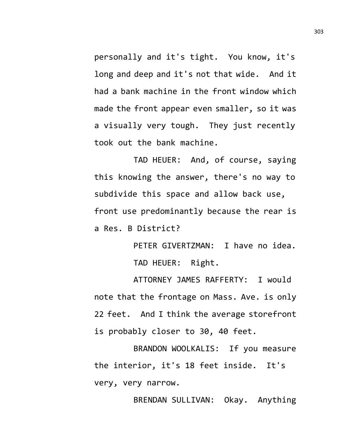personally and it's tight. You know, it's long and deep and it's not that wide. And it had a bank machine in the front window which made the front appear even smaller, so it was a visually very tough. They just recently took out the bank machine.

TAD HEUER: And, of course, saying this knowing the answer, there's no way to subdivide this space and allow back use, front use predominantly because the rear is a Res. B District?

> PETER GIVERTZMAN: I have no idea. TAD HEUER: Right.

ATTORNEY JAMES RAFFERTY: I would note that the frontage on Mass. Ave. is only 22 feet. And I think the average storefront is probably closer to 30, 40 feet.

BRANDON WOOLKALIS: If you measure the interior, it's 18 feet inside. It's very, very narrow.

BRENDAN SULLIVAN: Okay. Anything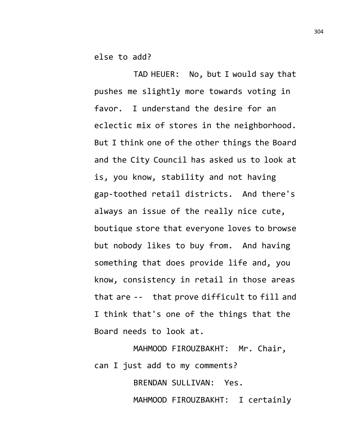else to add?

TAD HEUER: No, but I would say that pushes me slightly more towards voting in favor. I understand the desire for an eclectic mix of stores in the neighborhood. But I think one of the other things the Board and the City Council has asked us to look at is, you know, stability and not having gap-toothed retail districts. And there's always an issue of the really nice cute, boutique store that everyone loves to browse but nobody likes to buy from. And having something that does provide life and, you know, consistency in retail in those areas that are -- that prove difficult to fill and I think that's one of the things that the Board needs to look at.

MAHMOOD FIROUZBAKHT: Mr. Chair, can I just add to my comments?

> BRENDAN SULLIVAN: Yes. MAHMOOD FIROUZBAKHT: I certainly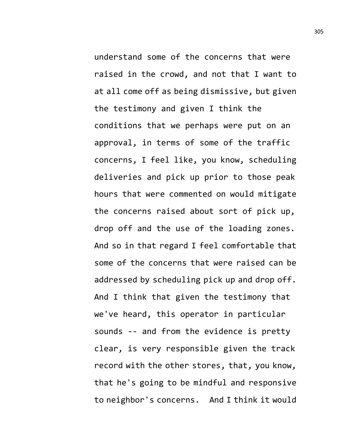understand some of the concerns that were raised in the crowd, and not that I want to at all come off as being dismissive, but given the testimony and given I think the conditions that we perhaps were put on an approval, in terms of some of the traffic concerns, I feel like, you know, scheduling deliveries and pick up prior to those peak hours that were commented on would mitigate the concerns raised about sort of pick up, drop off and the use of the loading zones. And so in that regard I feel comfortable that some of the concerns that were raised can be addressed by scheduling pick up and drop off. And I think that given the testimony that we've heard, this operator in particular sounds -- and from the evidence is pretty clear, is very responsible given the track record with the other stores, that, you know, that he's going to be mindful and responsive to neighbor's concerns. And I think it would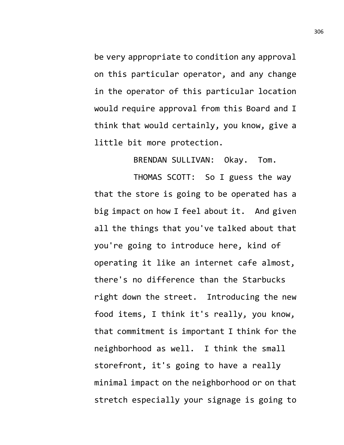be very appropriate to condition any approval on this particular operator, and any change in the operator of this particular location would require approval from this Board and I think that would certainly, you know, give a little bit more protection.

BRENDAN SULLIVAN: Okay. Tom.

THOMAS SCOTT: So I guess the way that the store is going to be operated has a big impact on how I feel about it. And given all the things that you've talked about that you're going to introduce here, kind of operating it like an internet cafe almost, there's no difference than the Starbucks right down the street. Introducing the new food items, I think it's really, you know, that commitment is important I think for the neighborhood as well. I think the small storefront, it's going to have a really minimal impact on the neighborhood or on that stretch especially your signage is going to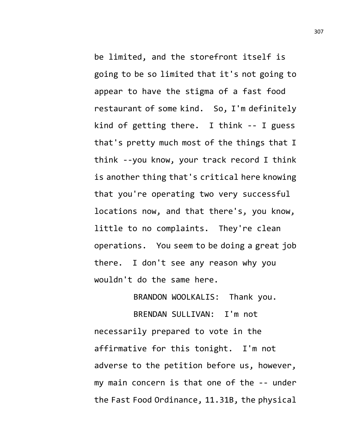be limited, and the storefront itself is going to be so limited that it's not going to appear to have the stigma of a fast food restaurant of some kind. So, I'm definitely kind of getting there. I think -- I guess that's pretty much most of the things that I think --you know, your track record I think is another thing that's critical here knowing that you're operating two very successful locations now, and that there's, you know, little to no complaints. They're clean operations. You seem to be doing a great job there. I don't see any reason why you wouldn't do the same here.

BRANDON WOOLKALIS: Thank you.

BRENDAN SULLIVAN: I'm not necessarily prepared to vote in the affirmative for this tonight. I'm not adverse to the petition before us, however, my main concern is that one of the -- under the Fast Food Ordinance, 11.31B, the physical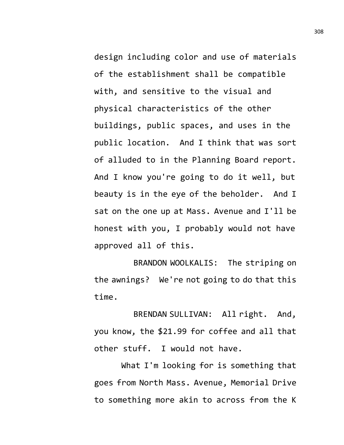design including color and use of materials of the establishment shall be compatible with, and sensitive to the visual and physical characteristics of the other buildings, public spaces, and uses in the public location. And I think that was sort of alluded to in the Planning Board report. And I know you're going to do it well, but beauty is in the eye of the beholder. And I sat on the one up at Mass. Avenue and I'll be honest with you, I probably would not have approved all of this.

BRANDON WOOLKALIS: The striping on the awnings? We're not going to do that this time.

BRENDAN SULLIVAN: All right. And, you know, the \$21.99 for coffee and all that other stuff. I would not have.

What I'm looking for is something that goes from North Mass. Avenue, Memorial Drive to something more akin to across from the K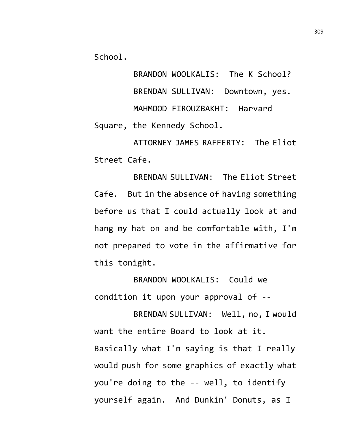School.

BRANDON WOOLKALIS: The K School? BRENDAN SULLIVAN: Downtown, yes. MAHMOOD FIROUZBAKHT: Harvard Square, the Kennedy School.

ATTORNEY JAMES RAFFERTY: The Eliot Street Cafe.

BRENDAN SULLIVAN: The Eliot Street Cafe. But in the absence of having something before us that I could actually look at and hang my hat on and be comfortable with, I'm not prepared to vote in the affirmative for this tonight.

BRANDON WOOLKALIS: Could we condition it upon your approval of --

BRENDAN SULLIVAN: Well, no, I would want the entire Board to look at it. Basically what I'm saying is that I really would push for some graphics of exactly what you're doing to the -- well, to identify yourself again. And Dunkin' Donuts, as I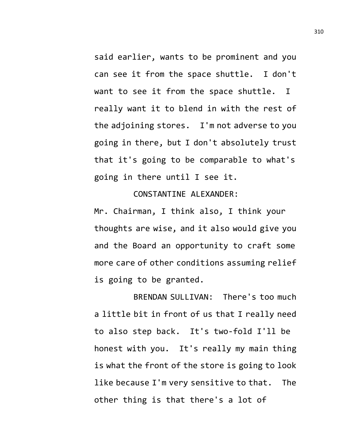said earlier, wants to be prominent and you can see it from the space shuttle. I don't want to see it from the space shuttle. I really want it to blend in with the rest of the adjoining stores. I'm not adverse to you going in there, but I don't absolutely trust that it's going to be comparable to what's going in there until I see it.

## CONSTANTINE ALEXANDER:

Mr. Chairman, I think also, I think your thoughts are wise, and it also would give you and the Board an opportunity to craft some more care of other conditions assuming relief is going to be granted.

BRENDAN SULLIVAN: There's too much a little bit in front of us that I really need to also step back. It's two-fold I'll be honest with you. It's really my main thing is what the front of the store is going to look like because I'm very sensitive to that. The other thing is that there's a lot of

310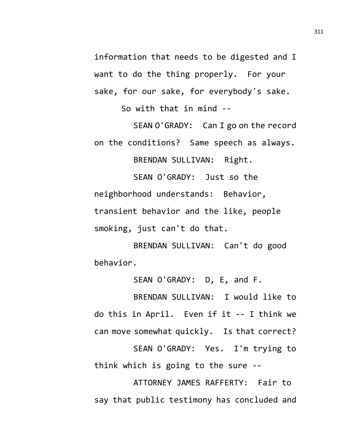information that needs to be digested and I want to do the thing properly. For your sake, for our sake, for everybody's sake.

So with that in mind --

SEAN O'GRADY: Can I go on the record on the conditions? Same speech as always.

BRENDAN SULLIVAN: Right.

SEAN O'GRADY: Just so the neighborhood understands: Behavior, transient behavior and the like, people smoking, just can't do that.

BRENDAN SULLIVAN: Can't do good behavior.

SEAN O'GRADY: D, E, and F.

BRENDAN SULLIVAN: I would like to do this in April. Even if it -- I think we can move somewhat quickly. Is that correct? SEAN O'GRADY: Yes. I'm trying to think which is going to the sure --

ATTORNEY JAMES RAFFERTY: Fair to say that public testimony has concluded and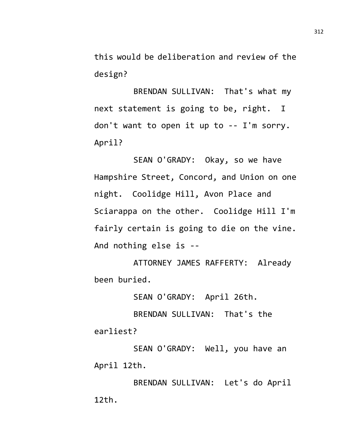this would be deliberation and review of the design?

BRENDAN SULLIVAN: That's what my next statement is going to be, right. I don't want to open it up to -- I'm sorry. April?

SEAN O'GRADY: Okay, so we have Hampshire Street, Concord, and Union on one night. Coolidge Hill, Avon Place and Sciarappa on the other. Coolidge Hill I'm fairly certain is going to die on the vine. And nothing else is --

ATTORNEY JAMES RAFFERTY: Already been buried.

SEAN O'GRADY: April 26th.

BRENDAN SULLIVAN: That's the earliest?

SEAN O'GRADY: Well, you have an April 12th.

BRENDAN SULLIVAN: Let's do April 12th.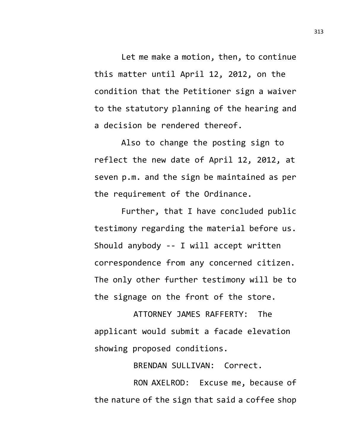Let me make a motion, then, to continue this matter until April 12, 2012, on the condition that the Petitioner sign a waiver to the statutory planning of the hearing and a decision be rendered thereof.

Also to change the posting sign to reflect the new date of April 12, 2012, at seven p.m. and the sign be maintained as per the requirement of the Ordinance.

Further, that I have concluded public testimony regarding the material before us. Should anybody -- I will accept written correspondence from any concerned citizen. The only other further testimony will be to the signage on the front of the store.

ATTORNEY JAMES RAFFERTY: The applicant would submit a facade elevation showing proposed conditions.

BRENDAN SULLIVAN: Correct.

RON AXELROD: Excuse me, because of the nature of the sign that said a coffee shop 313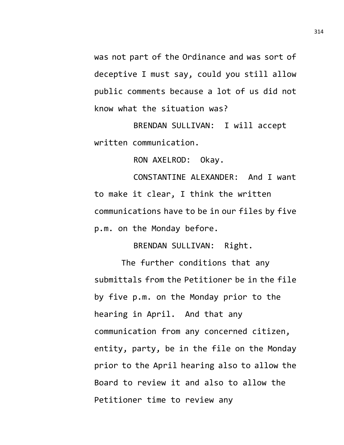was not part of the Ordinance and was sort of deceptive I must say, could you still allow public comments because a lot of us did not know what the situation was?

BRENDAN SULLIVAN: I will accept written communication.

RON AXELROD: Okay.

CONSTANTINE ALEXANDER: And I want to make it clear, I think the written communications have to be in our files by five p.m. on the Monday before.

BRENDAN SULLIVAN: Right.

The further conditions that any submittals from the Petitioner be in the file by five p.m. on the Monday prior to the hearing in April. And that any communication from any concerned citizen, entity, party, be in the file on the Monday prior to the April hearing also to allow the Board to review it and also to allow the Petitioner time to review any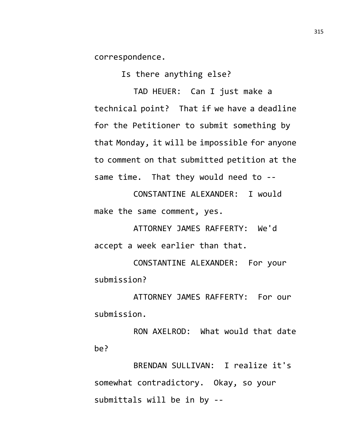correspondence.

Is there anything else?

TAD HEUER: Can I just make a technical point? That if we have a deadline for the Petitioner to submit something by that Monday, it will be impossible for anyone to comment on that submitted petition at the same time. That they would need to --

CONSTANTINE ALEXANDER: I would make the same comment, yes.

ATTORNEY JAMES RAFFERTY: We'd accept a week earlier than that.

CONSTANTINE ALEXANDER: For your submission?

ATTORNEY JAMES RAFFERTY: For our submission.

RON AXELROD: What would that date be?

BRENDAN SULLIVAN: I realize it's somewhat contradictory. Okay, so your submittals will be in by --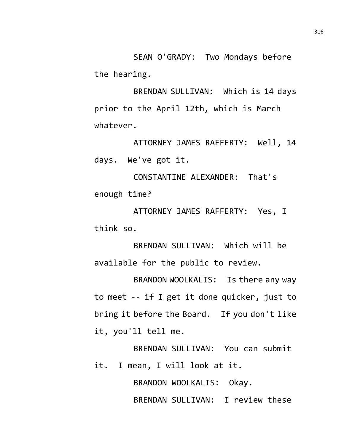SEAN O'GRADY: Two Mondays before the hearing.

BRENDAN SULLIVAN: Which is 14 days prior to the April 12th, which is March whatever.

ATTORNEY JAMES RAFFERTY: Well, 14 days. We've got it.

CONSTANTINE ALEXANDER: That's enough time?

ATTORNEY JAMES RAFFERTY: Yes, I think so.

BRENDAN SULLIVAN: Which will be available for the public to review.

BRANDON WOOLKALIS: Is there any way to meet -- if I get it done quicker, just to bring it before the Board. If you don't like it, you'll tell me.

BRENDAN SULLIVAN: You can submit it. I mean, I will look at it.

> BRANDON WOOLKALIS: Okay. BRENDAN SULLIVAN: I review these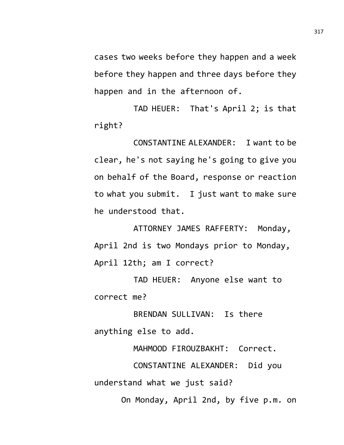cases two weeks before they happen and a week before they happen and three days before they happen and in the afternoon of.

TAD HEUER: That's April 2; is that right?

CONSTANTINE ALEXANDER: I want to be clear, he's not saying he's going to give you on behalf of the Board, response or reaction to what you submit. I just want to make sure he understood that.

ATTORNEY JAMES RAFFERTY: Monday, April 2nd is two Mondays prior to Monday, April 12th; am I correct?

TAD HEUER: Anyone else want to correct me?

BRENDAN SULLIVAN: Is there anything else to add.

MAHMOOD FIROUZBAKHT: Correct.

CONSTANTINE ALEXANDER: Did you understand what we just said?

On Monday, April 2nd, by five p.m. on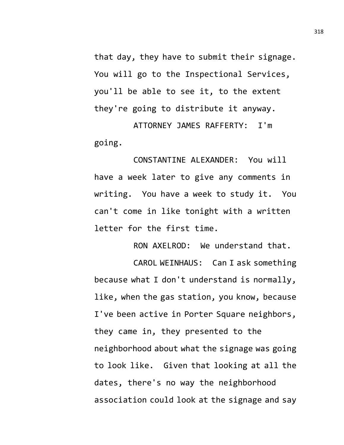that day, they have to submit their signage. You will go to the Inspectional Services, you'll be able to see it, to the extent they're going to distribute it anyway.

ATTORNEY JAMES RAFFERTY: I'm going.

CONSTANTINE ALEXANDER: You will have a week later to give any comments in writing. You have a week to study it. You can't come in like tonight with a written letter for the first time.

RON AXELROD: We understand that.

CAROL WEINHAUS: Can I ask something because what I don't understand is normally, like, when the gas station, you know, because I've been active in Porter Square neighbors, they came in, they presented to the neighborhood about what the signage was going to look like. Given that looking at all the dates, there's no way the neighborhood association could look at the signage and say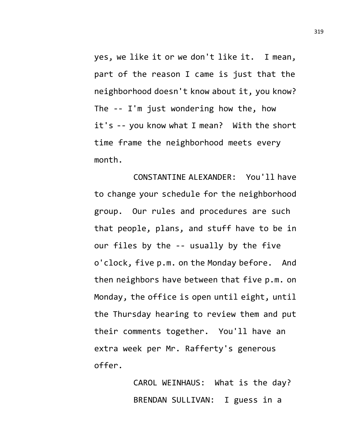yes, we like it or we don't like it. I mean, part of the reason I came is just that the neighborhood doesn't know about it, you know? The -- I'm just wondering how the, how it's -- you know what I mean? With the short time frame the neighborhood meets every month.

CONSTANTINE ALEXANDER: You'll have to change your schedule for the neighborhood group. Our rules and procedures are such that people, plans, and stuff have to be in our files by the -- usually by the five o'clock, five p.m. on the Monday before. And then neighbors have between that five p.m. on Monday, the office is open until eight, until the Thursday hearing to review them and put their comments together. You'll have an extra week per Mr. Rafferty's generous offer.

> CAROL WEINHAUS: What is the day? BRENDAN SULLIVAN: I guess in a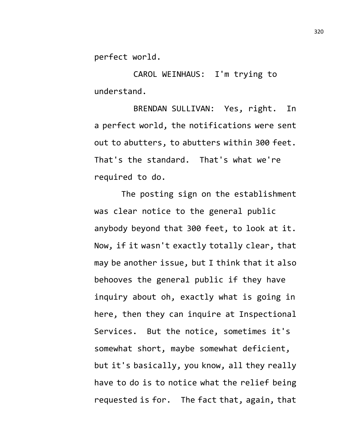perfect world.

CAROL WEINHAUS: I'm trying to understand.

BRENDAN SULLIVAN: Yes, right. In a perfect world, the notifications were sent out to abutters, to abutters within 300 feet. That's the standard. That's what we're required to do.

The posting sign on the establishment was clear notice to the general public anybody beyond that 300 feet, to look at it. Now, if it wasn't exactly totally clear, that may be another issue, but I think that it also behooves the general public if they have inquiry about oh, exactly what is going in here, then they can inquire at Inspectional Services. But the notice, sometimes it's somewhat short, maybe somewhat deficient, but it's basically, you know, all they really have to do is to notice what the relief being requested is for. The fact that, again, that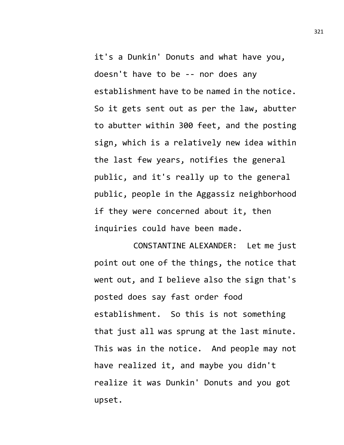it's a Dunkin' Donuts and what have you, doesn't have to be -- nor does any establishment have to be named in the notice. So it gets sent out as per the law, abutter to abutter within 300 feet, and the posting sign, which is a relatively new idea within the last few years, notifies the general public, and it's really up to the general public, people in the Aggassiz neighborhood if they were concerned about it, then inquiries could have been made.

CONSTANTINE ALEXANDER: Let me just point out one of the things, the notice that went out, and I believe also the sign that's posted does say fast order food establishment. So this is not something that just all was sprung at the last minute. This was in the notice. And people may not have realized it, and maybe you didn't realize it was Dunkin' Donuts and you got upset.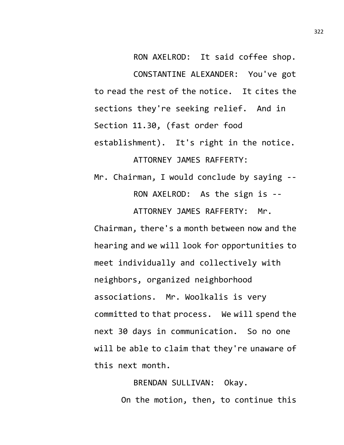RON AXELROD: It said coffee shop. CONSTANTINE ALEXANDER: You've got to read the rest of the notice. It cites the sections they're seeking relief. And in Section 11.30, (fast order food establishment). It's right in the notice. ATTORNEY JAMES RAFFERTY:

Mr. Chairman, I would conclude by saying -- RON AXELROD: As the sign is -- ATTORNEY JAMES RAFFERTY: Mr.

Chairman, there's a month between now and the hearing and we will look for opportunities to meet individually and collectively with neighbors, organized neighborhood associations. Mr. Woolkalis is very committed to that process. We will spend the next 30 days in communication. So no one will be able to claim that they're unaware of this next month.

> BRENDAN SULLIVAN: Okay. On the motion, then, to continue this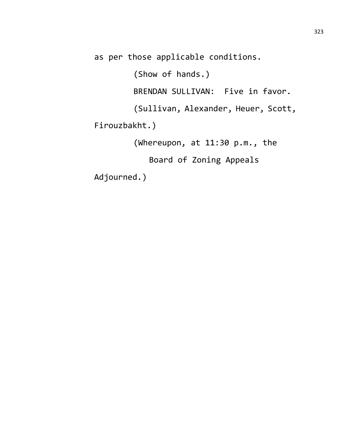as per those applicable conditions.

(Show of hands.)

BRENDAN SULLIVAN: Five in favor.

(Sullivan, Alexander, Heuer, Scott,

Firouzbakht.)

(Whereupon, at 11:30 p.m., the

Board of Zoning Appeals

Adjourned.)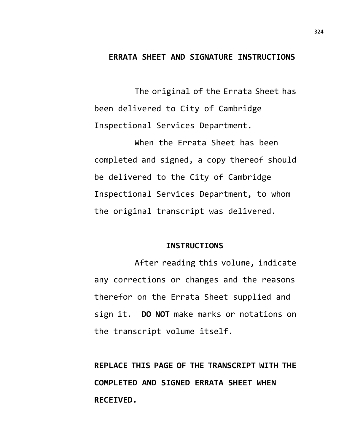## **ERRATA SHEET AND SIGNATURE INSTRUCTIONS**

The original of the Errata Sheet has been delivered to City of Cambridge Inspectional Services Department.

When the Errata Sheet has been completed and signed, a copy thereof should be delivered to the City of Cambridge Inspectional Services Department, to whom the original transcript was delivered.

## **INSTRUCTIONS**

After reading this volume, indicate any corrections or changes and the reasons therefor on the Errata Sheet supplied and sign it. **DO NOT** make marks or notations on the transcript volume itself.

**REPLACE THIS PAGE OF THE TRANSCRIPT WITH THE COMPLETED AND SIGNED ERRATA SHEET WHEN RECEIVED.**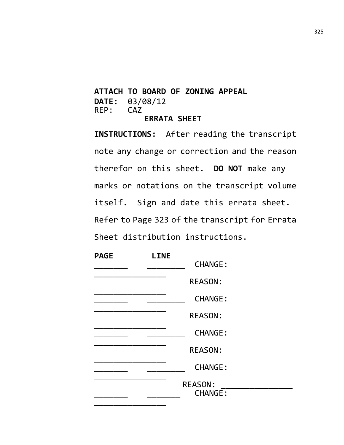## **ATTACH TO BOARD OF ZONING APPEAL DATE:** 03/08/12  $REP:$ **ERRATA SHEET**

**INSTRUCTIONS:** After reading the transcript note any change or correction and the reason therefor on this sheet. **DO NOT** make any marks or notations on the transcript volume itself. Sign and date this errata sheet. Refer to Page 323 of the transcript for Errata Sheet distribution instructions.

| <b>PAGE</b> | <b>LINE</b> | <b>CHANGE:</b>                   |  |
|-------------|-------------|----------------------------------|--|
|             |             | <b>REASON:</b>                   |  |
|             |             | <b>CHANGE:</b>                   |  |
|             |             | <b>REASON:</b>                   |  |
|             |             | <b>CHANGE:</b>                   |  |
|             |             | <b>REASON:</b>                   |  |
|             |             | <b>CHANGE:</b>                   |  |
|             |             | <b>REASON:</b><br><b>CHANGE:</b> |  |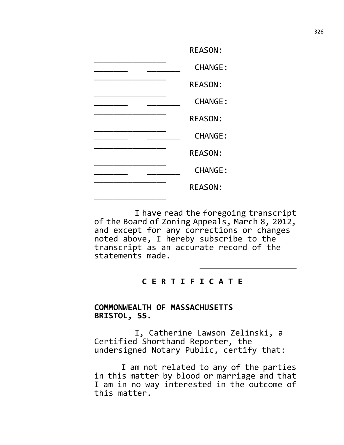| <b>REASON:</b> |
|----------------|
| <b>CHANGE:</b> |
| <b>REASON:</b> |
| <b>CHANGE:</b> |
| <b>REASON:</b> |
| <b>CHANGE:</b> |
| <b>REASON:</b> |
| <b>CHANGE:</b> |
| <b>REASON:</b> |
|                |

I have read the foregoing transcript of the Board of Zoning Appeals, March 8, 2012, and except for any corrections or changes noted above, I hereby subscribe to the transcript as an accurate record of the statements made.

## **C E R T I F I C A T E**

## **COMMONWEALTH OF MASSACHUSETTS BRISTOL, SS.**

I, Catherine Lawson Zelinski, a Certified Shorthand Reporter, the undersigned Notary Public, certify that:

I am not related to any of the parties in this matter by blood or marriage and that I am in no way interested in the outcome of this matter.